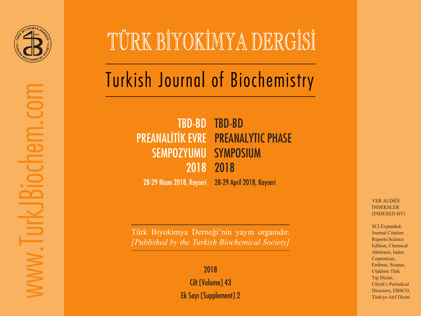

# TÜRK BİYOKİMYA DERGİSİ

## Turkish Journal of Biochemistry

## TBD-BD PREANALİTİK EVRE PREANALYTIC PHASE SEMPOZYUMU 2018 TBD-BD **SYMPOSIUM** 2018

28-29 Nisan 2018, Kayseri

28-29 April 2018, Kayseri

Türk Biyokimya Derneği'nin yayın organıdır. *[Published by the Turkish Biochemical Society]*

2018

Cilt [Volume] 43 Ek Sayı [Supplement] 2 YER ALDIĞI İNDEKSLER [INDEXED BY]

SCI Expanded, Journal Citation Reports/Science Edition, Chemical Abstracts, Index Copernicus, Embase, Scopus, Ulakbim Türk Tıp Dizini, Ulrich's Periodical Directory, EBSCO, Türkiye Atıf Dizini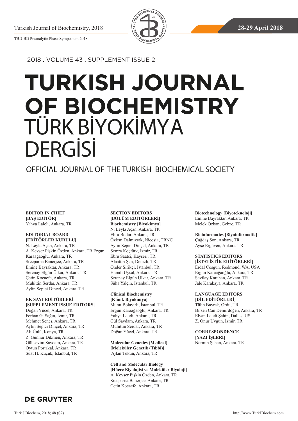

2018. VOLUME 43. SUPPLEMENT ISSUE 2

## **TURKISH JOURNAL OF BIOCHEMISTRY** TÜRK BİYOKİMYA DERGİSİ

**OFFICIAL JOURNAL OF THE TURKISH BIOCHEMICAL SOCIETY**

**EDITOR IN CHIEF [BAŞ EDİTÖR] EDITOR IN CHIEF Yahya Laleli, Ankara, TR [BAŞ EDİTÖR]** Yahya Laleli, Ankara, TR

#### $E$ **DITORIAL BOARD N. Leyla Açan, Ankara, TR [EDİTÖRLER KURULU]**

**A. Kevser Pişkin Özden, Ankara, TR** N. Leyla Açan, Ankara, TR **Ergun Karaağaoğlu, Ankara, TR** A. Kevser Pişkin Özden, Ankara, TR Ergun **Sreeparna Banerjee, Ankara, TR** Karaağaoğlu, Ankara, TR **Emine Bayraktar , Ankara, TR** Sreeparna Banerjee, Ankara, TR **Serenay Elgün Ülkar, Ankara, TR** Emine Bayraktar, Ankara, TR **Çetin Kocaefe, Ankara, TR** Serenay Elgün Ülkar, Ankara, TR **Muhittin Serdar, Ankara, TR** Muhittin Serdar, Ankara, TR **Aylin Sepici Dinçel, Ankara, TR** Aylin Sepici Dinçel, Ankara, TR Çetin Kocaefe, Ankara, TR

## **SECTION EDITORS EK SAYI EDİTÖRLERİ [BÖLÜM EDİTÖRLERİ] [SUPPLEMENT ISSUE EDITORS]**

Ferhan G. Sağın, İzmir, TR **N. Leyla Açan , Ankara, TR** Mehmet Şeneş, Ankara, TR **Ebru Bodur, Ankara, TR** Aylin Sepici Dinçel, Ankara, TR **Özlem Dalmızrak , Nicosia, TRNC** Ali Ünlü, Konya, TR **Aylin Sepici Dinçel, Ankara, TR** Z. Günnur Dikmen, Ankara, TR Gül sevim Saydam, Ankara, TR Oytun Portakal, Ankara, TR **Alaattin Şen, Denizli, TR** Suat H. Küçük, İstanbul, TR Doğan Yücel, Ankara, TR

**SECTION EDITORS [BÖLÜM EDİTÖRLERİ] Biochemistry [Biyokimya]**

**Clinical Biochemistry**  N. Leyla Açan, Ankara, TR **[Klinik Biyokimya]** Ebru Bodur, Ankara, TR Özlem Dalmızrak, Nicosia, TRNC **Ergun Karaağaoğlu, Ankara, TR** Aylin Sepici Dinçel, Ankara, TR **Yahya Laleli, Ankara, TR** Semra Koçtürk, İzmir, TR **Gül Saydam, Ankara, TR** Ebru Saatçi, Kayseri, TR **Muhittin Serdar, Ankara, TR** Alaattin Şen, Denizli, TR Önder Şirikçi, İstanbul, TR **Molecular Genetics (Medical)**  Serenay Elgün Ülkar, Ankara, TR Süha Yalçın, İstanbul, TR Hamdi Uysal, Ankara, TR

**Clinical Biochemistry Cell and Molecular Biology** Murat Bolayırlı, İstanbul, TR **[Kli̇ni̇k Bi̇yoki̇mya]**

**[Hücre Biyolojisi ve Moleküler**  Ergun Karaağaoğlu, Ankara, TR **Biyoloji]** Yahya Laleli, Ankara, TR **A. Kevser Pişkin Özden, Ankara, TR** Gül Saydam, Ankara, TR **Sreeparna Banerjee, Ankara, TR** Muhittin Serdar, Ankara, TR Doğan Yücel, Ankara, TR

**Molecular Genetics (Medical) Emine Bayraktar, Ankara, TR [Moleküler Genetik (Tıbbi)] Melek Özkan, Gebze, TR** Ajlan Tükün, Ankara, TR

**Cell and Molecular Biology Çağdaş Son, Ankara, TR [Hücre Biyolojisi ve Moleküler Biyoloji] Ayşe Ergüven, Ankara, TR** A. Kevser Pişkin Özden, Ankara, TR Sreeparna Banerjee, Ankara, TR Çetin Kocaefe, Ankara, TR

**Biotechnology [Biyoteknoloji]**  Emine Bayraktar, Ankara, TR Melek Özkan, Gebze, TR

#### $\text{Bioinformatics}$  [Biyoinformatik]

**Erdal Coşgun, Redmond, WA, USA** Çağdaş Son, Ankara, TR Ayşe Ergüven, Ankara, TR

## **Jale Karakaya , Ankara, TR STATISTICS EDITORS**

Erdal Coşgun, Redmond, WA, USA **(DİL EDİTÖRLERİ)** Ergun Karaağaoğlu, Ankara, TR Sevilay Karahan, Ankara, TR *Birsen Can Demirdö* **ğ***en***, Ankara, TR** Jale Karakaya, Ankara, TR **[İSTATİSTİK EDİTÖRLERİ]**

## **LANGUAGE EDITORS**  $\frac{1}{2}$ *DIL EDITÖRLERİ*

**CORRESPONDENCE [YAZI İŞLERİ]** Birsen Can Demirdöğen, Ankara, TR *Nermin* **Ş***ahan***, Ankara, TR** Elvan Laleli Şahin, Dallas, US Tülin Bayrak, Ordu, TR Z. Onur Uygun, İzmir, TR

### **CORRESPONDENCE [YAZI İŞLERİ]**

Nermin Şahan, Ankara, TR

**DE GRUYTER**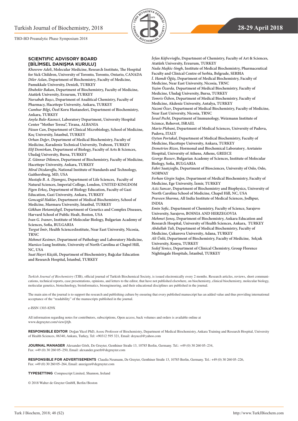

#### **SCIENTIFIC ADVISORY BOARD [BİLİMSEL DANIŞMA KURULU]**

*Khosrow Adeli***, Molecular Medicine, Research Institute, The Hospital for Sick Children, University of Toronto, Toronto, Ontario, CANADA** *Diler Aslan***, Department of Biochemistry, Faculty of Medicine, Pamukkale University, Denizli, TURKEY** *Ebubekir Bakan***, Department of Biochemistry, Faculty of Medicine, Atatürk University, Erzurum, TURKEY** *Nursabah Başcı***, Department of Analitical Chemistry, Faculty of Pharmacy, Hacettepe University, Ankara, TURKEY** *Cumhur Bilgi***, Özel Koru Hastaneleri, Department of Biochemistry, Ankara, TURKEY** *Anyla Bulo-Kasneci***, Laboratory Department, University Hospital Center "Mother Teresa", Tirana, ALBANIA** *Füsun Can***, Department of Clinical Microbiology, School of Medicine, Koç University, İstanbul, TURKEY** *Orhan Değer***, Department of Medical Biochemistry, Faculty of Medicine, Karadeniz Technical University, Trabzon, TURKEY** *Elif Demirkan***, Department of Biology, Faculty of Arts & Sciences, Uludağ University, Bursa, TURKEY** *Z. Günnur Dikmen***, Department of Biochemistry, Faculty of Medicine, Hacettepe University, Ankara, TURKEY** *Miral Dizdaroğlu***, National Institute of Standards and Technology, Gaithersburg, MD, USA** *Mustafa B. A. Djamgoz***, Department of Life Sciences, Faculty of Natural Sciences, Imperial College, London, UNITED KINGDOM** *Figen Erkoç***, Department of Biology Education, Faculty of Gazi Education, Gazi University, Ankara, TURKEY** *Goncagül Haklar***, Department of Medical Biochemistry, School of Medicine, Marmara University, İstanbul, TURKEY**

*Gökhan Hotamişlıgil,* **Department of Genetics and Complex Diseases, Harvard School of Public Healt, Boston, USA**

*Ivan G. Ivanov***, Institute of Molecular Biology, Bulgarian Academy of Sciences, Sofia, BULGARIA**

*Turgut İmir***, Health SciencesInstitute, Near East University, Nicosia, TRNC** 

*Mehmet Kesimer***, Department of Pathology and Laboratory Medicine, Marsico Lung Institute, University of North Carolina at Chapel Hill, NC, USA**

*Suat Hayri Küçük***, Department of Biochemistry, Bağcılar Education and Research Hospital, İstanbul, TURKEY**

*İrfan Küfrevioğlu***, Department of Chemistry, Faculty of Art & Sciences, Atatürk University, Erzurum, TURKEY**

*Nada Majkic-Singh***, Institute of Medical Biochemistry, Pharmaceutical Faculty and Clinical Centre of Serbia, Belgrade, SERBIA**

*İ. Hamdi Öğüş***, Department of Medical Biochemistry, Faculty of Medicine, Near East University, Nicosia, TRNC**

*Yeşim Özarda,* **Department of Medical Biochemistry, Faculty of Medicine, Uludağ University, Bursa, TURKEY**

*Tomris Özben***, Department of Medical Biochemistry, Faculty of Medicine, Akdeniz University, Antalya, TURKEY**

*Nazmi Özer***, Department of Medical Biochemistry, Faculty of Medicine, Near East University, Nicosia, TRNC**

*İsrael Pecht,* **Department of Immunology, Weizmann Institute of Science, Rehovot, ISRAEL**

*Mario Plebani***, Department of Medical Sciences, University of Padova, Padova, ITALY**

*Oytun Portakal***, Department of Medical Biochemistry, Faculty of** 

**Medicine, Hacettepe University, Ankara, TURKEY**

*Demetrios Rizos,* **Hormonal and Biochemical Laboratory***,* **Aretaieio Hospital, University of Athens, Athens, GREECE**

*George Russev***, Bulgarian Academy of Sciences, Institute of Molecular Biology, Sofia, BULGARIA**

*Fahri Saatçioğlu***, Department of Biosciences, University of Oslo, Oslo, NORWAY**

*Ferhan Girgin Sağın***, Department of Medical Biochemistry, Faculty of Medicine, Ege University, İzmir, TURKEY**

*Aziz Sancar***, Department of Biochemistry and Biophysics, University of North Carolina School of Medicine, Chapel Hill, NC, USA**

*Praveen Sharma***, All India Institute of Medical Sciences, Jodhpur, INDIA** 

*Emin Sofic,* **Department of Chemistry, Faculty of Science, Sarajevo University, Sarajevo, BOSNIA AND HERZEGOVIA**

*Mehmet Şeneş***, Department of Biochemistry, Ankara Education and Research Hospital, University of Health Sciences, Ankara, TURKEY** *Abdullah Tuli***, Department of Medical Biochemistry, Faculty of Medicine, Çukurova University, Adana, TURKEY**

*Ali Ünlü***, Department of Biochemistry, Faculty of Medicine, Selçuk University, Konya, TURKEY**

*Sedef Yenice***, Department of Clinical Chemistry, Group Florence Nightingale Hospitals, İstanbul, TURKEY**

*Turkish Journal of Biochemistry* (TJB), official journal of Turkish Biochemical Society, is issued electronically every 2 months. Research articles, reviews, short communications, technical reports, case presentations, opinions, and letters to the editor, that have not published elsewhere, on biochemistry, clinical biochemistry, molecular biology, molecular genetics, biotechnology, bioinformatics, bioengineering, and their educational disciplines are published in the journal.

The main aim of the journal is to support the research and publishing culture by ensuring that every published manuscript has an added value and thus providing international acceptance of the "readability" of the manuscripts published in the journal.

#### e-ISSN 1303-829X

All information regarding notes for contributors, subscriptions, Open access, back volumes and orders is available online at www.degruyter.com/view/j/tjb.

**RESPONSIBLE EDITOR** Doğan Yücel PhD, Assoc Professor of Biochemistry, Department of Medical Biochemistry, Ankara Training and Research Hospital, University of Health Sciences, 06340, Ankara, Turkey, Tel: +90312 595 321, Email: doyucel@yahoo.com

**JOURNAL MANAGER** Alexander Görlt, De Gruyter, Genthiner Straße 13, 10785 Berlin, Germany. Tel.: +49 (0) 30 260 05–234, Fax: +49 (0) 30 260 05–250, Email: alexander.goerlt@degruyter.com

**RESPONSIBLE FOR ADVERTISEMENTS** Claudia Neumann, De Gruyter, Genthiner Straße 13, 10785 Berlin, Germany. Tel.: +49 (0) 30 260 05–226, Fax: +49 (0) 30 260 05–264, Email: anzeigen@degruyter.com

**TYPESETTING** Compuscript Limited, Shannon, Ireland

© 2018 Walter de Gruyter GmbH, Berlin /Boston

Download Date | 5/1/18 10:50 PM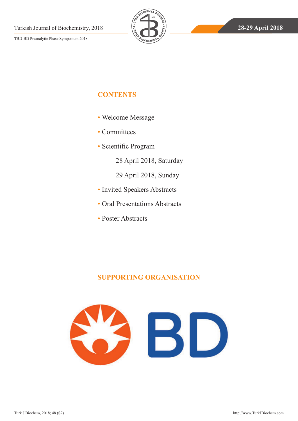

## **CONTENTS**

- [Welcome](#page-4-0) Message
- [Committees](#page-4-0)
- [Scientific Program](#page-5-0)
	- [28 April 2018, Saturday](#page-5-0)
	- [29 April 2018, Sunday](#page-6-0)
- Invited Speakers Abstracts
- [Oral Presentations Abstracts](#page-14-0)
- [Poster Abstracts](#page-17-0)

## **SUPPORTING ORGANISATION**

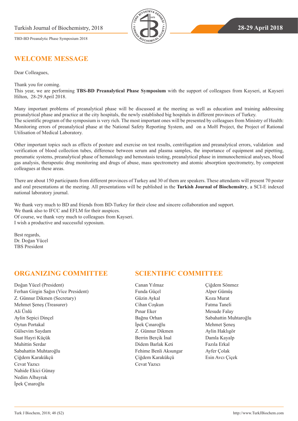## <span id="page-4-0"></span>**WELCOME MESSAGE**

Dear Colleagues,

Thank you for coming.

This year, we are performing **TBS-BD Preanalytical Phase Symposium** with the support of colleagues from Kayseri, at Kayseri Hilton, 28-29 April 2018.

Many important problems of preanalytical phase will be discussed at the meeting as well as education and training addressing preanalytical phase and practice at the city hospitals, the newly established big hospitals in different provinces of Turkey. The scientific program of the symposium is very rich. The most important ones will be presented by colleagues from Ministry of Health: Monitoring errors of preanalytical phase at the National Safety Reporting System, and on a MoH Project, the Project of Rational Utilisation of Medical Laboratory.

Other important topics such as effects of posture and exercise on test results, centrifugation and preanalytical errors, validation and verification of blood collection tubes, difference between serum and plasma samples, the importance of equipment and pipetting, pneumatic systems, preanalytical phase of hematology and hemostasis testing, preanalytical phase in immunochemical analyses, blood gas analysis, therapeutic drug monitoring and drugs of abuse, mass spectrometry and atomic absorption spectrometry, by competent colleagues at these areas.

There are about 150 participants from different provinces of Turkey and 30 of them are speakers. These attendants will present 70 poster and oral presentations at the meeting. All presentations will be published in the **Turkish Journal of Biochemsitry**, a SCI-E indexed national laboratory journal.

We thank very much to BD and friends from BD-Turkey for their close and sincere collaboration and support. We thank also to IFCC and EFLM for their auspices. Of course, we thank very much to colleagues from Kayseri. I wish a productive and successful syposium.

Best regards, Dr. Doğan Yücel TBS President

## **ORGANIZING COMMITTEE SCIENTIFIC COMMITTEE**

Doğan Yücel (President) Ferhan Girgin Sağın (Vice President) Z. Günnur Dikmen (Secretary) Mehmet Şeneş (Treasurer) Ali Ünlü Aylin Sepici Dinçel Oytun Portakal Gülsevim Saydam Suat Hayri Küçük Muhittin Serdar Sabahattin Muhtaroğlu Çiğdem Karakükçü Cevat Yazıcı Nahide Ekici Günay Nedim Albayrak İpek Çınaroğlu

- Canan Yılmaz Funda Güçel Güzin Aykal Cihan Coşkun Pınar Eker Bağnu Orhan İpek Çınaroğlu Z. Günnur Dikmen Berrin Berçik İnal Didem Barlak Keti Fehime Benli Aksungar Çiğdem Karakükçü Cevat Yazıcı
- Çiğdem Sönmez Alper Gümüş Koza Murat Fatma Taneli Mesude Falay Sabahattin Muhtaroğlu Mehmet Şeneş Aylin Haklıgör Damla Kayalp Fazıla Erkal Ayfer Çolak Esin Avcı Çiçek

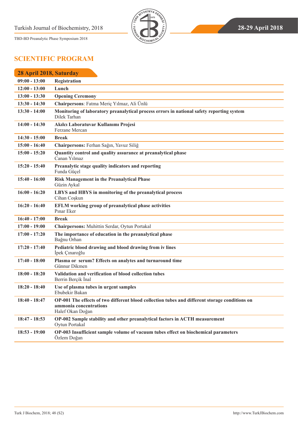

## <span id="page-5-0"></span>**SCIENTIFIC PROGRAM**

| 28 April 2018, Saturday |                                                                                                                                              |
|-------------------------|----------------------------------------------------------------------------------------------------------------------------------------------|
| $09:00 - 13:00$         | <b>Registration</b>                                                                                                                          |
| $12:00 - 13:00$         | Lunch                                                                                                                                        |
| $13:00 - 13:30$         | <b>Opening Ceremony</b>                                                                                                                      |
| $13:30 - 14:30$         | Chairpersons: Fatma Meriç Yılmaz, Ali Ünlü                                                                                                   |
| $13:30 - 14:00$         | Monitoring of laboratory preanalytical process errors in national safety reporting system<br>Dilek Tarhan                                    |
| $14:00 - 14:30$         | Akılcı Laboratuvar Kullanımı Projesi<br>Ferzane Mercan                                                                                       |
| $14:30 - 15:00$         | <b>Break</b>                                                                                                                                 |
| $15:00 - 16:40$         | Chairpersons: Ferhan Sağın, Yavuz Siliğ                                                                                                      |
| $15:00 - 15:20$         | Quantity control and quality assurance at preanalytical phase<br>Canan Yılmaz                                                                |
| $15:20 - 15:40$         | Preanalytic stage quality indicators and reporting<br>Funda Güçel                                                                            |
| $15:40 - 16:00$         | <b>Risk Management in the Preanalytical Phase</b><br>Güzin Aykal                                                                             |
| $16:00 - 16:20$         | LBYS and HBYS in monitoring of the preanalytical process<br>Cihan Coşkun                                                                     |
| $16:20 - 16:40$         | EFLM working group of preanalytical phase activities<br>Pınar Eker                                                                           |
| $16:40 - 17:00$         | <b>Break</b>                                                                                                                                 |
| $17:00 - 19:00$         | Chairpersons: Muhittin Serdar, Oytun Portakal                                                                                                |
| $17:00 - 17:20$         | The importance of education in the preanalytical phase<br>Bağnu Orhan                                                                        |
| $17:20 - 17:40$         | Pediatric blood drawing and blood drawing from iv lines<br>İpek Çınaroğlu                                                                    |
| $17:40 - 18:00$         | Plasma or serum? Effects on analytes and turnaround time<br>Günnur Dikmen                                                                    |
| $18:00 - 18:20$         | Validation and verification of blood collection tubes<br>Berrin Berçik İnal                                                                  |
| $18:20 - 18:40$         | Use of plasma tubes in urgent samples<br>Ebubekir Bakan                                                                                      |
| $18:40 - 18:47$         | OP-001 The effects of two different blood collection tubes and different storage conditions on<br>ammonia concentrations<br>Halef Okan Doğan |
| $18:47 - 18:53$         | OP-002 Sample stability and other preanalytical factors in ACTH measurement<br>Oytun Portakal                                                |
| $18:53 - 19:00$         | OP-003 Insufficient sample volume of vacuum tubes effect on biochemical parameters<br>Özlem Doğan                                            |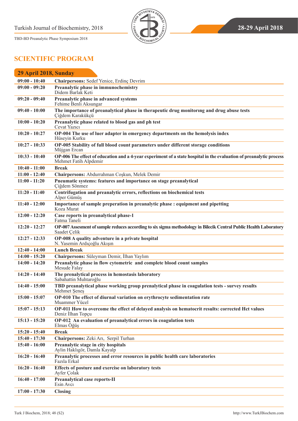

## <span id="page-6-0"></span>**SCIENTIFIC PROGRAM**

| 29 April 2018, Sunday |                                                                                                                                              |
|-----------------------|----------------------------------------------------------------------------------------------------------------------------------------------|
| $09:00 - 10:40$       | Chairpersons: Sedef Yenice, Erdinç Devrim                                                                                                    |
| $09:00 - 09:20$       | Preanalytic phase in immunochemistry<br>Didem Barlak Keti                                                                                    |
| $09:20 - 09:40$       | Preanalytic phase in advanced systems<br>Fehime Benli Aksungar                                                                               |
| $09:40 - 10:00$       | The importance of preanalytical phase in therapeutic drug monitoring and drug abuse tests<br>Çiğdem Karakükçü                                |
| $10:00 - 10:20$       | Preanalytic phase related to blood gas and ph test<br>Cevat Yazıcı                                                                           |
| $10:20 - 10:27$       | OP-004 The use of luer adapter in emergency departments on the hemolysis index<br>Hüseyin Kurku                                              |
| $10:27 - 10:33$       | OP-005 Stability of full blood count parameters under different storage conditions<br>Müjgan Ercan                                           |
| $10:33 - 10:40$       | OP-006 The effect of education and a 4-year experiment of a state hospital in the evaluation of preanalytic process<br>Mehmet Fatih Alpdemir |
| $10:40 - 11:00$       | <b>Break</b>                                                                                                                                 |
| $11:00 - 12:40$       | Chairpersons: Abdurrahman Coskun, Melek Demir                                                                                                |
| $11:00 - 11:20$       | Pneumatic systems: features and importance on stage preanalytical<br>Çiğdem Sönmez                                                           |
| $11:20 - 11:40$       | Centrifugation and preanalytic errors, reflections on biochemical tests<br>Alper Gümüş                                                       |
| $11:40 - 12:00$       | Importance of sample preperation in preanalytic phase : equipment and pipetting<br>Koza Murat                                                |
| $12:00 - 12:20$       | Case reports in preanalytical phase-1<br>Fatma Taneli                                                                                        |
| $12:20 - 12:27$       | OP-007 Assesment of sample reduces according to six sigma methodology in Bilecik Central Public Health Laboratory<br>Saadet Çelik            |
| $12:27 - 12:33$       | OP-008 A quality adventure in a private hospital<br>N. Yasemin Ardıçoğlu Akışın                                                              |
| $12:40 - 14:00$       | <b>Lunch Break</b>                                                                                                                           |
| $14:00 - 15:20$       | Chairpersons: Süleyman Demir, İlhan Yaylım                                                                                                   |
| $14:00 - 14:20$       | Preanalytic phase in flow cytometric and complete blood count samples<br>Mesude Falay                                                        |
| $14:20 - 14:40$       | The prenalytical process in hemostasis laboratory<br>Sabahattin Muhtaroğlu                                                                   |
| $14:40 - 15:00$       | TBD preanalytical phase working group prenalytical phase in coagulation tests - survey results<br>Mehmet Senes                               |
| $15:00 - 15:07$       | OP-010 The effect of diurnal variation on erythrocyte sedimentation rate<br>Muammer Yücel                                                    |
| $15:07 - 15:13$       | OP-011 How to overcome the effect of delayed analysis on hematocrit results: corrected Hct values<br>Deniz İlhan Topçu                       |
| $15:13 - 15:20$       | OP-012 An evaluation of preanalytical errors in coagulation tests<br>Elmas Öğüş                                                              |
| $15:20 - 15:40$       | <b>Break</b>                                                                                                                                 |
| $15:40 - 17:30$       | Chairpersons: Zeki Arı, Serpil Turhan                                                                                                        |
| $15:40 - 16:00$       | Preanalytic stage in city hospitals<br>Aylin Haklıgör, Damla Kayalp                                                                          |
| $16:20 - 16:40$       | Preanalytic processes and error resources in public health care laboratories<br>Fazila Erkal                                                 |
| $16:20 - 16:40$       | Effects of posture and exercise on laboratory tests<br>Ayfer Çolak                                                                           |
| $16:40 - 17:00$       | <b>Preanalytical case reports-II</b><br>Esin Avei                                                                                            |
| $17:00 - 17:30$       | <b>Closing</b>                                                                                                                               |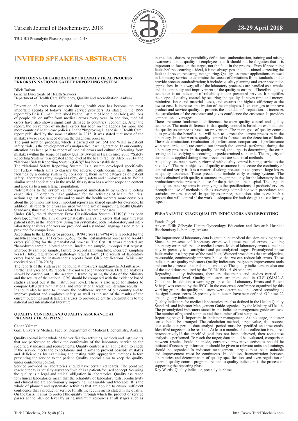

## **INVITED SPEAKERS ABSTRACTS**

#### **MONITORING OF LABORATORY PREANALYTICAL PROCESS ERRORS IN NATIONAL SAFETY REPORTING SYSTEM**

Dilek Tarhan

General Directorate of Health Services Department of Health Care Efficiency, Quality and Accreditation, Ankara

Prevention of errors that occurred during health care has become the most important agenda of today's health service providers. As stated in the 1999 report "To Er is Human" published by the Institute of Medicine (IoM), millions of people die or suffer from medical errors every year. In addition, medical errors have also shown significant damage to countries' economies. After the report, the prevention of medical errors has been on the agenda for more and more countries' health care policies. In the "Improving Diagnosis in Health Care" report published by the same institute in 2015, it was stated that most of the mistakes were experienced during the diagnosis process.

The joint solution proposal, which is carried out by IoM and WHO in patient safety trials, is the development of a malpractice learning practice. In our country, attention has been paid to report of medical errors and culture of learning from mistakes within the scope of Turkey Quality System in Health since 2005. "Safety Reporting System" was created at the level of the health facility. Also in 2014, the "National Safety Reporting System (GRS)" has been established.

The "National Safety Reporting System" is a system developed specifically for Turkey, which aims to classify the adverse events occurring in the health facilities by a coding system by considering them in the categories of patient safety, laboratory safety, surgical safety, drug safety and employee safety. With a similar set of applications in the world, this system has a wider scope and content and appeals to a much larger population.

Notifications to the system can be reported immediately by GRS's reporting capabilities. In order to make guidance for the activities of health facilities' actions against the error risks and to make the health workers more conscious about the common mistakes, important reports are shared openly for everyone. In addition, all reports on errors are used with the aim of improving Health Quality Standards, thus avoiding errors related to health care processes.

Under GRS, the "Laboratory Error Classification System (LHSS)" has been developed, with the aim of systematically analyzing errors that may threaten patient safety in the laboratory. Using this systematic, both in-laboratory and interlaboratory analyzes of errors are provided and a standard language association is provided for comparison.

According to the LHSS error process, 10704 errors (5.84%) were reported for the analytical process, 6151 errors (3,35%) for the postanalytical process and 166447 errors (90,80%) for the preanalytical process. The first 10 errors reported are "hemolyzed sample, clotted sample, inadequate sample, improper test request, improperly sampled sample, failure to record sampling time, incorrect sampling vessel / tube, regulation of pathology request form, (The results of laboratory errors based on the instantaneous reports from GRS notifications. Which are received on 17.04.2018).

The reports of the system can be found at https://grs.saglik.gov.tr/Default.aspx. Further analyzes of GRS reports have not yet been undertaken. Detailed analyzes should be carried out in the academic frame by using the data of the Ministry and the results of the national GRS should be compared with the evidence based studies carried out at the institutional level. There is also need for studies to compare GRS data with national and international academic literature results.

It should also be used to improve the healthcare system of our country and to improve patient and employee safety, as well as the use of the results of the current outcomes and detailed analyzes to provide scientific contributions to the national and international literature.

#### **QUALITY CONTROL AND QUALITY ASSURANCE AT PREANALYTICAL PHASE**

Canan Yılmaz

Gazi University Medical Faculty, Department of Medical Biochemistry, Ankara

Quality control is the whole of the verification activities, methods and instruments that are performed to check the conformity of the laboratory service to the specified standards and requirements. Quality control is an application to check if the service meets the expectations and it aims to prevent possible mistakes and deficiencies by examining and testing with appropriate methods before presenting the service to the patient. Quality control aims to keep the quality under continuous control.

Service provided in laboratories should have certain standards. The point we reached today is "quality assurance" which is a patient-focused concept. Securing the quality is a legal and ethical obligation in laboratories. Quality assurance for clinical laboratories mean that the reliability of laboratory tests, productivity and clinical use are continuously improving, measurable and traceable. It is the whole of planned and systematic activities that are applied to ensure sufficient confidence that a product or service fulfills the requirements stated in the quality. On the basis, it aims to protect the quality through which the product or service passes at the planned level by using minimum resources at all stages such as

instructions, duties, responsibility definitions, authentication, training and raising awareness about quality of employees etc. It should not be forgotten that it is important to focus on the target, not the fault in the process. Even if preventing faults before occurring is ideal, it is not always possible. It is aimed correcting the fault and prevent repeating, not ignoring. Quality assurance applications are used in laboratory service to determine the causes of deviations from standards and to provide process standardization; it includes quality planning and error prevention approaches. In this way, all of the laboratory processes are handled as a whole, and the continuity and improvement of the quality is ensured. Therefore quality and the continuity and improvement of the quality is ensured. assurance is an indication of reliability of the presented service. It simplifies the scope of quality control by securing the quality. It saves time and money, minimizes labor and material losses, and ensures the highest efficiency at the lowest cost. It increases motivation of the employees. It encourages to improve product and service quality. It protects the foundation's reputation. It increases the satisfaction of the customer and gives confidence the customer. It provides competition advantages.

There are some fundamental differences between quality control and quality assurance. The main difference is that quality control is based on examination, the quality assurance is based on prevention. The main goal of quality control is to provide the benefits that will help to correct the current processes in the laboratory. In other words, quality control is focused on the detection of faults. These determinations (evaluation of performance, comparison of performance with standards, etc.) are carried out through the controls performed during the laboratory processes. In the quality control, the target is determining the error, sorting and classifying it according to predetermined standards. The majority of the methods applied during these procedures are statistical methods.

At quality assurance, work performed with quality control is being carried to the next level. The main objective of quality assurance is to secure the continuity of control and verify it. It is a matter of taking precautions to prevent large losses in quality assurance. These precautions include early warning systems. The results obtained with quality assurance are gain not only for the laboratory in the production/service process but also for the patient and the hospital. The target in quality assurance systems is complying to the specifications of products/services through the use of methods such as assessing compliance with procedures and statistical process control. In quality assurance, institutions aim to establish a system that will control if the work is adequate for both design and conformity aspects.

#### **PREANALYTIC STAGE QUALITY INDICATORS AND REPORTING**

#### Funda Güçel

Ankara Etlik Zübeyde Hanım Gynecology Education and Research Hospital Biochemistry Laboratory, Ankara

The importance of laboratory data is great in the medical decision-making phase. Since the presence of laboratory errors will cause medical errors, avoiding laboratory errors will reduce medical errors. Medical laboratory errors come into play in preanalytical, analytical and postanalytical stages. Preanalytical phase faults make up a large part of the total faults.We need procedures that are objective, measurable, continuously improveable so that we can reduce lab errors. These indicators are quality indicators.Quality indicators are system improvement tools and can be corrected, neutral and quantitative.The quality indicators are also one of the conditions required by the TS EN ISO 15189 standard.

Regarding quality indicators, there are documents and studies carried out at international level. Quality indicators are mentioned in CLSI-QMS12-A Guideline. In addition, a working group called "Laboratory Errors and Patient Safety" was created by the IFCC. In the consensus conference organized by this working group, the quality indicators were determined and scored according to the significance scores. 28 preanalytic indicators have been defined. Of these, 22 are obligatory indicators.

Quality indicators for medical laboratories are also defined in the Health Quality Standards and Indicator Management Guide organized by the Ministry of Health. The preanalytical indicators stated in the indicator management guide are two. The number of rejected samples and the number of lost samples.

Reporting stage is important in indicator management. At this stage, indicator cards should be arranged. The calculation method, target value, data source, data collection period, data analysis period must be specified on these cards. Identified targets must be realistic. At least 6 months of data collection is required retrospectively.If the specified goal has not been achieved, then root-cause analysis is performed. To reach the target; data should be evaluated, comparison between results should be made, corrective preventive activities should be initiated if necessary, information should be given to relevant units and trainings should be organized.In indicator management, targets must be sustainable and improvement must be continuous. In addition, harmonization between laboratories and determination of quality specifications,and even regulation of external quality control programs related to quality indicators is the process of supporting the reporting phase.

Key Words: Quality indicator, preanalytic phase.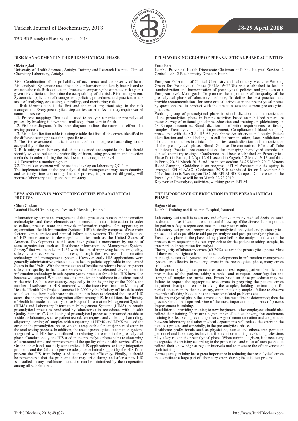

#### **RISK MANAGEMENT IN THE PREANALYTICAL PHASE**

#### Güzin Aykal

University of Health Sciences, Antalya Training and Research Hospital, Clinical Chemistry Laboratory, Antalya

Risk: Combination of the probability of occurrence and the severity of harm. Risk analysis: Systematic use of available information to identify hazards and to estimate the risk. Risk evaluation: Process of comparing the estimated risk against given risk criteria to determine the acceptability of the risk. Risk management: Systematic application of management policies, procedures, and practices to the tasks of analyzing, evaluating, controlling, and monitoring risk.

1- Risk identification is the first and the most important step in the risk management. Every preanalytical step carries varied risks and may require varied control measures.

1.1. Process mapping: This tool is used to analyze a particular preanalytical process by breaking it down into small steps from start to finish.

1.2. Fishbone diagram: A fishbone diagram outlines the cause and effect of a testing process.

1.3. Risk identification table is a simple table that lists all the errors identified in the different testing phases for a specific test.

2. The risk assessment matrix is constructed and interpreted according to the acceptabilty of the risk.

3. Risk mitigation: For any risk that is deemed unacceptable, the lab should identify ways to reduce the probability of harm, using prevention and detection methods, in order to bring the risk down to an acceptable level.

3.1. Determine a monitoring plan.

3.2. The risk assessment will be used to develop an Iaboratory QC Plan.

The implementation of the preanalytical risk management may seem daunting and certainly time consuming, but the process, if performed diligently, will increase laboratory quality and patient safety.

#### **LBYS AND HBYS IN MONITORING OF THE PREANALYTICAL PROCESS**

#### Cihan Coşkun

Istanbul Haseki Training and Research Hospital, Istanbul

Information system is an arrangement of data, processes, human and information technologies and these elements are in constant mutual interaction in order to collect, process, store and provide information required for supporting an organization. Health Information Systems (HIS) basically comprise of two main factors: administrative and clinical information systems. The first applications of HIS come across in developed countries such as the United States of America. Developments in this area have gained a momentum by means of some organizations such as "Healthcare Information and Management Systems Society" that was founded in 1961 with the aim of improving healthcare quality, safety, cost-effectiveness, and access, through the best use of information technology and management systems. However, early HIS applications were generally administrative-oriented due to health policies applicable in the United States in the 1960s. With the introduction of healthcare reforms based on patient safety and quality in healthcare services and the accelerated development in information technology in subsequent years, practices for clinical HIS have also become widespread. While the use of computers in healthcare institutions started in the mid-1990s in our country, especially in the beginning of the 2000s, the number of software for HIS increased with the incentives from the Ministry of Health. "Health-Net Project" launched in 2009 by the Ministry of Health in order to collect data from healthcare institutions has been accelerated the use of HIS across the country and the integration efforts among HIS. In addition, the Ministry of Health has made mandatory to use Hospital Information Management Systems (HIMS) and Laboratory Information Management Systems (LIMS) in certain preanalytical processes conducted by laboratories in accordance with "Health Quality Standards". Conducting of preanalytical processes performed outside or inside the laboratory such as patient record, test request, and collecting, barcoding, aliquoting, sorting of samples with supporting of HIMS and LIMS reduced the errors in the preanalytical phase, which is responsible for a major part of errors in the total testing process. In addition, the use of preanalytical automation systems integrated with HIS has contributed to reducing the errors in the preanalytical phase. Conclusionally, the HIS used in the preanalytic phase helps to shortening of turnaround time and improvement of the quality of the health service offered. On the other hand, not fully standardized HIS applications, existing integration problems and the failure to provide adequate technical support by the HIS firms prevent the HIS from being used at the desired efficiency. Finally, it should be remembered that the problems that may arise during and after a new HIS is installed in any healthcare institution can be minimized by the cooperation among all stakeholders.

#### **EFLM WORKING GROUP OF PREANALYTICAL PHASE ACTIVITIES**

#### Pınar Eker

Istanbul Provincial Health Directorate Chairman of Public Hospital Services-2 Central Lab -2 Biochemistry Director, Istanbul

European Federation of Clinical Chemistry and Laboratory Medicine Working Group for Preanalytical Phase (EFLM WGPRE) was established to lead in standardization and harmonization of preanalytical policies and practices at a European level. Main goals: To promote the importance of the quality of the preanalytical phase of laboratory medicine; To define the best practices and provide recommendations for some critical activities in the preanalytical phase; by questionnaires to conduct with the aim to assess the current pre-analytical practices;

Working group of preanalytical phase in standardization and harmonization of the preanalytical phase in Europe activities based on published papers are these: Survey of national guidelines, education and training on phlebotomy in 28 European countries; Standardization of collection requirements for fasting samples; Preanalytical quality improvement; Compliance of blood sampling procedures with the CLSI H3-A6 guidelines: An observational study; Patient identification and tube labelling – a call for harmonisation; Local validation of blood collection tubes in clinical laboratories; standardization and harmonization of the preanalytical phase; Blood Glucose Determination: Effect of Tube Additives; Practical recommendations for managing hemolyzed samples in clinical chemistry testing.4 Conferences had been established on Preanalytical Phase first in Parma, 1-2 April 2011,second in Zagreb, 1-2 March 2013; and third in Porto, 20-21 March 2015 and last in Amsterdam 24-25 March 2017. Venous Blood Sampling Guideline is on progress. EFLM Webinars for the spring is arranged. EFLM-AACC Conference 2019 is scheduled for on November 8-9 2019, location is Washington D.C. 5th EFLM-BD European Conference on the Preanalytical Phase will be on March 22-23 2019.

Key words: Preanalytic, activities, working group, EFLM

#### **THE IMPORTANCE OF EDUCATION IN THE PREANALYTICAL PHASE**

Bağnu Orhan

Istanbul Training and Research Hospital, Istanbul

Laboratory test result is necessary and effective in many medical decisions such as detection, classification, treatment and follow-up of the disease. It is important for patient safety to report accurate and timely test results.

Laboratory test process comprises of preanalytical, analytical and postanalytical phases. It is also possible to add pre-preanalytic and post-postanalytic phases.

Preanalytic phase is the phase taking place before the analysis and covers the process from requesting the test appropriate for the patient to taking sample, its transport and preparation for analysis.

The majority of laboratory errors (60-70%) occur in the preanalytical phase. Most of these errors originate from humans.

Although automated systems and the developments in information management systems are effective in reducing errors in the preanalytical phase, many errors still occur.

In the preanalytical phase, procedures such as test request, patient identification, preparation of the patient, taking samples and transport, centrifugation and storage of samples are carried out. Errors based on these procedures may be: failure to request the appropriate test, errors in preparing the patient, errors in patient description, errors in taking the samples, holding the tourniquet for periods that are more than necessary, errors in taking samples, failure to observe the order of taking blood tubes and transfer-related problems etc.

In the preanalytical phase, the current condition must first be determined; then the process should be improved. One of the most important components of process improvement is training.

In addition to providing training to new beginners, other employees should also refresh their training. There are a high number of studies showing that continuous training is effective in preventing errors. A good communication and cooperation between laboratory and other medical departments will reduce the errors in the total test process and especially, in the pre-analytical phase.

Healthcare professionals such as physicians, nurses and others, transportation personnel and laboratory technicians from various training levels and professions play a key role in the preanalytical phase. When training is given, it is necessary to organize the training according to the professions and roles of such people, to refresh their knowledge at regular intervals and to measure the effectiveness of such training.

Consequently training has a great importance in reducing the preanalytical errors that constitute a large part of laboratory errors during the total test process.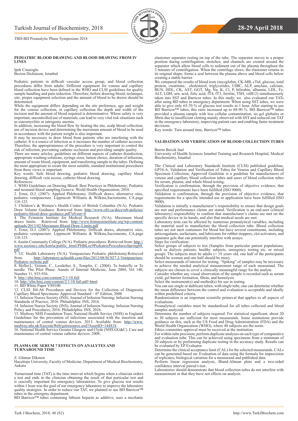

#### **PEDIATRIC BLOOD DRAWING AND BLOOD DRAWING FROM IV LINES**

#### Ipek Cinaroglu Becton Dickinson, Istanbul

Pediatric patients in difficult vascular access group, and blood collection procedures differ from adults. Different equipment for venous and capillary blood collection have been defined in the WHO and CLSI guidelines for quality sample handling and pain reduction. Therefore, before drawing blood; technique, site, proper equipment selection and the amount of blood to be drawn should be determined.

While the equipment differs depending on the site preference, age and weight for the venous collection, in capillary collection the depth and width of the incision and the amount of blood required is determinative. Where safety is very important, uncontrolled use of materials, can lead to very vital risk situations such as osteomyelitis or iatrogenic anemia.

In addition, increasing the blood flow by heating the site, scalp blood collection, use of incision device and determining the maximum amount of blood to be used in accordance with the patient weight is also important.

It may be necessary to draw blood from patients who are interfering with the catheter. It is a source of infection as it increases the number of catheter accesses. Therefore, the appropriateness of the procedure is very important to control the risk of infection, preventing catheter occlusion and providing sample quality.

There are many articles, guidelines on different aspects of catheter disinfection, appropriate washing solutions, syringe sizes, lumen choice, duration of infusions, amount of waste blood, equipment, and transferring sample to the tubes. Defining the most appropriate to create the most suitable, standard institutional procedures from these views is important.

Key words: Safe blood drawing, pediatric blood drawing, capillary blood drawing, difficult vein access, catheter blood drawing References:

1. WHO Guidelines on Drawing Blood: Best Practices in Phlebotomy; Pediatric and neonatal blood sampling.Geneva: World Health Organization; 2010.

2. Ernst, D.J. (2007): Applied Phlebotomy. Difficult draws, alternative sites, pediatric venipuncture. Lippincott Williams & Wilkins,Sacremento, CA.page 118-125.

3. Children's & Women's Health Centre of British Columbia (N/A). Pediatric Draw Volume Guidance. Retrieved from: [http://www.cfri.ca/docs/reb-policies/](http://www.cfri.ca/docs/reb-policies/pediatric-blood-draw-guidance.pdf?sfvrsn=0) [pediatric-blood-draw-guidance.pdf?sfvrsn=0](http://www.cfri.ca/docs/reb-policies/pediatric-blood-draw-guidance.pdf?sfvrsn=0)

4. The Feinstein Institute for Medical Research (N/A). Maximum blood draws limits. Retrieved from: [http://www.feinsteininstitute.org/wp-content/](http://www.feinsteininstitute.org/wp-content/uploads/2013/02/Maximum-Blood-Draw-Limits.pdf) [uploads/2013/02/Maximum-Blood-Draw-Limits.pdf](http://www.feinsteininstitute.org/wp-content/uploads/2013/02/Maximum-Blood-Draw-Limits.pdf)

5. Ernst, D.J. (2007): Applied Phlebotomy. Difficult draws, alternative sites, pediatric venipuncture. Lippincott Williams & Wilkins,Sacremento, CA.page 118-125.

6. Austin Community College (N/A). Pediatric procedures. Retrieved from: [http://](http://www.austincc.edu/kotrla/public_html/PHBLec9PediatricProceduresSpring08.pdf) www.austince.edu/kotrla/public\_html/PHBLec9PediatricProceduresSpring08. [pdf](http://www.austincc.edu/kotrla/public_html/PHBLec9PediatricProceduresSpring08.pdf)

7. UC Health Laboratory (N/A). Venipuncture Pediatric phlebotomy.Retrieved from: [http://laboratory.uchealth.com/files/2012/08/SC027.2-Venipuncture-](http://laboratory.uchealth.com/files/2012/08/SC027.2-Venipuncture-Pediatric-website.pdf)[Pediatric-website.pdf](http://laboratory.uchealth.com/files/2012/08/SC027.2-Venipuncture-Pediatric-website.pdf)

8. Hefler.L, Grimm, C., Leodolter, S., Tempfer, C. (2004). To butterfly or To needle: The Pilot Phase. Annals of Internal Medicine, June 2004, Vol 140, Number 11, 935-936.

9.<http://ebn.bmj.com/content/2/1/10.full>

10.<http://ebn.bmj.com/content/2/1/10.full.pdf+html> 11. BD White Paper VS9100

12. CLSI. H4-A6 Procedures and Devices for the Collection of Diagnostic Capillary Blood Specimens: Approved Standard – 6th Edition, 2008

13. Infusion Nurses Society (INS). Journal of Infusion Nursing: Infusion Nursing Standards of Practice, 2016. Philadelphia: INS; 2016.

14. Infusion Nurses Society (INS). Journal of Infusion Nursing: Infusion Nursing Policy and Procedures, 2016. Philadelphia: INS; 2016.

15. Medway NHS Foundation Trust, National Health Service (NHS) in England. Guidelines for the prevention of infections associated with the insertion and maintenance of central venous devices. 2013. Available from: [http://www.](http://www.medway.nhs.uk/EasysiteWeb/getresource.axd?AssetID=144818) [medway.nhs.uk/EasysiteWeb/getresource.axd?AssetID=144818](http://www.medway.nhs.uk/EasysiteWeb/getresource.axd?AssetID=144818).

16. National Health Service Greater Glasgow and Clyde (NHS GG&C). Care and maintenance of central venous catheter devices. 2008.

#### **PLASMA OR SERUM ? EFFECTS ON ANALYTES AND TURNAROUND TIME**

#### Z. Günnur Dikmen

Hacettepe University, Faculty of Medicine, Department of Medical Biochemistry, Ankara

Turnaround time (TAT) is the time interval which begins when a clinician orders a test and ends in the clinician obtaining the result of that particular test and is crucially important for emergency laboratories. To give glucose test results within 1 hour was the goal of our emergency laboratory to improve the laboratory quality strategies. In order to reduce our TAT, we planned to use BD Barricor™ tubes in the emergeny department.

BD Barricor™ tubes containing lithium heparin as additive, uses a mechanic

elastomer separator resting on top of the tube. The separator moves to a proper position during centrifugation, stretches, and channels are created around the separator which allow blood cells to sediment out of the plasma throughout the 3 minutes of centrifugation. When the centrifuge slows, the elastomer returns to its original shape, forms a seal between the plasma above and blood cells below creating a stable barrier.

We compared the results of blood tests (myoglobin, CK-MB, cTnI, glucose, total protein, creatinine, cholesterol, triglycerides, UIBC, ALP, amylase, calcium, BUN, HDL, CK, AST, GGT, Mg, Na, K, Cl, P, bilirubin, albumin, LDL, Fe, ALT, LDH, uric acid, folic acid, fT4, fT3, ferritin, TSH, vitB12) simultaneously taken into SST and Barricor tubes. In this study, we also evaluated our TATs after using BD tubes in emergency department. When using SST tubes, we were able to give only 65-70 % of glucose test results in 1 hour. After starting to use BD Barricor™ tubes, this ratio increased up to 88-90 %. BD Barricor™ tubes provided a plasma sample with less cellular contamination, no gel globules or fibrin due to insufficient clotting mainly observed with SST and reduced our TAT in the emergency laboratory, improving patient care and enabling faster treatment decisions.

Key words: Turn around time, Barricor™ tubes

## **VALIDATION AND VERIFICATION OF BLOOD COLLECTION TUBES**

#### Berrin Bercik Inal

University of Health Sciences Istanbul Training and Research Hospital, Medical Biochemistry, Istanbul

The Clinical and Laboratory Standards Institute (CLSI) published guideline, GP34-A, Validation and Verification of Tubes for Venous and Capillary Blood Specimen Collection; Approved Guideline is a guideline for manufacturers of venous and capillary blood collection tubes and users of blood collection tubes for serum, plasma, and whole blood testing.

Verification is confirmation, through the provision of objective evidence, that specified requirements have been fulfilled (ISO 9000).

Validation is confirmation, through the provision of objective evidence, that requirements for a specific intended use or application have been fulfilled (ISO 9000).

Validation is initially a manufacturer's responsibility to ensure that design goals are met and performance claims are stated. Verification is an end-user (clinical laboratory) responsibility to confirm that manufacturer's claims are met on the specific device in its hands, and also that medical needs are met.

Laboratory tests can be affected by numerous preanalytical variables, including the material used to manufacture the blood collection tube. Blood collection tubes are not inert containers for blood but have several constituents, including anticoagulants, surfactants, and lubricants for rubber stoppers, clot activators, and separator gels that can potentially interfere with assays.

Steps for verification:

Select groups of subjects to test (Samples from particular patient populations; such as dialysis patients, healthy subjects, emergency testing etc. or mixed group). The subjects must be adults  $($  > 18 years old, one half of the participants should be women and one half should be men).

Select measurands of interest for testing. "Spiking" of samples may be necessary to achieve the needed analytical measurement range of each measurand. The subjects are chosen to cover a clinically meaningful range for the analyte.

Consider whether any visual observation of the sample is recorded such as serum yield, gel barrier formation, fibrin, and hemolysis.

Select the instrument(s) and method(s) for use in testing.

You can use single or dublicate tubes, with single tube, one can determine whether the mean difference between the control and evaluation is acceptable and ideally within predefined criteria.

Randomization is an important scientific primeval that applies to all aspects of evaluations.

Preanalytical variables must be standardized for all tubes collected and blood samples analyzed.

Determine the number of subjects required. For statistical significant, about 20 to 30 subjects are sufficient for most measurands. Some institutions provide guidance on this, such as the US Food and Drug Administration (FDA) and the World Health Organization (WHO), where 40 subjects are the norm. Ethics committee approval must be received at the institution.

For within-tube precision, perform duplicate analyses on each type of comparative and evaluation tube. This can be achieved using specimens from a minimum of 20 subjects or by performing duplicate testing in the accuracy study. Results can be evaluated by EP Evaluator.

Determine the clinical acceptance limit (CAL) for the selected measurands. CALs can be generated based on: Evaluation of data using the formula for imprecision of replicates, biological variation for a measurand and published data.

Perform linear regression analysis, Bland-Altman plots and a two-sided confidence interval paired t-test.

Laboratories should demonstrate that blood collection tubes do not interfere with measurement or that they have not effects on analysis.

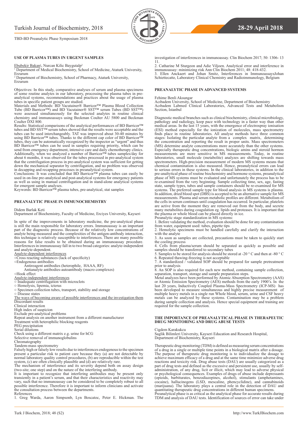

#### **USE OF PLASMA TUBES IN URGENT SAMPLES**

Ebubekir Bakan<sup>1</sup>, Nurcan Kilic Baygutalp<sup>2</sup>

<sup>1</sup> Department of Medical Biochemistry, School of Medicine, Ataturk University, Erzurum

2 Department of Biochemistry, School of Pharmacy, Ataturk University, Erzurum

Objectives: In this study, comparative analyses of serum and plasma specimens of some routine analytes in our laboratory, processing the plasma tubes in preanalytical systems, recommendations and practices about the usage of plasma tubes in specific patient groups are studied.

Materials and Methods: BD Vacutainer® Barricor™ Plasma Blood Collection Tube (BD Barricor™) and BD Vacutainer® SST™ serum Tubes (BD SST™) were assessed simultaneously for the selected analytes in routine clinical chemistry and immunoassays using Beckman Coulter AU 5800 and Beckman Coulter DXI 800.

Results: Statistical comparisons of the analytical performances of BD Barricor™ tubes and BD SST™ serum tubes showed that the results were acceptable and the tubes can be used interchangeably. TAT was improved about 30-40 minutes by using BD Barricor™ tubes. Thanks to the different cap color of BD Barricor<sup>™</sup> tubes, they can be automatically recognized by the inspector as "urgent" and thus BD Barricor™ tubes can be used in samples requiring priority, which can be send from emergency department, intensive care and daily chemotherapy clinics. Additionally, when we analyzed a number of Barricor™ tubes samples/day for about 6 months, it was observed for the tubes processed in pre-analytical system that the centrifugation process in pre-analytical system was sufficient for getting down the mechanical separator by centrifugation, and no problem was observed in decapping and recapping processes in preanalytical system.

Conclusions: It was concluded that BD Barricor™ plasma tubes can easily be used in on-line pre-analytical and post-analytical systems for emergency patients as well as using in manual centrifugation and in stand-alone analytical systems for emergent sample analyses.

Keywords: BD Barricor™ plasma tubes, pre-analytical, stat samples

#### **PREANALYTIC PHASE IN IMMUNOCHEMISTRY**

#### Didem Barlak Keti

Department of Biochemistry, Faculty of Medicine, Erciyes University, Kayseri

In spite of the improvements in laboratory medicine, the pre-analytical phase is still the main responsible for laboratory errors. Immunoassay is an important part of the diagnostic process. Because of the relatively low concentrations of analyte being measured and the complexities of the antigen-antibody interaction, this technique is relatively susceptible to interferences. There are many possible reasons for false results to be obtained during an immunoassay procedure. Interferences in immunoassay fall in to two broad categories: analyte-independent and analyte-dependent.

Analyte-dependent interferences

○Cross reacting substances (lack of specificity)

○Endogenous antibodies

 Antireagent antibodies (heterophile, HAAA, RF) Antianalyte antibodies-autoantibody (macro complexes)

○Hook effect

Analyte-independent interferences

○ Inadequate centrifugation with microclots

○ Hemolysis, lipemia, icterus ○ Specimen collection tubes, transport, stability and storage

○ Disease states

The ways of becoming aware of possible interferences and the investigation them Discordant results

Clinical interaction

High index of suspicion

Exclude pre-analytical problems

Repeat analysis on another instrument from a different manufacturer

Treatment with heterophilic blocking reagents

PEG precipitation Serial dilutions

Check using a different matrix e.g. urine for hCG

Selective removal of immunoglobulins

Chromatography

Tandem-mass spectrometry

Falsely high or falsely low results due to interferences endogenous to the specimen present a particular risk to patient care because they (a) are not detectable by normal laboratory quality control procedures, (b) are reproducible within the test system, (c) are often clinically plausible and (d) are relatively rare.

The mechanism of interference and its severity depend both on assay design (two-site; one step) and on the nature of the interfering antibody.

It is important to recognize that interfering antibodies may be present only transiently in a patient's serum, and that their characteristics and reactivity may vary, such that no immunoassay can be considered to be completely robust to all possible interference. Therefore it is important to inform clinicians and activate the consultation process between the departments. References

1. Greg Warda, Aaron Simpsonb, Lyn Boscatoc, Peter E. Hickman. The

investigation of interferences in immunoassay. Clin Biochem 2017; 50: 1306- 13 11.

2. Catharine M Sturgeon and Adie Viljoen. Analytical error and interference in immunoassay: minimizing risk Ann Clin Biochem 2011; 48: 418-432. 3. Ellen Anckaert and Johan Smitz, Interferences in ImmunoassaysJohan

Schiettecatte, Laboratory Clinical Chemistry and Radioimmunology, Belgium

#### **PREANALYTIC PHASE IN ADVANCED SYSTEMS**

#### Fehime Benli Aksungar

Acıbadem University, School of Medicine, Department of Biochemistry Acıbadem Labmed Clinical Laboratories, Advanced Tests and Metabolism Section, Istanbul

Diagnostic medical branches such as clinical biochemistry, clinical microbiology, pathology and radiology, keep pace with technology in a faster way than other medical areas. In the last 15 years, with the emergence of electrospray ionisation (ESI) method especially for the ionization of molecules, mass spectrometry finds place in routine laboratories. All analyse methods have three common stages: Isolating the particular analyte from a complex matrix, determining the concentration and reporting the result in proper units. Mass spectrometers (MS) determine analyte concentrations more accurately than the other systems. Especially therapeutic drug concentrations, biologic amins and steroid hormon measurements are more sensitive in MS measurements. Today, in routine laboratories, small molecule (metabolite) analyzes are shifting towards mass spectrometers. High-precision measurement of modern MS systems means that chemical contamination is also measured. Hence, preanalytical errors can lead to serious errors in these systems. In the clinical laboratories, in addition to the pre-analtytical phase of routine biochemistry and hormone systems, preanalytical phase of MS systems must be evaluated and unfortunately the process has to be re-examined from the very beginning. Sample collecting time, sex, age, fasting state, sample types, tubes and sample containers should be re-examined for MS systems. The preferred sample type for blood analysis in MS systems is plasma. In addition, dried blood spot (DBS) is accepted to be an alternative sample for MS measurements. Plasma and serum metabolic profiles are different. Metabolism of the cells in serum continues until coagulation has occurred. In particular, platelets are active from the moment they are removed out from the body, and secrete many metabolites during coagulation eg. lipids and proteases. It is important that the plazma or whole blood can be placed directly in ice. Preanalytic stage standardization in MS systems:

1. Before validating the method, evaluation should be done for any contamination from water, equipment used: tubes, pipette tips

2. Hemolytic specimens must be handled carefully and clarify the interaction with the analyte

3. As soon as samples are collected, precautions must be taken to quickly start the cooling process

4. Cells from plasma/serum should be separated as quickly as possible and samples should be transferred to secondary tubes

5. Samples to be stored for analysis should be stored at -20 ° C and then at -80 ° C 6. Repeated thawing-freezing is not acceptable

7. A standardized / validated SOP should be prepared for sample pretreatment prior to analysis

8. An SOP is also required for each new method, containing sample collection, separation, transport, storage and sample preparation steps.

Metal analyzes have been performed by Atomic Absorption Spectrometry (AAS) or Atomic Emission Spectrometry (AES) methods from the early 1900's. In the last 20 years, Inductively Coupled Plasma-Mass Spectrometry (ICP-MS) has been developed to measure simultaneous and highly precise measurement of multiple heavy metals in a single run Whole blood, serum, urine and CSF heavy metals can be analyzed by these systems. Contamination may be a problem during sample collection and analysis. Hence special equipment and training are required for the sample collection.

#### **THE IMPORTANCE OF PREANALYTICAL PHASE IN THERAPEUTIC DRUG MONITORING AND DRUG ABUSE TESTS**

Cigdem Karakukcu

Saglik Bilimleri University, Kayseri Education and Research Hospital, Department of Biochemistry, Kayseri

Therapeutic drug monitoring (TDM) is defined as measuring serum concentrations of a drug in a single or multiple time points in a biological matrix after a dosage. The purpose of therapeutic drug monitoring is to individualize the dosage to achieve maximum efficacy of a drug and at the same time minimize adverse drug reactions and toxicity risk. Drug abuse tests (DAU) are usually categorized as a part of drug tests and defined as the excessive and persistent use, usually by selfadministration, of any drug, licit or illicit, which may lead to adverse physical or psychological consequences. Examples of drugs of abuse include depressants (opioids, barbiturates, benzodiazepines, alcohol), stimulants (amphetamines, cocaine), hallucinogens (LSD, mescaline, phencyclidine), and cannabinoids (marijuana). The laboratory plays a central role in the detection of DAU and quantitating therapeutic drug concentrations in different human specimens.

Preanalytical phase is as critical as the analytical phase for accurate results during TDM and analysis of DAU tests. Identification of sources of error can take under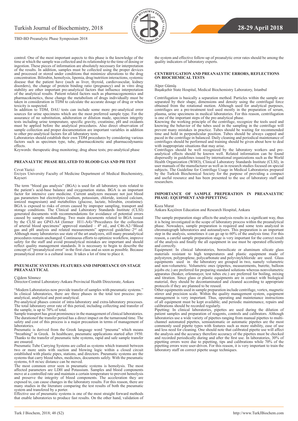

control. One of the most important aspects to this phase is the knowledge of the time at which the sample was collected and its relationship to the time of dosing or ingestion. These pieces of information are absolutely necessary for interpretation of the results. In addition, samples must be collected using the proper devices and processed or stored under conditions that minimize alterations to the drug concentration. Bilirubin, hemolysis, lipemia, drug/nutrition interactions, systemic disease that the patient have (such as liver, thyroid, cardiovascular, kidney disorders), the change of protein binding ratio (pregnancy) and in vitro drug stability are other important pre-analytical factors that influence interpretation of the analytical results. Patient related factors such as pharmacogenomics and pharmacokinetics, those change the metabolism of drugs individually must be taken in consideration in TDM to calculate the accurate dosage of drug or when

toxicity is suspected. In addition to TDM, DAU tests can include some more pre-analytical error sources for urine specimens which are the most preferred sample type. For the assurance of no substitution, adulteration or dilution made, specimen integrity tests including urine temperature, specific gravity, creatinine, pH and oxidants must be applied before the analytical procedures. Also direct observation of sample collection and proper documentation are important variables in addition to other pre-analytical factors for all laboratory tests.

Laboratories should establish their own TDM procedures by considering various factors such as specimen type, tube, pharmacokinetic and pharmacodynamic effects.

Keywords: therapeutic drug monitoring; drug abuse tests; pre-analytical phase

#### **PREANALYTIC PHASE RELATED TO BLOOD GAS AND PH TEST**

#### Cevat Yazici

Erciyes University Faculty of Medicine Department of Medical Biochemistry, Kayseri

The term "blood gas analysis" (BGA) is used for all laboratory tests related to the patient's acid-base balance and oxygenation status. BGA is an important factor for intensive care medicine. Current analyzers measure not just blood gas parameters but electrolytes (sodium, potassium, chloride, ionized calcium, ionized magnesium) and metabolites (glucose, lactate, bilirubin, creatinine). BGA is exposed to risks of errors caused by improper sampling, transport and storage conditions. The Clinical and Laboratory Standards Institute (CLSI) generated documents with recommendations for avoidance of potential errors caused by sample mishandling. Two main documents related to BGA issued by the CLSI are GP43-A4 (former H11-A4)-"Procedures for the collection of arterial blood specimens" approved standard – 4<sup>th</sup> ed., and C46-A2-"Blood gas and pH analysis and related measurements" approved guideline–2nd ed. Although many laboratories use state of the art analyzers, still many preanalytical procedures remain unchanged. Continuous efforts to optimize workflow, improve safety for the staff and avoid preanalytical mistakes are important and should reflect quality management standards. It is necessary to begin to describe the concept of "preanalytical error" in the first class and as soon as possible. Because preanalytical error is a cultural issue. It takes a lot of time to place it.

#### **PNEUMATIC SYSTEMS: FEATURES AND IMPORTANCE ON STAGE PREANALYTICAL**

#### Çiğdem Sönmez

Director-Central Laboratory-Ankara Provincial Health Directorate, Ankara

"Modern Laboratories now provide transfer of samples with pneumatic systems." In clinical laboratories, there are three phases in the total test process: preanalytical, analytical and post-analytical.

Pre-analytical phases consist of intra-laboratory and extra-laboratory processes. The total laboratory error rate of this period, including collecting and transfer of the sample, is up to 70% of total.

Sample transport has great prominence in the management of clinical laboratories. The durationof the transfer period has a direct impact on the turnaround time. The safety and cost of this process is a major precaution in terms of management of **laboratories** 

Pneumatic is derived from the Greek language word "pneuma" which means "breathing" in Greek. In healthcare, pneumatic applications started after 1950. Thanks to the transfer of pneumatic tube systems, rapid and safe sample transfer are ensured.

Pneumatic Tube Carrying Systems are called as systems which transmit between two or more units with suction and blowing logic within a closed circuit established with plastic pipes, stations, and directors. Pneumatic systems are the systems that carry blood tubes, medicines, documents safely. With the pneumatic systems, 6-8 m/sec distance can be moved.

The most common error seen in pneumatic systems is hemolysis. The most affected parameters are LDH and Potassium. Samples and blood components move at a controlled rate and maintain a certain temperature to prevent hemolysis and preserve the integrity of blood components. The acceleration they are exposed to, can cause changes in the laboratory results. For this reason, there are many studies in the literature comparing the test results of both the pneumatic system and transfered by a porter.

Effective use of pneumatic systems is one of the most straight forward methods that enable laboratories to produce fast results. On the other hand, validation of the system and effective follow-up of preanalytic error rates should be among the quality indicators of laboratory experts.

#### **CENTRIFUGATION AND PREANALYTIC ERRORS, REFLECTIONS ON BIOCHEMICAL TESTS**

#### Alper Gümüş

Başakşehir State Hospital, Medical Biochemistry Laboratory, Istanbul

Centrifugation is basically a separation method. Particles within the sample are separated by their shape, dimensions and density using the centrifugal force obtained from the rotational motion. Although used for analytical purposes, centrifuges are a pre-treatment tool used mostly in the preparation of serum, plasma, urine specimens in medical laboratories. For this reason, centrifugation is one of the important steps of the pre-analytical phase.

Knowing the working principle of the centrifuge, recognize the tools used and knowing the behavior of the tubes used in the sampling in the centrifuge will prevent many mistakes in practice. Tubes should be waiting for recommended time and hold in perpendicular position. Tubes should be always capped and paced in the centrifuge in balanced. Daily cleaning and periodical maintenance of centrifuges should be performed and training should be given about how to deal with inappropriate situations that may arise.

Centrifuges should be well recognized by the laboratory workers and preanalytical effects should be known well. Related information can be found dispersedly in guidelines issued by international organizations such as the World Health Organization (WHO), Clinical Laboratory Standards Institute (CLSI), in user manuals of the manufacturer as well as in research studies focused on special subjects. The Guideline for Centrifuge Usage in Medical Laboratories prepared by the Turkish Biochemical Society for the purpose of providing a compact and useful resource and has been presented to the use of laboratory staff and researchers.

#### **IMPORTANCE OF SAMPLE PREPERATION IN PREANALYTIC PHASE: EQUIPMENT AND PIPETTING**

Koza Murat

Ankara Keçiören Education and Research Hospital, Ankara

The sample preparation stage affects the analysis results in a significant way, thus it is being investigated in the scope of laboratory process within the preanalytical phase. Nowadays, sample preparation is required and some tests analyzed in chromatograph laboratories and autoanalysers. This preparation is an important step in the analysis, sometimes it can go up to 60% of the analysis time. For this reason, a careful sample preparation stage is very important for the correct result of the analysis and finally the all equipment in use must be operated efficiently and correctly.

Equipment: In clinical laboratories, borosilicate or aluminum silicate glass materials resistant to high temperatures and plastic equipment made of polystyren, polyproplene, polycarbonate and polyvinylchloride are used. Glass equipments used in the laboratory are grouped in two, namely volumetric and non-volumetric. Volumetric ones (pipettes, measurements, burette, balloon jojobs etc.) are preferred for preparing standard solutions whereas nonvolumetric apparatus (beaker, erlenmayer, test tubes etc.) are preferred for boiling, mixing and titration. Since glass or plastic equipments are in contact with biological material, they should be decontaminated and cleaned according to appropriate protocols if they are planned to be reused.

Other equipments used in sample preparation include centrifuge, vortex, magnetic<br>stirrer and precision scale. Within the quality management system, equipment<br>management is very important. Thus, operating and maintenance in of all equipment must be kept available; and periodic maintenance, repairs and calibrations should be recorded regularly.

Pipetting: In clinical laboratories, pipettes are used during the dilution of patient samples and preparation of reagents, controls and calibrators. Although laboratories use a wide variety of pipettes ranging from manual pipettes to multichannel automated pipettes, semiautomatic or automatic pipettes are the most commonly used pipette types with features such as more stability, ease of use and less need for cleaning. One should note that calibrated pipette use will affect the analysis and the accuracy therefore accuracy of the pipettes must be checked and recorded periodically during and after the first use. In laboratories, 30% of pipetting errors were due to pipetting, tips and calibrations while 70% of the pipetting errors were user-driven. For this reason, it is very important to train the laboratory staff on correct pipette usage techniques.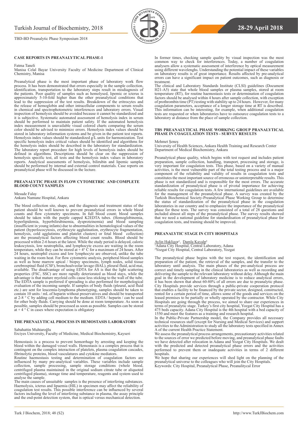

#### **CASE REPORTS IN PREANALYTICAL PHASE-1**

#### Fatma Taneli

Manisa Celal Bayar University Faculty of Medicine Department of Clinical Chemistry, Manisa

Preanalytical phase is the most important phase of laboratory work flow process. It has been demonstrated that errors especially in the sample collection, identification, transportation to the laboratory steps result in misdiagnosis of the patients. Poor quality of samples such as hemolysed, lipemic or icterus is approximately 5-10-fold higher than the other preanalytical conditions that lead to the suppression of the test results. Breakdown of the eritrocytes and the release of hemoglobin and other intracellular components to serum results in chemical and spectrophotometric interferences and laboratory errors. Visual in the model of hemolysis should be avoided because it cannot be standardized and it is subjective. Systematic automated assessment of hemolysis index in serum should be performed to maintain patient safety. If the automated hemolysis index measurement is unavailable visual colored charts comparing the serum color should be advised to minimize errors. Hemolysis index values should be stored in laboratory information systems and be given in the patient test reports. Hemolysis index values should be standardized g/L units for harmonization. Test specific hemolysis index critical values should be identified and algorithms for the hemolysis index should be described in the laboratory for standardization. The laboratory report procedure for high levels of hemolysis index should be defined in algorithms. Descriptions should be clear on the suppression of hemolysis specific test, all tests and the hemolysis index values in laboratory reports. Analytical assessments of hemolysis, bilirubin and lipemic samples should be performed by internal and external control materials. Case reports on preanalytical phase will be discussed in the lecture.

#### **PREANALYTIC PHASE IN FLOW CYTOMETRIC AND COMPLETE BLOOD COUNT SAMPLES**

Mesude Falay

Ankara Numune Hospital, Ankara

The blood collection site, shape, and the diagnosis and treatment status of the patient should be well known to prevent preanalytical errors in whole blood counts and flow cytometry specimens. In full blood count; blood samples should be taken with the purple capped K2EDTA tubes. (Hemoglobinemia, hyperlipidemia, hyperbilirubinemia, dysproteinemia) and blood sampling (insufficient in young infants) due to abnormalities in hematological values of the patient (hyperlococytosis, erythrocyte agglutination, erythrocyte fragmentation, hemolysis, cold agglutinins and platelet clusters) or fetal blood collection) are the preanalytical factors affecting blood count results. Blood should be processed within 2-6 hours at the latest. While the study period is delayed, caloric leukocytosis, low neutrophilia, and lymphocyte excess are waiting in the room temperature, while they can be stored at + 4° C for a maximum of 24 hours. After 24 hours, neutrophil excess and low lymphocyte are observed, unlike the tube waiting in the room heat. For flow cytometric analysis, peripheral blood samples as well as bone marrow apical / biopsy specimens, lymph nodes, solid tissue cerebrospinal fluid (CSF), bronchoalveolar lavage (BAL), pleural fluid, acid mai, available. The disadvantage of using EDTA for AS is that the light scattering properties (FSC, SSC) are more rapidly deteriorated as blood stays, while the advantage is that mature myeloid cells cause less sticking to the wall of the tube. The EDTA sample is preferred if spreading is also performed for morphological evaluation of the incoming sample. If samples of body fluids (pleural, acid fluid etc.) are sent for leucemia-lymphoma phenotyping, samples should be taken to contain 10 units / mL of heparin without preservatives and should be transported at 2-8 ° C by adding cell medium to the medium. EDTA / heparin / can be used for other body fluids. Carrying should be done at room temperature. As soon as possible, samples should be processed as soon as possible. Samples can be stored at  $+4$  ° C in cases where expectation is obligatory

#### **THE PRENALYTICAL PROCESS IN HEMOSTASIS LABORATORY**

Sabahattin Muhtaroğlu

Erciyes University, Faculty of Medicine, Medical Biochemistry, Kayseri

Hemostasis is a process to prevent hemorrhage by arresting and keeping the blood within the damaged vessel walls. Hemostasis is a complex process that is contingent on the complex interaction of platelets, plasma coagulation cascades, fibrinolytic proteins, blood vasculatures and cytokine mediators.

Routine haemostasis testing and determination of coagulation factors are influenced by many pre-analytical variables. These variables include sample collection, sample processing, sample storage conditions (whole blood, centrifuged plasma maintained in the original sodium citrate tube or aliquoted centrifuged plasma), storage time and temperature, reagents and system used to analyse the sample.

The main causes of unsuitable samples is the presence of interfering substances. Haemolysis, icterus and lipaemia (HIL) in specimen may affect the reliability of coagulation test results. This possible interference can be influenced by several factors including the level of interfering substance in plasma, the assay principle and the end-point detection system, that is optical versus mechanical detection.

In former times, checking sample quality by visual inspection was the most common way to check for interferences. Today, a number of coagulation analysers allow a systematic assessment of interference by optical measurement using different wavelenghs. Understanding the potential impact of these variables on laboratory results is of great importance. Results affected by pre-analytical errors can have a significant impact on patient outcomes, such as diagnosis or treatment.

The clinical and Laboratory Standards Institute (CLSI) guidelines (Document H21-A5) state that whole blood samples or plasma samples, stored at room temperature (RT), for routine haemostasis tests or determination of coagulation factors should be analysed within 4 hours after sample collection, with exception of prothrombin time (PT) testing with stability up to 24 hours. However, for many coagulation parameters, acceptance of a longer storage time at RT is described. This information can be interesting, for example, when additional coagulation tests are requested or when laboratories have to outsource coagulation tests to a laboratory at distance from the place of sample collection.

#### **TBS PREANALYTICAL PHASE WORKING GROUP PRANALYTICAL PHASE IN COAGULATION TESTS - SURVEY RESULTS**

#### Mehmet Şeneş

University of Health Sciences, Ankara Health Training and Research Center Department of Medical Biochemistry, Ankara

Preanalytical phase quality, which begins with test request and includes patient preparation, sample collection, handling, transport, processing and storage, is very important for coagulation tests. This phase, based on a variety of manual activities, is the most vulnerable part of the total testing process and is a major component of the reliability and validity of results in coagulation tests and constitutes the most important source of erroneous or uninterpretable results. This phase is not standardized and is responsible for the most errors. The accurate standardization of preanalytical phase is of pivotal importance for achieving reliable results for coagulation tests. A few international guidelines are available for the management of the preanalytical phase. A survey was created by the Turkish Biochemical Society-Preanalytical Phase Working Group to determine the status of standardization of the preanalytical phase in the coagulation laboratories in our country and to emphasize the importance of the preanalytical phase for these tests. The survey was consisted of a total of 28 questions and included almost all steps of the preanalytical phase. The survey results showed that we need a national guideline for standardisation of preanalytical phase for coagulation tests, and training should be improved.

#### **PREANALYTIC STAGE IN CITY HOSPITALS**

Aylin Hakligor<sup>1</sup>, <u>Damla Kayalp</u>²<br><sup>1</sup>Adana City Hospital, Central Laboratory, Adana 2 Yozgat City Hospital, Central Laboratory, Yozgat

The preanalytical phase begins with the test request, the identification and preparation of the patient, the retrieval of the samples, and the transfer to the laboratory until analysis. The main phases of the pre-analytical process are correct and timely sampling in the clinical laboratories as well as recording and delivering the sample to the relevant laboratory without delay. Although the main goal in the development of laboratory medicine is to reduce analytical errors, it has been shown that about 60-80% of all errors are due to preanalytic phase. City Hospitals provide services through a public-private cooperation protocol that enables a facility to be financed by the private sector, designed, constructed, rented for a certain period of time, allows some of the goods and services on the leased premises to be partially or wholly operated by t Hospitals are going through the process, we aimed to share our experiences in terms of preanalytic stage. Turkey's first city hospital, Yozgat City Hospital has a 475 beds capacity. Adana City Hospital is the 4th hospital with a bed capacity of 1550 and meet the features as a training and research hospital.

In the Public-Private Partnership model, the Company provides all necessary technical resources staff (except for Nursing and Medical Services) and support activities to the Administration to study all the laboratory tests specified in Annex A of the current Health Practice Statement.

We assess the preanalytical process arrangements, precautionary activities related to the sources of error we predicted before moving, and preanalytical phase faults we have detected after relocation in Adana and Yozgat City Hospitals. We dealt with the predicted and detected preanalytical phase errors and the activities performed to prevent them or inadequate activities in terms of 2 different hospitals.

We hope that sharing our experiences will shed light on the planning of the preanalytical universe to the colleagues who will join the City Hospitals. Keywords: City Hospital, Preanalytical Phase, Preanalitycal Error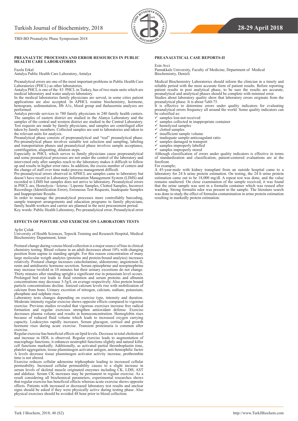

#### **PREANALYTIC PROCESSES AND ERROR RESOURCES IN PUBLIC HEALTH CARE LABORATORIES**

Fazıla Erkal

Antalya Public Health Care Laboratory, Antalya

Preanalytical errors are one of the most important problems in Public Health Care Laboratories (PHCL) as other laboratories.

Antalya PHCL is one of the 83 PHCL in Turkey, has of two main units which are medical laboratory and water analysis laboratory.

In the medical laboratories family physicians are served, in some cities patient applications are also accepted. In APHCL routine biochemistry, hormone, hemogram, sedimentation, Hb A1c, blood group and thalassemia analyzes are performed.

Antalya provide services to 780 family physicians in 240 family health centers. The samples of eastern district are studied in the Alanya Laboratory and the samples of the central and western district are studied in the Central Laboratory. Test requests are made by family physicians, and samples are centrifuged after taken by family members. Collected samples are sent to laboratories and taken to the relevant units for analysis.

Preanalytical phase consists of prepreanalytical and "real" preanalytical phase. Pre-preanalytical phase involves suitable test selection and sampling, labeling and transportation phases and preanalytical phase involves sample acceptance, centrifugation, aliquotting, dilution steps.

Especially in PHCL which serves to family physicians cause prepreanalytical and some preanalytical processes are not under the control of the laboratory and intervened only after samples reach to the laboratory makes it difficult to follow up and results in higher error rates. In addition, the excess number of centers and the change of staff over time make process management difficult.

Pre-preanalytical errors observed in APHCL are samples came to laboratory but doesn't have record in Laboratory Information Management System (LIMS) and recorded to LIMS but samples does not arrive to laboratory. Preanalytical errors in PHCL are, Hemolysis / Icterus / Lipemic Samples, Clotted Samples, Incorrect Recordings (Identification Error), Erroneous Test Requests, Inadequate Samples and Inappropriate Results.

In order to manage the preanalytical processes more controllably barcoding, sample transport arrangements and education programs to family physicians, family health workers and carrier are planned in the next procurement period. Key words: Public Health Laboratory, Pre-preanalytical error, Preanalytical error

#### **EFFECTS OF POSTURE AND EXERCISE ON LABORATORY TESTS**

Ayfer Çolak

University of Health Sciences, Tepecik Training and Research Hospital, Medical Biochemistry Department, Izmir

Postural change during venous blood collection is a major source of bias in clinical chemistry testing. Blood volume in an adult decreases about 10% with changing position from supine to standing upright. For this reason concentration of many large molecular weigth analytes (proteins and protein-bound analytes) increases relatively. Postural change increases catecholamine, aldosterone, angiotensin II, renin and antidiuretic hormone secretion. Serum epinephrine and norepinephrine may increase twofold in 10 minutes but their urinary excretions do not change. Thirty minutes after standing upright a significant rise in potassium level occurs. Prolonged bed rest leads to fluid retention and serum proteins and albumin concentrations may decrease 3-5g/L on average respectively. Also protein bound particle concentrations decline. Ionized calcium levels rise with mobilization of calcium from bone. Urinary excretion of nitrogen, calcium, sodium, potassium, phosphate and sulphate rises.

Laboratory tests changes depending on exercise type, intensity and duration. Moderate intensity regular exercise shows opposite effects compared to vigorous exercise. Previous studies revealed that vigorous exercises increase free radical formation and regular exercises strengthen antioxidant defense. Exercise decreases plasma volume and results in hemoconcentration. Hemoglobin rises because of reduced fluid volume which leads to increased oxygen carrying capacity. Leukocytes rapidly increases. Serum glucagon, cortisol and growth hormone rises during acute exercise. Transient proteinuria is common after exercise.

Regular exercise has beneficial effects on lipid levels. Decrease in total cholesterol and increase in HDL is observed. Regular exercise leads to augmentation of macrophage functions, it enhances neutrophil functions slightly and natural killer cell functions markedly. Additionally, as activated partial thromboplastin time, platelet aggregation, tissue plasminogen activator antigen, anti-hemophilic factor A levels decrease tissue plasminogen activator activity increase, prothrombin time is not altered.

Exercise reduces cellular adenosine triphosphate leading to increased cellular permeability. Increased cellular permeability causes to a slight increase in serum levels of skeletal muscle originated enzymes including CK, LDH, AST and aldolase. Serum CK increases may be permanent in regular exercise. As a result considering all biochemical parameters, experimental researches shows that regular exercise has beneficial effects whereas acute exercise shows opposite effects. Patients with increased or decreased laboratory test results and unclear signs should be asked if they were physically active during testing phase. Also physical exercises should be avoided 48 hour prior to blood collection.

#### **PREANALYTICAL CASE REPORTS-II**

Esin Avci

Pamukkale University, Faculty of Medicine, Department of Medical Biochemistry, Denizli

Medical Biochemistry Laboratories should inform the clinician in a timely and reliable period with the most accurate form of patient results. Before reporting patient results in post analytical phase, to be sure the results are accurate, preanalytical and analytical phases should be complete with minimal error. Studies about laboratory quality show that laboratory errors originate from the

preanalytical phase. It is about %60-75. It is effective to determine errors under quality indicators for evaluating preanalytical errors frequency all around the world. Some quality indicators can

- be calssified as:<br> $\checkmark$  samples lost samples lost-not received
- $\checkmark$  samples collected in inappropriate container
- $\checkmark$  hemolyzed samples<br> $\checkmark$  clotted samples
- $\checkmark$  clotted samples
- $\checkmark$  insufficient sample volume
- $\checkmark$  inadequate sample-anticoagulant ratio  $\checkmark$  samples damaged in transport
- $\checkmark$  samples damaged in transport  $\checkmark$  samples improperly labelled
- samples improperly stored

Although classification of errors under quality indicators is effective in terms of standardization and classification, patient-centered evaluations are at the forefront.

#### For example;

A 45‑year‑male with kidney transplant from an outside hospital came to a laboratory for 24 h urine protein estimation. On testing, the 24 h urine protein estimation came out to be 18,000 mg/dl. A repeat test was done, and the value remains unaltered. On close examination of the sample received, it was found that the urine sample was sent in a formalin container which was reused after washing. Strong formalin odor was present in the sample. The literature search was done to study the effect of formalin contamination in urine protein estimation resulting in markedly protein estimation.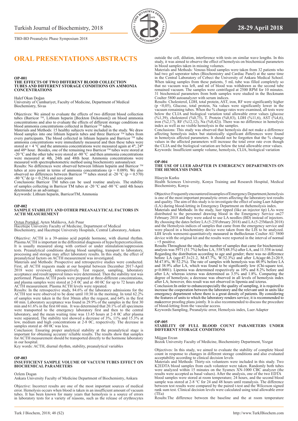

## <span id="page-14-0"></span>**ORAL PRESENTATIONS ABSTRACTS**

#### **OP-001**

#### **THE EFFECTS OF TWO DIFFERENT BLOOD COLLECTION TUBES AND DIFFERENT STORAGE CONDITIONS ON AMMONIA CONCENTRATIONS**

Halef Okan Doğan

University of Cumhuriyet, Faculty of Medicine, Department of Medical Biochemistry, Sivas

Objectives: We aimed to evaluate the effects of two different blood collection tubes (Barricor ™, Lithium heparin [Beckton Dickenson]) on blood ammonia concentrations and also to evaluate the effects of different storage conditions on blood ammonia concentrations collected in Barricor ™ tubes.

Materials and Methods: 15 healthy subjects were included in the study. We draw blood samples into one lithium heparin tubes and three Barricor  $TM$  tubes from every participants. The blood collected in lithium heparin and Barricor ™ tube ammonia concentrations were immediately measured and then these tubes were stored at  $+ 4 \degree C$  and the ammonia concentrations were measured again at  $4<sup>th</sup>$ ,  $24<sup>th</sup>$ and 48<sup>th</sup> hour. Besides, one of the remaining two Barricor<sup>™</sup> tubes were stored at -20  $\degree$ C and the other tube were stored at -80  $\degree$ C and then ammonia concentrations were measured at 4th, 24th and 48th hour. Ammonia concentrations were measured with spectrophotometric method using biochemistry autoanalyser.

Results: No differences were observed between lithium heparin and Barricor ™ tubes at zero point in terms of ammonia concentrations  $(p = 0.089)$ . We also observed no differences between Barricor  $^{TM}$  tubes stored at -20  $^{\circ}$ C (p = 0.570)  $-80$  °C'de (p = 0.256) and zero point

Conclusions: Barricor TM tubes can be used routine analysis. The stability of samples collecting in Barricor TM tubes at -20 °C and -80 °C until 4th hours determined as an advantage.

Keywords: Lithium heparin, BarricorTM, Ammonia

#### **OP-002 SAMPLE STABILITY AND OTHER PREANALYTICAL FACTORS IN ACTH MEASUREMENT**

Oytun Portakal, Ayten Malikova, Aslı Pınar

Hacettepe University Faculty of Medicine, Department of Medical Biochemistry, and Hacettepe University Hospitals, Central Laboratory, Ankara

Objective: ACTH is a 39-amino acid peptide hormone, with diurnal rhythm. Plasma ACTH is important in the differential diagnosis of hypo/hypercorticolism. It is usually measured along with cortisol or under stimulation/suppression tests. Preanalytical conditions during blood sampling, transport to laboratory, processing and storage may affect laboratory results. In this study, the effect of preanalytical factors on ACTH measurement was investigated.

Materials and Methods: Prospective and retrospective studies were conducted. First, all ACTH requests made at our hospital between December 2017-April 2018 were reviewed, retrospectively. Test request, sampling, laboratory acceptance and result/approval times were determined. Then the stability test was performed. Plasma ACTH pools were prepared at three-different concentrations, and plasma samples were stored at 2-8 0C and at -80 0C for up to 72 hours after ACTH measurement. Plasma ACTH levels were repeated.

Results: In the retrospective study, 84.6% of the laboratory admissions for the ACTH test were observed to be done until 10:30 in the morning. In total 62.2% of samples were taken in the first 30min after the request, and 64% in the first 60 min. Laboratory acceptance was found in 29.9% of the samples in the first 30 min and 61.6% in the first 60 min. It was determined that 20.1% of all specimens were transported to the emergency laboratory first and then to the central laboratory, and the mean waiting time was 13.45 hours at 2-8 0C after plasma were separated, The stability test showed a decrease of 3%, 11% and 15.3% at low, medium and high concentrations at 2-8 0C, respectively. The decrease in samples stored at -80 0C was less.

Conclusion: Ensuring proper analytical stability at the preanalytical stage is important for obtaining accurate/ reliable results. The results show that samples for ACTH measurement should be transported directly to the hormone laboratory in our hospital.

Key words: ACTH, diurnal rhythm, stability, preanalytical variables

#### **OP-003 INSUFFICIENT SAMPLE VOLUME OF VACUUM TUBES EFFECT ON BIOCHEMICAL PARAMETERS**

#### Ozlem Dogan

Ankara University Faculty of Medicine Department of Biochemistry, Ankara

Objective: Incorrect results are one of the most important sources of medical error. Hemolysis occurs when blood is taken in an insufficient amount of vacuum tubes. It has been known for many years that hemolysis is a source of errors in laboratory tests for a variety of reasons, such as the release of erythrocytes

outside the cell, dilution, interference with tests on similar wave lengths. In this study, it was aimed to observe the effect of hemolysis on biochemical parameters in blood samples taken in missing volumes.

Materials and Methods: Venous blood samples were taken from 32 patients who had two gel seperator tubes (Biochemistry and Cardiac Panel) at the same time in the Central Laboratory of Cebeci the University of Ankara Medical School. When taking samples from these patients, 5 mL tube was filled completely so that no vacuum was left, and ml of blood was withdrawn as the second tube remained vacuum. The samples were centrifuged at 2500 RPM for 10 minutes. 31 biochemical parameters from both samples were studied in the Beckmann Coulter 5800 autoanalyzer with serum indices.

Results: Cholesterol, LDH, total protein, AST, iron, RF were significantly higher  $(p \le 0.05)$ , Glucose, total protein, Na values were significantly lower in the vacuum remaining tubes. When the % change rates were examined, all tests were below the CLIA and biological variation total allowable error values (glucose (%1,39), cholesterol (%0,75), T. Protein (%0,83), LDH (%11,6), AST (%4,6), iron (%2,17), RF (%12,12), Na (%0,42)). There was no difference in hemolysis index as well as no visible hemolysis in the samples.

Conclusions: This study was observed that hemolysis did not make a difference affecting hemolysis index but statistically significant differences were found in hemolysis affected parameters. It should not be forgotten that the % change values in the affected parameters will increase the total error rate even though the CLIA and the biological variation are below the total allowable error values. Keywords: Insufficient sample volume, hemolysis, CLIA, biological variation

#### **OP-004**

#### **THE USE OF LUER ADAPTER IN EMERGENCY DEPARTMENTS ON THE HEMOLYSIS INDEX**

#### Hüseyin Kurku

Health Sciences University, Konya Training and Research Hospital, Medical Biochemistry, Konya

Objective:Frequently encountered insamples of Emergency Department,hemolysis is one of the most important preanalytic errors affecting the laboratory test results and quality. The aim of this study is to investigate the effect of using Luer Adapter (LA) during blood-letting in Emergency Department on thehemolysis index.

Materials and Methods: In the study, luer tipped (like an injector tip) LAs were distributed to the personnel drawing blood in the Emergency Service on27 February 2018 and they were asked to use LA needles (BD) instead of injectors. By choosing the dates before LA (5-25February 2018) and LA (5-25March 2018) and the Hemolysis indices of samples that came from the emergency service and were placed in a biochemistry device were taken from the LIS to be analyzed. LIH levels weresemi-quantitatively measured in theBeckman Coulter AU 5800 device with the original kit and the results were reported in the interval of normal - +5 positive.

Results:Throughout the study; the number of samples that came for biochemistry analysis was 5971 (51.7%) before LA, 5587(48.3%) after LA, and 11.558 in total. Regarding the distribution according to age and gender; there was no difference before LA (age:47.3±21.2, M:47.7%, W:52.3%) and after LA(age:46.2±20.9, M:47.8%, W:52.2%). The rate of samples with hemolysis was 48.9% before LA and 38.9% after LA, which was found to be significantly low (Chi-square test, p<0.0001). Lipemia was determined respectively as 10% and 8.2% before and after LA; whereas icterus was determined as 3.5% and 1.8%. Comparing the degree of hemolysis; a decrease was observed in all levels of hemolysis index after LA; however, this result was not observed in lipemia and icterus.

Conclusion:In order to enhanceespecially the quality of sampling, it is required to increase the cooperation between the laboratory and the relevant unit in units like emergency department where there is a great density of patients. By considering the features of units to which the laboratory renders service; it is recommended to makeerror proofing plans jointly. It is also recommended to discuss the procedure of blood-letting from the vascular access.

Keywords:Sampling, Preanalytic error, Hemolysis index, Luer Adapter

#### **OP-005**

#### **STABILITY OF FULL BLOOD COUNT PARAMETERS UNDER DIFFERENT STORAGE CONDITIONS**

#### Müjgan Ercan

Bozok University Faculty of Medicine, Biochemistry Department, Yozgat

Objectives: In this study, we aimed to evaluate the stability of complete blood count in response to changes in different storage conditions and also evaluated acceptability according to clinical decision levels

Materials and Methods: Thirty-six volunteers were included in this study. Two K2EDTA blood samples from each volunteer were taken. Randomly both tubes were analyzed within 15 minutes on the Sysmex XN-1000 CBC analyzer (the results were accepted as basal values). After the analysis, one of the two EDTA blood samples were stored at room temperature; 24 hours, and the second blood

sample was stored at 2-8 °C for 24 and 48 hours until reanalysis. The difference between test results were compared by the paired t-test and the Wilcoxon signed rank sum test. Clinical decision levels were calculated using total allowable error (TEa)

Results:The difference between the baseline and the at room temperature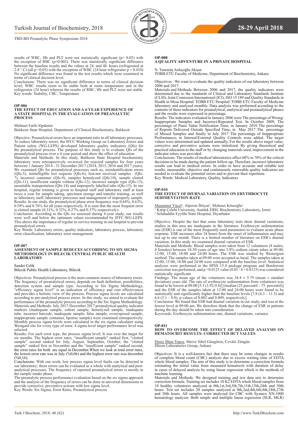

results of WBC, Hb and PLT were not statistically significant (p> 0.05) with the exception of RBC (p=0.002). There was statistically significant difference between the baseline results and the values at 24. and 48. hours (refrigerated at 2-8 ° C) (all p <0,05) with the exception of WBC (24 hour refrigerator  $\bar{p} = 0.410$ ) No significant difference was found in the test results which were examined in terms of clinical decision level.

Conclusions: There was no significant difference in terms of clinical decision level; WBC results seem to be stable both at room temperature and in the refrigerator (24 hour) whereas the results of RBC, Hb and PLT were not stable. Key words: Stability, CBC, Temperature

#### **OP-006**

#### **THE EFFECT OF EDUCATION AND A 4-YEAR EXPERIENCE OF A STATE HOSPITAL IN THE EVALUATION OF PREANALYTIC PROCESS**

Mehmet Fatih Alpdemir

Balıkesir State Hospital, Department of Clinical Biochemistry, Balıkesir

Objective: Preanalytical errors have an important ratio in all laboratory processes. To reduce laboratory errors, the IFCC Working Group on Laboratory Errors and Patient safety (WG-LEPS) developed laboratory quality indicators (QIs) for the preanalytical process. The purpose of this study is to evaluate QIs of the preanalytical process over a 4-year period and show the effect of education. Materials and Methods: In this study, Balikesir State Hospital biochemistry laboratory were retrospectively reviewed for rejected samples for four years between 1 January 2014 - 31 December 2017 (2014, 2015, 2016 and 2017 years). We examined QIs for preanalytical processes such as; misidentification errors (QIs-5), inintelligible test requests (QIs-6), lost-not received samples (QIs-7), incorrect container (QIs-9), samples hemolyzed (QIs-10), sample clotted (QIs-11), insufficient sample volüme (QIs-12), incorrect sample type (QIs-13), unsuitable transportation (QIs-14) and improperly labelled tube (QIs-15). In our hospital, regular training is given to hospital staff and laboratory staff at least twice a year for sample taking, specimen storage and transfer training, as well as laboratory staff, laboratory processes and management of improperly sample. Results: In our study, the preanalytical phase error frequency was 0.64%, 0.63%, 0.58% and 0.76% for all years respectively. It is seen that the most frequent error is clotted sample (0.31%, 0.32%, 0.27% and 0.37% respectively).

Conclusion: According to the QIs we assessed during 4-year study, our results were well and below the optimum values recommended by IFFC-WG-LEPS. This shows the importance of regular in-service training in our hospital to prevent preanalytical errors.

Key Words: Laboratory errors, quality indicators, laboratory process, laboratory error classification, laboratory error management

#### **OP-007**

#### **ASSESMENT OF SAMPLE REDUCES ACCORDING TO SIX SIGMA METHODOLOGY IN BILECIK CENTRAL PUBLIC HEALTH LABORATORY**

Saadet Celik

Bilecik Public Health Laboratory, Bilecik

Objectives: Preanalytical process is the most common source of laboratory errors. The frequency of preanalytical errors; depends on fault definition, possibilities, detection system and sample type. According to Six Sigma Methodology, "efficiency sigma level" is an indication of efficiency and cost effectiveness<br>and provides a holistic view of the process. Process sigma levels are calculated<br>according to pre-analytical process errors. In this study, we performance of the preanalytic process according to the Six Sigma Methodology. Materials and Methods: July 2017-December 2017 preanalytical quality indicator markers (inadequate sample, cohort sample, hemolyzed sample, inadequate tube, incorrect barcode, inadequate sample, false sample, overexposed sample, inappropriate sample container, lipemic sample) were examined retrospectively. Monthly process sigma levels were calculated in the six sigma calculator using Westgard site for every type of error. 4 sigma level target performance level was selected.

Results: For each error type, the process sigma level; It was over the target for six months. The highest error rates; "insufficient sample" ranked first, "clotted sample" second ranked for July, August, September, October; the "clotted sample" ranked first in November and the "insuffcient sample" ranked second, the error rates for both are equal in December.When we look at total error rates, the lowest error rate was in July (%0,06) and the highest error rate was december  $(*60,16).$ 

Conclusions: With our work, low process sigma level faults can be detected in our laboratory; these errors can be evaluated as a whole with analytical and postanalytical processes. The frequency of reported preanalytical errors is mostly in the sample intake phase.

The preanalytic process performance evaluation based on the six sigma approach and the analysis of the frequency of errors can be done in universal dimensions to provide corrective, preventive actions with low sigma level. Key Words: Six Sigma, Error Rates, Preanalytical process

#### **OP-008**

#### **A QUALITY ADVENTURE IN A PRIVATE HOSPITAL**

N. Yasemin Ardıçoğlu Akışın

TOBB ETÜ Faculty of Medicine, Department of Biochemistry, Ankara

Objectives : We want to evaluate the quality indicators of our laboratory between 2006 and 2017.

Materials and Methods: Between 2006 and 2017, the quality indicators were determined due to the standards of Clinical and Laboratory Standards Institute (CLSI), Joint Comission International (JCI), ISO 15 189 and Quality Standards in Health in Mesa Hospital/ TOBB ETU Hospital/ TOBB ETU Faculty of Medicine laboratory and analysed monthly. Data analysis was performed according to the contents of these indicators for preanalytical, analytical and postanalytical phases and the results were expressed in percentage.

Results: The indicators evaluated in January 2006 were The percentage of Wrong/ Inappropriate Samples and Incorrect/Repeated Test. In October 2009, The percentage of Panic Value Notification Time, in January 2010 The percentage of Reports Delivered Outside Specified Time, in May 2017 The percentage of Missed Samples and finally in July 2017 The percentage of Inappropriate Performances in Internal/External Quality Controls were added. The target values were determined and updated annually. For the results above target value, corrective and preventive actions were initialized. By giving theoretical and practical education to the staff or by changing materials used, improvement in the indicator ratios was provided.

Conclusions: The results of medical laboratories affect 60% to 70% of the critical decisions to be made during the patient follow-up. Therefore, incorrect laboratory results can lead to medical errors. In order to have accurate and reliable test results, measurable, objective and continuously renewable quality indicators are needed to evaluate the potential errors and to prevent their repetition. Key Words: Medical Laboratory, Quality, Indicators

#### **OP-010**

#### **THE EFFECT OF DIURNAL VARIATION ON ERYTHROCYTE SEDIMENTATION RATE**

<u>Muammer Yücel</u>', Alperen İhtiyar<sup>2</sup>, Mehmet Köseoğlu'<br><sup>1</sup> Katip Çelebi University, Atatürk ERH, Biochemistry Laboratory, İzmir<br><sup>2</sup> Selahaddin Eyyübi State Hospital, Diyarbakır

Objective: Despite the fact that some laboratory tests show diurnal variations, studies in this area are inadequate in the literature. Erythrocyte sedimentation rate (ESR) is one of the most frequently used parameters to evaluate acute phase response. ESR increases after 24 hours from the onset of inflammation and may last up to one month. There is a limited number of literature on ESR's diurnal variation. In this study we examined diurnal variation of ESR.

Materials and Methods: Blood samples were taken from 12 volunteers (8 males, 4 females) between 18-50 years of age into 3.8% sodium citrate tubes at 09:00, 12:00, 15:00, 18:00 and 24:00 hours. The ESR was studied by Westergren method. The samples taken at 09:00 were accepted as basal. The samples taken at 12:00, 15:00, 18:00 and 24:00 were compared with the baseline level. Statistical analyzes were performed in the SPSS 15.0 package program and Bonferroni correction was performed, and  $p \le 0.0125$  value (0.05  $\sqrt{4} = 0.0125$ ) was considered statistically significant.

Findings: The mean age of the volunteers was  $34.4 \pm 5.79$  (mean  $\pm$  standart deviation) years old. The rate of erythrocyte sedimentation from volunteers was found to be lowest at 09:00 [5.5 (3.92-9.8)] [median (25.percentil – 75. percentil)] and the ESR of the samples taken at 12:00 and 24:00 hours were found to be statistically and significantly higher than the baseline levels  $[7.8 (4.3 – 11.5)$  and 6.6 (5.1 – 8.8); p values of 0.002 and 0.009, respectively].

Conclusion: We found that ESR had diurnal variation in our study, and was at the lowest level at 09:00 am. We therefore think that the change of ESR in patients during the day should be taken into consideration.

Keywords: Erythrocyte sedimentation rate, diurnal variations, variance

#### **OP-011**

#### **HOW TO OVERCOME THE EFFECT OF DELAYED ANALYSIS ON HEMATOCRIT RESULTS: CORRECTED HCT VALUES**

Deniz İlhan Topcu, Merve Sibel Güngören, Cevdet Züngün Düzen Laboratories Group, Ankara

Objectives: It is a well-known fact that there may be some changes in results of complete blood count (CBC) analysis due to excess waiting time of EDTA whole blood samples. The aim of this study is to determine a correction formula estimating the initial value from measured hematocrit with duration of delay in cases of delayed analysis by using linear regression which is the methods of machine learning.

Materials and Methods: We designed training and test data sets to determine correction formula. Training set includes 10 K2 EDTA whole blood samples from 10 healthy volunteers analyzed at 0th,1st,3rd,5th,7th,11th,15th,24th and 30th hours. Test set includes 20 samples analyzed at 0th,2nd,4th,6th,8th,24th,27th and 30th hours. All samples were analyzed for CBC with Sysmex XN-1000 hematology analyzer. Both simple and multiple linear regression (SLR, MLR)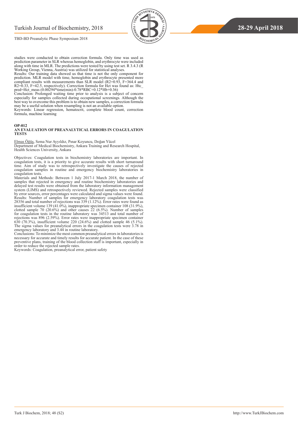



studies were conducted to obtain correction formula. Only time was used as prediction parameter in SLR whereas hemoglobin, and erythrocyte were included along with time in MLR. The predictions were tested by using test set. R 3.4.3 (R Working Group, Vienna, Austria) was utilized for statistical analyses.

Results: Our training data showed us that time is not the only component for prediction. MLR model with time, hemoglobin and erythrocyte presented more compliant results with measurements than SLR model (R2=0.93, F=364.4 and R2=0.33, F=42.5, respectively). Correction formula for Hct was found as: Htc\_ pred=Hct\_meas  $(0.00294*time(min)-0.78*RBC+0.12*Hb+0.36)$ 

Conclusion: Prolonged waiting time prior to analysis is a subject of concern especially for samples collected during occupational screenings. Although the best way to overcome this problem is to obtain new samples, a correction formula may be a useful solution when resampling is not an available option.

Keywords: Linear regression, hematocrit, complete blood count, correction formula, machine learning

#### **OP-012**

#### **AN EVALUATION OF PREANALYTICAL ERRORS IN COAGULATION TESTS**

Elmas Öğüş, Sema Nur Ayyıldız, Pınar Koyuncu, Doğan Yücel Department of Medical Biochemistry, Ankara Training and Research Hospital, Health Sciences University, Ankara

Objectives: Coagulation tests in biochemistry laboratories are important. In coagulation tests, it is a priority to give accurate results with short turnaround time. Aim of study was to retrospectively investigate the causes of rejected coagulation samples in routine and emergency biochemistry laboratories in coagulation tests.

Materials and Methods: Between 1 July 2017-1 March 2018, the number of samples that rejected in emergency and routine biochemistry laboratories and delayed test results were obtained from the laboratory information management system (LIMS) and retrospectively reviewed. Rejected samples were classified by error sources, error percentages were calculated and sigma values were found. Results: Number of samples for emergency laboratory coagulation tests was 28356 and total number of rejections was 339 (1.12%). Error rates were found as insufficient volume 139 (41.0%), inappropriate specimen container 108 (31.9%), clotted sample 70 (20.6%) and other causes 22 (6.5%). Number of samples for coagulation tests in the routine laboratory was 34513 and total number of rejections was 896 (2.59%). Error rates were inappropriate specimen container 630 (70.3%), insufficient volume 220 (24.6%) and clotted sample 46 (5.1%). The sigma values for preanalytical errors in the coagulation tests were 3.78 in emergency laboratory and 3.44 in routine laboratory.

Conclusions: To minimize the most common preanalytical errors in laboratories is necessary for accurate and timely results for accurate patient. In the case of these preventive plans, training of the blood collection staff is important, especially in order to reduce the rejected sample rates.

Keywords: Coagulation, preanalytical error, patient safety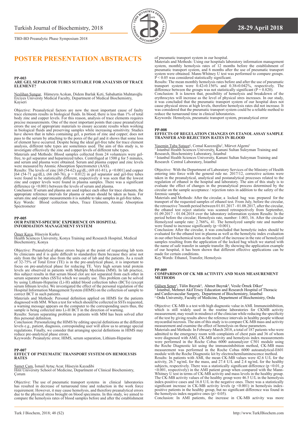

## <span id="page-17-0"></span>**POSTER PRESENTATION ABSTRACTS**

#### **PP-003 ARE GEL SEPARATOR TUBES SUITABLE FOR ANALYSIS OF TRACE ELEMENT?**

Neslihan Sungur, Hümeyra Acıkan, Didem Barlak Keti, Sabahattin Muhtaroğlu Erciyes Universty Medical Faculty, Department of Medical Biochemistry, Kayseri

Objective: Preanalytical factors are now the most important cause of faulty trace elements results in biological fluids. In blood, there is less than 1% of total body zinc and copper levels. For this reason, analysis of trace elements requires precise measurements. One of the most important points that cause preanalytical errors the use of appropriate materials to ensure accurate results when working in biological fluids and preserving samples while increasing sensitivity. Studies have shown that in tubes containing gel, a portion of zinc and copper; does not pass to the serum by attaching to the pores of the gel and it shows that some loss of element have occurred. Despite being the ideal gel-free tube for trace element analysis, different tube types are sometimes used. The aim of this study is, to investigate effectively the zinc and copper levels of different tube types.

Materials and Methods: Blood samples collected from 24 volunteers were gelfree, to gel separator and heparinized tubes. Centrifuged at 1500 g for 5 minutes, and serum and plasma were obtained. Serum and plasma copper and zinc levels were measured by Atomic Absorption Spectrometer (AAS).

Results: The levels of zinc [60 (54-62)  $\mu$ g/dL; (69 (61-81), p <0.001] and copper [64 (54-71  $\mu$ g/dL), (66 (60-76), p = 0.012] in gel separator and gel-free tubes were found to be statistically different, respectively it was seen that the lowest zinc and copper levels were found in plasma samples. There was a significant difference  $(p<0.001)$  between the levels of serum and plasma.

Conclusion: If serum and plasma are used replace each other for trace elements, the appropriate reference intervals for plasma or serum should be taken as basis. For serum zinc and copper measurements it is suitable to take samples in gel-free tubes. Key Words: Blood collection tubes, Trace Elements, Atomic Absorption Spectrometer

#### **PP-005 OUR PATIENT-SPECIFIC EXPERIENCE ON HOSPITAL INFORMATION MANAGEMENT SYSTEM**

Ömer Kaya, Hüseyin Kurku

Health Sciences University, Konya Training and Research Hospital, Medical Biochemistry, Konya

Objective: Preanalytical phase errors begin at the point of requesting lab tests by clinicians and it is quite difficult to standardize them because they arise not only from the lab but also from the units out of lab and the patients. As a result of 32-75% of Total Error (TE) is in the pre-analytical phase, it is important to focus on pre-analytical phase for reducing TE. Very high serum total protein levels are observed in patients with Multiple Myeloma (MM). In lab practice, this subject results in that serum blood clot are not separated from each other in serum separator tubes (SSTs) which we usually use. This problem can be solved by using Lithium-Heparine (Li-H) added blood collection tubes (BCTs) (except serum lithium levels). We investigated the effect of the personal regulation of the Hospital Information Management System (HIMS) on the collection of sample to correct BCT in such patients.

Materials and Methods: Personal definition applied on HIMS for the patients diagnosed with MM. When a test for which should be collected in SSTs requested, a warning message appears on the computer to the corresponding users thus, the sample is being collected into Li-H BCT in the direction of warning.

Results: Serum separating problem in patients with MM has been solved after this personal definition.

Conclusion: Personalizing the HIMS by editing special definitions at the different levels e.g., patient, diagnosis, corresponding user will allow us to arrange special regulations. Finally, we consider that arranging special definitions in HIMS may reduce pre-analytical phase errors.

Keywords: Preanalytic error, HIMS, serum separation, Lithium-Heparine

#### **PP-007 EFFECT OF PNEUMATIC TRANSPORT SYSTEM ON HEMOLYSIS RATES**

Samet Çam, İsmail Aytaç Acar, Hüseyin Kayadibi

Hitit University School of Medicine, Department of Clinical Biochemistry, Çorum

Objective: The use of pneumatic transport systems in clinical laboratories has resulted in decrease of turnaround time and reduction in the work force requirement. However, it may cause hemolysis, and therefore preanalytical errors due to the physical stress brought on blood specimens. In this study, we aimed to compare the hemolysis rates of blood samples before and after the establishment

of pneumatic transport system in our hospital.

Materials and Methods: Using our hospitals laboratory information management system, monthly hemolysis rates of 12 months before the establishment of pneumatic transport system, and 6 months after the use of pneumatic transport system were obtained. Mann-Whitney U test was performed to compare groups.  $P < 0.05$  was considered statistically significant.

Results: The mean monthly hemolysis rates before and after the use of pneumatic transport system were 0.42±0.156% and 0.38±0.042%, respectively. The difference between the groups was not statistically significant ( $P = 0.820$ ).

Conclusion: It is known that, possibility of hemolysis and breakdown of the erythrocytes will increase as the level of physical stres increases. In our study, it was concluded that the pneumatic transport system of our hospital does not cause physical stress at high levels, therefore hemolysis rates did not increase. It was considered that the pneumatic transport system could be a reliable method to reduce the turnaround time in clinical laboratories.

Keywords: Hemolysis, pneumatic transport system, preanalytical error

#### **PP-008**

#### **EFFECTS OF REGULATION CHANGES ON ETANOL ASSAY SAMPLE TRANSFER AND REJECTION RATES IN BLOOD**

Yasemin Tuba Sutaşır<sup>ı</sup>, Cemal Kazezoğlu<sup>2</sup>, Mürvet Algemi<sup>1</sup> <sup>1</sup> Istanbul Health Sciences University, Kanuni Sultan Suleyman Training and

Research, Biochemistry Laboratory, İstanbul 2 Istanbul Health Sciences University, Kanuni Sultan Suleyman Training and

Research Central Laboratory, İstanbul

Objective: With the Department of Laboratory Services of the Ministry of Health entering into force with the general rule no. 2017/12, corrective actions were taken in the preanalytical, analytical and postanalytical processes related to the regulation of ethanol in the hospital and laboratory. The aim of this study is to evaluate the effect of changes in the preanalytical process determined by the circular on the sample acceptance / rejection rates in addition to the safety of the forensic sample.

Materials and Methods: After the circular, a locked bag was prepared for the transport of the requested samples of ethanol test. From July, before the circular, the retroactive 7month period between 01.01.2017 - 01.08.2017, after the circular, the ethanol test reject statistic was scanned retrospectively from September, 01.09.2017 - 01.04.2018 over the laboratory information system Results: In the period before the circular; Hemolysis rate, number: 1.003, 16. After the circular Hemolyzed sample rate: 2.766%, 41. The hemolyzed sample rate and number were found to increase significantly ( $p \le 0.001$ ).

Conclusion: After the circular, it was concluded that hemolytic index should be evaluated for the ethanol test in plasma as well as the hemolytic index evaluation in our other biochemical tests as the result of the increase in the rate of hemolyzed samples resulting from the application of the locked bag which we started with the name of safe transfer in sample transfer. By showing the application example of our hospital, it has been shown that different effective applications can be made for certain conditions.

Key Words: Ethanol, Transfer, Hemolysis

#### **PP-009**

#### **COMPARISON OF CK MB ACTIVITY AND MASS MEASUREMENT METHODS**

Gülsen Şener<sup>1</sup>, Tülin Bayrak<sup>2</sup>, Ahmet Bayrak<sup>2</sup>, Vesile Örnek Diker<sup>1</sup> Gülsen Şener<sup>1</sup>, Tülin Bayrak<sup>2</sup>, Ahmet Bayrak<sup>2</sup>, Vesile Örnek Diker<sup>1</sup><br><sup>1</sup> Istanbul, Mehmet Akif Ersoy Education and Research Hospital of Thoracic<br>and Cardiovascular Surgery, Department of Biochemistry, Istanbul<br><sup>2</sup> Ordu

Objective: CK-MB is a test with high diagnostic value in AMI. Immunoinhibition, which is still widely used in the routine laboratories for CKMB activity measurement, may result in misdirect of the clinician while reducing the specificity of the test by giving results above the reference intervals in healthy people without myocardial necrosis. The aim of this study is to compare CK-MB mass and activity measurement and examine the effect of hemolysis on these parameters.

Materials and Methods: In February-March 2018, a total of 187 patients who were admitted to the emergency room with complaints of chest pain and 36 of whom were diagnosed with AMI, CK-MB activity and hemolysis index measurements were performed in the Roche Cobas 6000 autoanalyzer C501 module using the Roche Diagnostic kit using the immunoinhibition method, CK-MB mass measurement was performed in the Roche Cobas 6000 autoanalytical-E601 module with the Roche Diagnostic kit by electrochemiluminescence method.

Results: In patients with AMI, the mean CK-MB values were 42.6 U/L for the activity, 26.7 ng/mL for the mass, and 27.4 U/L and 2.4 ng/mL for the healthy subjects, respectively. There was a statistically significant difference ( $p \le 0.01$ , p <0.001, respectively) in the AMI patient group when compared with the Mann-Whitney U test in terms of CK-MB activity and mass levels in the healthy group. The CK-MB activity values of the healthy group were 46.5 U/L in the hemolysis index-positive cases and 16.8 U/L in the negative ones. There was a statistically significant increase in CK-MB activity levels  $(p \le 0.001)$  in hemolysis indexpositive patients in the healthy group, but no significant difference was found in the hemolysis index-negative ones  $(p > 0.05)$ .

Conclusion: In AMI patients, the increase in CK-MB activity was more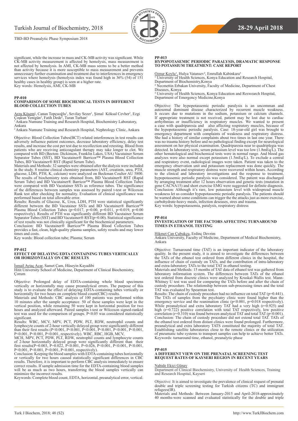

significant, while the increase in mass and CK-MB activity was significant. While CK-MB activity measurement is affected by hemolysis, mass measurement is not affected by hemolysis. In AMI, CK-MB mass seems to be a better method than activity because it is more susceptible to mass measurement and prevents unnecessary further examination and treatment due to interferences in emergency services where hemolysis (hemolysis index was found high in 36% (54) of 151 healthy cases in healthy group) is seen at a higher rate. Key words: Hemolysis, AMI, CK-MB

#### **PP-010**

#### **COMPARISON OF SOME BIOCHEMICAL TESTS IN DIFFERENT BLOOD COLLECTION TUBES**

Arzu Kösem<sup>1</sup>, Canan Topçuoğlu<sup>1</sup>, Sevilay Sezer<sup>1</sup>, Şimal Köksal Cevher<sup>2</sup>, Ezgi<br>Çoşkun Yenigün<sup>2</sup>, Fatih Dede<sup>2</sup>, Turan Turhan<sup>1</sup>

<sup>1</sup> Ankara Numune Training and Research Hospital, Biochemistry Laboratory, Ankara

<sup>2</sup> Ankara Numune Training and Research Hospital, Nephrology Clinic, Ankara

Objective: Blood Collection Tubes(BCT) related interferences in test results can adversely influence patient outcomes, decrease laboratory efficiency, delay test results, and increase the cost per test due to recollection and retesting. Blood from patients who are receiving anticoagulant therapy may take longer to clot. We compared with BD (Becton- Dickinson, Franklin Lakes, USA) Vacutainer Serum Separator Tubes (SST), BD Vacutainer® Barricor™ Plasma Blood Collection Tubes, BD Vacutainer® RST (Rapid Serum Tube).

Materials and Methods: 32 samples were obtained after the dialysis were included in the study. 8 routine clinical chemistry parameters (AST, creatinin, urea, PTH, glucose, LDH, PTH, K, calcium) were analyzed on Beckman Coulter AU 5800. The results of biochemistry tests obtained from, BD Vacutainer® RST (Rapid Serum Tube) and BD Vacutainer® Barricor™ Plasma Blood Collection Tubes were compared with BD Vacutainer SSTs as reference tubes. The significance of the differences between samples was assessed by paired t-test or Wilcoxon Rank test after checking for normality. Evaluation of clinical significance was performed based on total allowable error.

Results: Results of Glucose, K, Urea, LDH, PTH were statistical significantly different between the BD Vacutainer SSTs and BD Vacutainer® Barricor™ Plasma Blood Collection Tubes (p=0.017, p=0.00, p=0.011, p=0.019, p=0.00 respectively). Results of PTH was significantly different BD Vacutainer Serum Separator Tubes (SST) and BD Vacutainer® RST(p=0.00). Statistical significance of test results was not clinically significant for the biochemical parameters.

Conclusion: BD Vacutainer® Barricor™ Plasma Blood Collection Tubes provides a fast, clean, high-quality plasma samples, safety results and may lower times and costs.

Key words: Blood collection tube; Plasma; Serum

#### **PP-012**

#### **EFFECT OF DELAYING EDTA CONTAINING TUBES VERTICALLY OR HORIZONTALLY ON CBC RESULTS**

İsmail Aytaç Acar, Samet Çam, Hüseyin Kayadibi

Hitit University School of Medicine, Department of Clinical Biochemistry, Corum

Objective: Prolonged delay of EDTA-containing whole blood specimens vertically or horizontally may cause preanalytical errors. The purpose of this study is to evaluate the effect of delaying EDTA-containing tubes vertically or horizontally for two hours on complete blood count(CBC) results. Materials and Methods: CBC analysis of 100 patients was performed within

10 minutes after the sample acceptance. 50 of these samples were kept in the vertical position, while remaining 50 were kept in horizontal position for two hours and analyzed afterward. Paired samples t-test or Wilcoxon signed-ranked test was used for the comparison of groups. P<0.05 was considered statistically significant.

Results: WBC, MCV, MPV, PCT, PDW, PLT, RDW, neutrophil counts and lymphocyte counts of 2-hour vertically delayed group were significantly different than their first results (P<0.001, P<0.001, P<0.001, P<0.001, P<0.001, P<0.001, P<0.001, P<0.001, P<0.001, respectively). WBC, RBC, HGB, MCV,

MCH, MPV, PCT, PDW, PLT, RDW, neutrophil counts and lymphocyte counts of 2-hour horizontally delayed group were significantly different than their first results(P=0.003, P=0.022, P<0.001, P=0.026, P<0.001, P<0.001, P<0.001, P<0.001, P<0.001, P<0.001, P<0.001, respectively).

Conclusion: Keeping the blood samples with EDTA-containing tubes horizontally or vertically for two hours caused statistically significant differences in CBC results. Therefore, it is important to perform CBC analysis immediately to ensure correct results. If sample admission time for the EDTA-containing blood samples will be as much as two hours, transferring the blood samples vertically can minimize the incorrect results.

Keywords: Complete blood count, EDTA, horizontal, preanalytical error, vertical.

#### **PP-013**

#### **HYPOPOTASEMIC PERIODIC PARALYSIS, DRAMATIC RESPONSE TO POTASSIUM TREATMENT: CASE REPORT**

Oznur Koylu<sup>1</sup>, Hulya Vatansev<sup>2</sup>, Emrullah Kabinkara<sup>3</sup>

<sup>1</sup> University of Health Sciences, Konya Education and Research Hospital, Department of Biochemistry,Konya

² Necmettin Erbakan University, Faculty of Medicine, Department of Chest Diseases, Konya

³ University of Health Sciences, Konya Education and Reswearch Hospital, Department of Emergency Medicine,Konya

Objective: The hypopotassemic periodic paralysis is an uncomman and autosomal dominant disease characterized by recurrent muscle weakness. It occurs due to mutations in the sodium, potassium or calcium channels. If appropriate treatment is not received, patient may be lost due to cardiac arrhythmias or insufficiency in respiratory muscles. We wanted to present a case with quadriparesia and also affecting respiratory muscles, because of the hypopotassemic periodic paralysis. Case: 18-year-old girl was brought to emergency department with complaints of weakness and respiratory distress. She had a history of similar complaints about two times in last one year. There was no trauma history before and no pathological finding except for neurological assessment on her physical examination. Quadriparesia near to quadriplegia was detected. In laboratory tests, serum potassium level was too low (1.8mEq/L). The other hematological and biochemical tests were in normal range. And blood gas analyzes were also normal except potassium (1.5mEq/L). To exclude a central and respiratory event, radiological images were taken. Patient was taken to the emergency observation unit and potassium replacement was done quickly. The muscle strength and respiratory distress were recovered within hours. According to the clinical and laboratory investigations and the response to treatment, hypopotassemic periodic paralysis was considered. The patient was discharged by arranging treatment after 12 hours observation and genetic tests (mutation in gene CACNA15) and short exercise EMG were suggested for definite diagnosis. Conclusion: Although it's rare, low potassium level with widespread muscle weakness let us consider hypopotassemic periodic paralysis. The patients should be warned about some conditions can trigger the the attacks just as more exercise, carbohydrate-heavy meals, infection deseases, stres and trauma. Key words: hypopotassemia, paralysis, respiratory distress

#### **PP-014**

#### **INVESTIGATION OF THE FACTORS AFFECTING TURNAROUND TIMES IN ETHANOL TESTING**

#### Hikmet Can Çubukçu, Erdinç Devrim

Ankara University, Faculty of Medicine, Department of Medical Biochemistry, Ankara

Objective: Turnaround time (TAT) is an important indicator of the laboratory quality. In the present study, it is aimed to investigate the differences between the TATs of the ethanol test ordered from different clinics in the hospital, the influence of chain of custody on TATs, and the contribution of intra-laboratory and extra-laboratory TATs to the total TAT in ethanol testing.

Materials and Methods: 15 months of TAT data of ethanol test was gathered from laboratory information system. The differences between TATs of the ethanol test ordered from discrete clinics were analyzed by Kruskal-Wallis test. Mann-Whitney U test was used for comparing the TATs before and after the chain of custody procedure. The relationship between sub-processing times and the total TAT was evaluated by Spearman test.

Results: The chain of custody procedure had no influence on total TAT (p=0.441). The TATs of samples from the psychiatry clinic were found higher than the emergency service and the reanimation clinic (p<0.001, p=0.018 respectively). While preanalytical and extra laboratory TAT had a very high (r=0.925) and high (r=0.722) positive correlation with total TAT respectively, low positive correlation ( $r=0.310$ ) was found between analytical TAT and total TAT ( $p<0.001$ ). Conclusion: The chain of custody procedure did not extend total TAT. TATs of the ethanol test ordered from distant clinics were found prolonged. Furthermore, preanalytical and extra laboratory TATS constituted the majority of total TAT. Establishing satellite laboratories close to the remote clinics or the utilization of pneumatic tube systems to transport samples can help to achieve better TATs. Keywords: turnaround time, ethanol, preanalytic phase

#### **PP-015 A DIFFERENT VIEW ON THE PRENATAL SCREENING TEST REQUEST RATES OF KAYSERI REGION IN RECENT YEARS**

#### Nahide Ekici Günay

Department of Clinical Biochemistry, University of Health Sciences, Training and Research Hospital, Kayseri

Objective: It is aimed to investigate the prevalence of clinical request of prenatal double and triple screening testing for Turkish citizens (TC) and immigrant refugees(IR).

Materials and Methods: Between January-2015 and April-2018-approximately 40 months-were scanned and evaluated statistically for the double and triple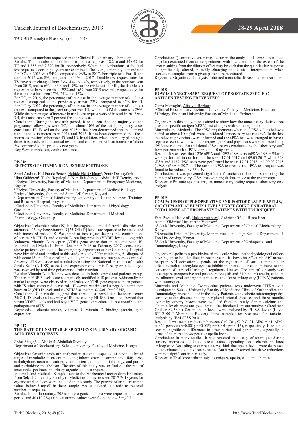

screening test numbers requested in the Clinical Biochemistry laboratory. Results: Total number in double and triple test requests; 18.216 and 19.047 for TC and 1.853 and 2.320 for IR, respectively. When the distributions of the dual test requests according to years are examined; The average monthly demand rate for TC's in 2015 was 94%, compared to 89% in 2017. For triple test; For IR, the rate for 2015 was 8%, compared to 14% in 2017. Double test request rates for TV have been changed from 23%, 4% and -4%, respectively, to the previous year from 2015, and to 6%, - 0.6% and - 8% for the triple test. For IR, the double test request rates have been 46%, 29% and 16% from 2015 onwards, respectively; for the triple test has been 17%, 29% and 13%.

For TC, in 2016, the percentage of increase in the average number of dual test requests compared to the previous year was 23%, compared to 47% for IR. For TC by 2017, the percentage of increase in the average number of dual test requests compared to the previous year was 4%, while for GM this rate was 29%. While the percentage of increase in triple test request worked in total in 2017 was 3.4, this ratio has been 7 percent for double test.

Conclusion: During the research period, it was seen that the majority of the pregnancy follow-ups were TC, and about 10% of the total pregnancy cases constituted IR. Based on the year 2015, it has been determined that the demand rate of the tests increases in 2016 and 2017. It has been determined that these increases are similar between TC and IR. In addition, when laboratory planning is done, it is predicted that annual test demand can be met with an increase of about 7% compared to the previous two years. Key Words: triple test, double test, rate

#### **PP-016 EFFECTS OF VITAMIN D ON ISCHEMIC STROKE**

Senol Arslan<sup>ı</sup>, Elif Funda Sener<sup>2</sup>, <u>Nahide Ekici Günay<sup>3</sup>,</u> Seniz Demiryürek<sup>4</sup>,<br>Uhut Gülderen<sup>ı</sup>, Tugba Topaloglu<sup>2</sup>, Nurullah Günay<sup>ı</sup>, Abdullah T. Demiryürek<sup>5</sup> <sup>1</sup> Erciyes University, Faculty of Medicine, Department of Emergency Medicine, Kayseri

2 Erciyes University, Faculty of Medicine, Department of Medical Biology;

Erciyes University, Genom and Stem Cell Center, Kayseri 3 Department of Clinical Biochemistry, University of Health Sciences, Training and Research Hospital, Kayseri

4 Gaziantep University, Faculty of Medicine, Department of Physiology, Gaziantep

5 Gaziantep University, Faculty of Medicine, Department of Medical Pharmacology, Gaziantep

Objective: Ischemic stroke (IS) is a heterogeneous multi-factorial disorder and attenuated 25- hydroxyvitamin  $\tilde{D}$  [25(OH)  $\tilde{D}$ ] levels are reported to be associated with increased risk of IS. We aimed to investigate the possible contributions of serum 25(OH) D and vitamin D binding protein (VDBP) levels along with leukocyte vitamin D receptor (VDR) gene expression in patients with IS. Materials and Methods: From December 2016 to February 2017, consecutive stroke patients admitted to the emergency department at our University Hospital were identified and enrolled to this study. A total of 90 participants, 51 diagnosed with acute IS and 39 control individuals, in the same age range were examined. Severity of IS was assessed at admission using the National Institutes of Health Stroke Scale (NIHSS) score. Gene expression of vitamin D receptor in leukocyte was assessed by real time polymerase chain reaction.

Results: Vitamin D deficiency was detected in both control and patients group. The serum VDBP levels were not markedly modified in IS patients. Additionally, no marked changes were observed in the leukocyte VDR gene expressions in patients with IS when compared to controls. However, we detected a negative correlation

between 25(OH) D levels and the NIHSS score  $(r = -0.3201, P = 0.0342)$ .<br>Conclusion: Our results suggest that there is a correlation between serum 25(OH) D levels and severity of IS assessed by NIHSS. Our data showed that serum VDBP levels and leukocyte VDR gene expressions did not contribute the pathogenesis of IS.

Keywords: Ischemic stroke, vitamin D, vitamin D binding protein, gene expression

#### **PP-017 THE RATE OF UNSUITABLE SPECIMENS IN URINARY ORGANIC ACID TEST REQUESTS**

Sedat Abuşoğlu, Ali Ünlü, Abdullah Sivrikaya Department of Biochemistry, Selcuk University Faculty of Medicine, Konya

Objective: Organic acids are analyzed in patients suspected of having a broad range of metabolic disorders including inborn errors of amino acid, fatty acid, carbohydrate, neurotransmitter, vitamin, sterol, mitochondrial energy, and purine and pyrimidine metabolism. The aim of this study was to find out the rate of unsuitable specimens in urinary organic acid test requests.

Materials and Methods: Samples sent to the biochemical metabolism laboratory from Selçuk University Faculty of Medicine clinics between 2017-2018 years for organic acid analysis were included in this study. The percent of urine creatinine values below 5 mg/dL in these samples was calculated as a ratio to the total number of requests.

Results: In our laboratory, 208 urinary organic acid test were requested in a year period and 40 (19.2%) urine creatinine values were found below 5 mg/dL.

Conclusion: Quantitative error may occur in the analysis of some acids (keto or polar) extracted from urine specimens with low creatinine. the extent of the error resulting from the dilution effect may be such that the quantitative response is significantly altered, possibly changing the clinical interpretation when successive samples from a given patient are monitored.

Keywords: Organic acid analysis, Inherited metabolic disease, Urine creatinine

#### **PP-018**

#### **HOW IS UNNECESSARY REQUEST OF PROSTATE-SPECIFIC ANTIGEN TESTING PREVENTED?**

#### Cuma Mertoglu<sup>1</sup>, Aliseydi Bozkurt<sup>2</sup>

1 Clinical Biochemistry, Erzincan University Faculty of Medicine, Erzincan 2 Urology, Erzincan University Faculty of Medicine, Erzincan

Objective: In this study, it was aimed to show how the unnecessary desired free prostate-specific antigen (sPSA) test changes with some regulation.

Materials and Methods: The sPSA requirements when total PSA values below 4 ng/mL or above 10 ng/mL were considered 'unnecessary test request'. To do this, the relevant physicians were informed and the sPSA test was arranged to have a separate second window on the request panel and physicians were requested only tPSA test requests. An additional sPSA test was conducted by the laboratory staff from patients with a tPSA score of 4-10 ng / mL.

Results: It was seen that 1236 sPSA and 1292 tPSA tests (sPSA/tPSA = 95.6%) were performed in our hospital between 17.01.2017 and 09.03.2017 while 328 sPSA and 1139 tPSA tests were performed between 17.01.2018 and 09.03.2018  $(sPSA / tPSA = 28.7%)$ . The ratio of sPSA test request to tPSA test request was found to be reduced by 66.9 %.

Conclusion: It was prevented significant financial and labor loss reducing the number of unnecessary sPSA tests with regulations made at the test prompt.

Keywords: Prostate-specific antigen, unnecessary testing request, laboratory, cost analysis

#### **PP-019**

#### **COMPARISON OF PREOPERATIVE AND POSTOPERATIVE APELIN, CALCIUM AND ALBUMIN LEVELS UNDERGOING UNILATERAL TOTAL KNEE ARTHROPLASTY PATIENTS WITH TOURNIQUET**

Esra Paydas Hataysal<sup>1</sup>, <u>Hakan Vatansev<sup>2</sup>,</u> Sadettin Ciftci<sup>3</sup>, Busra Ecer<sup>1</sup>, Ahmet Yildirim<sup>3</sup> Husamettin Vatansev<sup>1</sup>

<sup>1</sup> Selcuk University, Faculty of Medicine, Department of Clinical Biochemistry,

Konya <sup>2</sup>Necmettin Erbakan University, Meram Vocational High School, Department of Food Processing, Konya

3 Selcuk University, Faculty of Medicine, Department of Orthopedics and Traumatology, Konya

Objective: Apelin is a peptide-based molecule whose pathophysiological effects have begun to be identified in recent years, it shows its effect via APJ named receptor. APJ activation depends on the regulation of various intracellular effectors such as adenylate cyclase inhibition, intracellular calcium increase and activation of extracellular signal regulatory kinases. The aim of our study was to compare preoperative and postoperative (1th and 24th hours) apelin, calcium and albumin levels undergoing unilateral total knee arthroplasty (UTKA) patients with tourniquet.

Materials and Methods: Twenty-nine patients who underwent UTKA with tourniquet in Selcuk University Faculty of Medicine Clinic of Orthopedics and Traumatology were included in the study. Patients with diabetic microangiopathy, cardiovascular disease history, peripheral arterial disease, and three months extremity surgery history were excluded from the study. Serum calcium and albumin levels were analyzed by routine biochemistry autoanalyzer (Beckman Coulter AU5800). Serum apelin levels were analyzed by ELISA device (Kayto RT- 2100-C Microplate Reader). Paired sample t test was used for statistical analysis by IBM SPSS 20.0.

Results: It was seen a reduction between Ca0-Ca1, Ca0-Ca24, Alb0-Alb1, Alb0- Alb24 periods (p=0.001; p=0.025; p=0.001; p=0.013), respectively. It was not seen no significant differences in other periods and parameters, especially in terms of decreased postoperative apelin levels.

Conclusion: In many studies, it was reported that usage of tourniquet during surgery increases oxidative stress status depending on ischemia in knee arthroplasty. According to our results, we think that apelin levels were decreased due to enhanced oxidative stress status. But it was observed that these reductions were not significant in our study.

Keywords: Total knee arthroplasty, tourniquet, apelin, calcium, albumin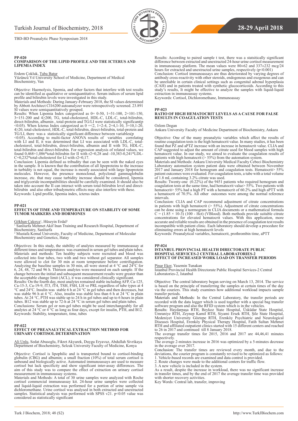#### **PP-020 COMPARISON OF THE LIPID PROFILE AND THE ICTERUS AND LIPEMIA INDEX**

Erdem Çokluk, Tuba Batur Yüzüncü Yıl University School of Medicine, Department of Medical Biochemistry, Van

Objective: Haemolysis, lipemia, and other factors that interfere with test results can be identified as qualitative or semiquantitative. Serum indices of serum lipid profile and bilirubin levels were investigated in this study.

Materials and Methods: During January-February 2018, the SI values determined by Abbott Architect CI16200 autoanalyzer were retrospectively screened. 23.891 SI values were semiquantitatively grouped.

Results: When Lipemia Index categorized as 0= 0-50, 1=51-100, 2=101-150, 3=151-200 and 4≥200, TG, total-cholesterol, HDL-C, LDL-C, total-bilirubin, direct-bilirubin, albumin , total-protein and TG/LI were statistically significant(p <0.05). When Icterus Index categorized as  $0 = 2$ ,  $1 = 2 - 4$ ,  $2 = 4, 1 - 10, 3 = 10, 1 - 20$ , 4≥20, total-cholesterol, HDL-C, total-bilirubin, direct-bilirubin, total-protein and TG/LI, there was a statistically significant difference between variables(p

<0.05). According to multi-factor ANOVA results of variables correlating with LI and II, it was determined that LI was associated with LDL-C, totalcholesterol, total-bilirubin, direct-bilirubin, albumin and II with TG, HDL-C, total-bilirubin and direct-bilirubin. For regression analysis of related values, we found 0,468+1,086\*total-bilirubin for II with r2=0,28 and -10,383-0,241\*LDL-C+0,232\*total-cholesterol for LI with r2=0,17.

Conclusion: Lipemia defined as tribudity that can be seen with the naked eyes in the sample. It is known that the contribution of all lipoproteins to the increase in turbidity is not equal, the increase is mostly associated with large lipoprotein molecules. However, the presence monoclonal, polyclonal gammaglobulin increase, etc. that may cause turbidity increase should be considered, lipemia and triglyceride incompatibilities should be carefully examined. It should also be taken into account the II can interact with serum total-bilirubin level and directbilirubin and also other tribudymetric effects may also interfere with these. Keywords: Lipid profile, lipemia index, icterus index

#### **PP-021**

#### **EFFECTS OF TIME AND TEMPERATURE ON STABILITY OF SOME TUMOR MARKERS AND HORMONES**

Gökhan Çakırca<sup>ı</sup>, Hüseyin Erdal<sup>2</sup>

1 Sanliurfa Mehmet Akif Inan Training and Research Hospital, Department of Biochemistry, Sanliurfa

2 Mustafa Kemal University, Faculty of Medicine, Department of Molecular Biochemistry and Genetics, Hatay

Objectives: In this study, the stability of analytes measured by immunoassay at different times and temperatures was examined in serum gel tubes and plain tubes. Materials and methods: Ten healthy subjects were recruited and blood was collected into four tubes, two with and two without gel separator. All samples were allowed to clot for 30 min at room temperature before centrifugation. Analyzing the baseline samples in 30 min, all were stored at 4 °C and 24°C for 6, 24, 48, 72 and 96 h. Thirteen analytes were measured on each sample. If the change between the initial and subsequent measurement results were greater than the acceptable change limit (ACL), it was considered clinically significant. Results: On the fourth day, most analytes remained stable including AFP, Ca-125, Ca-15-3, Ca-19-9, fT3, fT4, TSH, FSH, LH ve PRL regardless of tube types at 4 °C and 24°C. Insulin was stable 6 h at 24 °C in gel tubes and then decreases, but was stable 96 h at 4 °C. Also, insulin was stable less than 6 h at 24 °C in plain tubes. At 24 °C, PTH was stable up to 24 h in gel tubes and up to 6 hours in plain tubes. B12 was stable up to 72-h at 24 °C in serum gel tubes and plain tubes. Conclusions: Serum gel or non-gel tubes might be used interchangeably for all analytes at 24 °C or  $4^{\circ}$ C as long as four days, except for insulin, PTH, and B12. Keywords: Stability, temperature, time, tubes

## **PP-022**

#### **EFFECT OF PREANALYTICAL EXTRACTION METHOD FOR URINARY CORTISOL DETERMINATION**

Ali Unlu, Sedat Abusoglu, Fikret Akyurek, Duygu Eryavuz, Abdullah Sivrikaya Department of Biochemistry, Selcuk University Faculty of Medicine, Konya

Objective: Cortisol is lipophilic and is transported bound to cortisol-binding globulin (CBG) and albumin; a small fraction (10%) of total serum cortisol is unbound and biologically active. Automated immunoassays are used to measure cortisol but lack specificity and show significant inter-assay differences. The aim of this study was to compare the effect of extraction on urinary cortisol measurement in immunoassay systems.

Materials and Methods: A total of 30 urine samples were analyzed with Roche cortisol commercial immunoassay kit. 24-hour urine samples were collected and liquid-liquid extraction was performed for a portion of urine sample via dichloromethane. Urine cortisol was analysed in both extracted and unextracted samples. Statistical analysis was performed with SPSS v21. p<0.05 value was considered as statistically significant

Results: According to paired sample t test, there was a statsitically significant difference between extracted and unextracted 24-hour urine cortisol measurement in immunoassay platform. The mean values were 80±62 and 337±232 mcg/24 hours for extracted and unextracted urine samples, respectively (p<0.001)

Conclusion: Cortisol immunoassays are thus deteriorated by varying degrees of antibody cross-reactivity with other steroids, endogenous and exogenous and can be unreliable in certain clinical settings such as congenital adrenal hyperplasia (CAH) and in patients treated with synthetic glucocorticoids. According to this study's results, It might be effective to analyze the samples with liquid-liquid extraction in immunoassay systems.

Keywords: Cortisol, Dichloromethane, Immunoassay

#### **PP-023**

**SIVOKIMYA** 

#### **RATIO OF HIGH HEMATOCRIT LEVELS AS A CAUSE FOR FALSE RESULTS IN COAGULATION TESTS**

#### Ozlem Dogan

Ankara University Faculty of Medicine Department of Biochemistry, Ankara

Objective: One of the many preanalytic variables which affect the results of routine coagulation tests is the high hematocrit value. In many studies, it has been found that PZ and aPTZ increase with an increase in hematocrit value. CLIA and CAP suggested to adjust the amount of citrate used for blood samples with high hematocrit value. In our study, we aimed to evaluate the coagulation results of patients with high hematocrit (> 55%) from the automation system.

Materials and Methods: Ankara University Medical Faculty Cebeci Biochemistry Laboratory automation system patient data were obtained between November 2017 and January 2018 for hemogram and coagulation tests. Hematocrit> 55% patient outcomes were evaluated. For coagulation tests, a tube with a total volume of 1.8 mL containing 3.2% citrate was used.

Results: Twenty-one (0.22%) of the 9451 patients who required hemogram and coagulation tests at the same time, had hematocrit value> 55%. Two patients with hematocrit> 55% had a high PT with a hematocrit of 60.2% and high aPTT with a hematocrit of 70.5%. All other outcomes were among the normal reference intervals.

Conclusion: CLIA and CAP recommend adjustment of citrate concentrations in patients with high hematocrit ( $> 55\%$ ). Adjustment of citrate concentrations can be done using a normogram in CLIA documents or a mathematical formula  $C = (1.85 \times 10-3)$  (100 - Hct) (VBlood). Both methods provide suitable citrate concentrations for elevated hematocrit values. With this application, more accurate and reliable results are obtained in the presence of coagulation test results incompatible with patient clinic. Each laboratory should develop a procedure for eliminating errors at high hematocrit levels

Keywords: Preanalytical variables, hematocrit, prothrombin time, aPTT

#### **PP-024**

#### **ISTANBUL PROVINCIAL HEALTH DIRECTORATE PUBLIC HOSPITAL SERVICES-2 CENTRAL LABORATORIES-2 EFFECT OF INCREASED WORK LOAD ON TRANSFER PERIODS**

#### Pinar Eker, Yasemin Tunakan

Istanbul Provincial Health Directorate Public Hospital Services-2 Central Laboratories-2, Istanbul

Objective: The central laboratory began serving on March 13, 2014. The service is based on the principle of transferring the samples at certain times of the day via the couriers. This study examines how additional workload impacts sample transfer periods.

Materials and Methods: In the Central Laboratory, the transfer periods are recorded with the data logger which is used together with a special bag transfer software program and also the RFID system which is in the vehicles.

Results: Haydarpaşa RTH, Beykoz State Hospital, Üsküdar State Hospital, Ümraniye RTH, Zeynep Kamil RTH, Siyami Ersek RTH, Şile State Hospital, Medeniyet University Göztepe RTH, Erenköy Psychiatric and Neurological Diseases Hospital, Erenköy Physical Therapy Hospital, Fatih Sultan Mehmet RTH and affiliated outpatient clinics started with 15 different centers and reached to 26 in 2017 and continued till 8 January 2018.

The average transfer times for 2015, 2016 and 2017 are 44,46,41 minutes respectively.

The average 2-minutes increase in 2016 was optimized by a 5-minutes decrease in the average over 2017.

Conclusion: The transfer times are reviewed every month, and due to the deviations, the courier program is constantly revised to be optimized as follows: 1. Vehicle-based records are examined and data control is provided.

2. Route changes were made to the additional centers for traffic flow. 2. Route changes were made to the system.<br>3. A new vehicle is included in the system.

As a result, despite the increase in workload, there was no significant increase in transfer times, and by the end of 2017 the average transfer time was provided with shorter recovery activities.

Key Words: Central lab, transfer, improving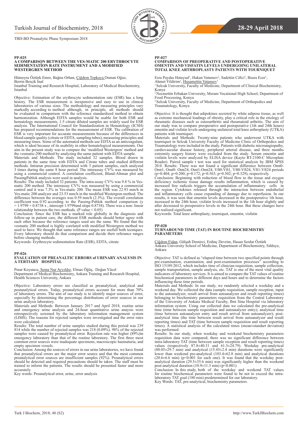#### **PP-025 A COMPARISON BETWEEN THE VES-MATIC 200 ERYTHROCYTE SEDIMENTATION RATE INSTRUMENT AND A MODIFIED WESTERGREN METHOD**

Hümeyra Öztürk Emre, Bağnu Orhan, Çiğdem Topkaya Osman Oğuz,

Berrin Berçik İnal Istanbul Training and Research Hospital, Laboratory of Medical Biochemistry, Istanbul

Objective: Estimation of the erythrocyte sedimentation rate (ESR) has a long history. The ESR measurement is inexpensive and easy to use in clinical laboratories of various sizes. The methodology and measuring principles vary markedly according to method although, in principle, all methods should be evaluated in comparison with the reference standardized method to obtain harmonization. Although EDTA samples would be usable for both ESR and hematology measurements, 1:5 citrate diluted samples are widely used for ESR analysis. The International Council for Standardization in Hematology (ICSH) has prepared recommendations for the measurement of ESR. The calibration of ESR is very important for accurate measurements because of the differences in blood sample quality (citrate or EDTA, sampling tubes), measuring principles and measuring times. Some of the automated methods use EDTA as an anticoagulant, which is ideal because of its usability in other hematological measurements. Our aim in the present study was to compare the 'modified Westergren' method and the vesmatic-200 method by analyzing the same patient with EDTA sample.

Materials and Methods: The study included 32 samples. Blood drawn in patients in the same time with EDTA and Citrate tubes and studied different methods. Intrarun precision determined with 3 patient samples, each analyzed 3 times during the same 8 hour period. The interassay CV% was measured by using a commercial control. A correlation coefficient, Bland-Altman plot and PassingPablok analysis were used in analysis.

Results: The study included 32 patients. The intra-assay CV% was 9.8 % in Vesmatic 200 method. The interassay CV% was measured by using a commercial control and it was 7.3% in Ves-matic 200. The mean ESR was 22.93 mm/h in Ves-matic 200 analyzer and 23.53 mm/h in the modified Westergren method. The difference between the averages was 0.59 mm/h (2.3%). The overall correlation coefficient was 0.92 according to the Passing-Pablok method comparison (y  $= 1.9799 + 0.8738$  x, intercept 1.9799and slope 0.8738). There was a non- linear relationship between the two methods. (P value < 0.05)

Conclusion: Since the ESR has a marked role globally in the diagnosis and follow-up in patient care, the different ESR methods should better agree with each other because the reference ranges used are the same. We found that the vesmatic 200 method is highly corelated with modified Westergren method we used to have. We thought that same referance ranges are usefull both tecniques. Every laboratory should do that comparison and decide their referance ranges before changing methods.

Keywords: Erythrocyte sedimentation Rate (ESR), EDTA, citrate

#### **PP-026**

#### **EVALUATION OF PREANALTIC ERRORS of URINARY ANALYSIS IN A TERTIARY HOSPITAL**

Pınar Koyuncu<u>, Sema Nur Ayyıldız</u>, Elmas Öğüş, Doğan Yücel Department of Medical Biochemistry, Ankara Training and Research Hospital, Health Sciences University, Ankara

Objective: Laboratory errors are classified as preanalytical, analytical and postanalytical errors. Today, preanalytical errors account for more than 70% of laboratory errors. The aim of our study is to identify major sources of error, especially by determining the percentage distributions of error sources in our urine analysis laboratory.

Materials and Methods: Between January 2017 and April 2018, routine urine and emergency urine analysis and 24-hour quantitative urine anaysis were retrospectively screened by the laboratory information management system (LIMS). The reasons for rejected samples were investigated and the error rates were calculated.

Results: The total number of urine samples studied during this period was 239 814 while the number of rejected samples was 218 (0.09%). 98% of the rejected samples were caused by preanalytical error. Rejection rate was higher (89%)in emergency laboratory than that of the routine laboratory. The first three most common error sources were inadequate specimens, macroscopic haematuria, and empty specimen vessels.

Conclusion: Among the sources of errors in our urine laboratories, we have found that preanalytical errors are the major error source and that the most common preanalytical error sources are insufficient samples (92%). Preanalytical errors should be detected and required precautions should be taken. The staff must be trained to inform the patients. The results should be presented faster and more accurately.

Key words: Preanalytical error, urine, error analysis

#### **PP-027**

#### **COMPARISON OF PREOPERATIVE AND POSTOPERATIVE OMENTIN AND VISFATIN LEVELS UNDERGOING UNILATERAL TOTAL KNEE ARTHROPLASTY PATIENTS WITH TOURNIQUET**

Esra Paydas Hataysal<sup>1</sup>, Hakan Vatansev<sup>2</sup>, Sadettin Ciftci<sup>3</sup>, Busra Ecer<sup>1</sup>,

Ahmet Yildirim<sup>3</sup>, Husamettin Vatansev<sup>1</sup>

<sup>1</sup> Selcuk University, Faculty of Medicine, Department of Clinical Biochemistry, Konya

<sup>2</sup>Necmettin Erbakan University, Meram Vocational High School, Department of Food Processing, Konya

<sup>3</sup> Selcuk University, Faculty of Medicine, Department of Orthopedics and Traumatology, Konya

Objective: It is thought that adipokines secreted by white adipose tissue, as well as extreme mechanical loadings of obesity, play a critical role in the etiology of rheumatic diseases such as osteoarthritis and rheumatoid arthritis. The aim of our study was to compare preoperative and postoperative (1th and 24th hours) omentin and visfatin levels undergoing unilateral total knee arthroplasty (UTKA) patients with tourniquet.

Materials and Methods: Twenty-nine patients who underwent UTKA with tourniquet in Selcuk University Faculty of Medicine Clinic of Orthopedics and Traumatology were included in the study. Patients with diabetic microangiopathy, cardiovascular disease history, peripheral arterial disease, and three months extremity surgery history were excluded from the study. Serum omentin and visfatin levels were analyzed by ELISA device (Kayto RT-2100-C Microplate Reader). Paired sample t test was used for statistical analysis by IBM SPSS 20.0. Results: There was not found a significant difference between Omt0- Omt1, Omt0- Omt24, Omt1-Omt24, Vft0-Vft1, Vft0-Vft24, Vft1-Vft24 periods (p=0.404; p=0.200; p=0.172; p=0.563; p=0.502; p=0.329), respectively.

Conclusion: Beginning with reduction of blood flow to the tissue and oxygen deficiency ischemic tissue damage results inflammation, which is caused by increased free radicals triggers the accumulation of inflammatory cells in the region. Cytokines released through the interaction between endothelial and inflammatory cells cause expanding of damage due to reperfusion. In our results, it was seen that omentin levels decreased in the postoperative 1th hour, increased in the 24th hour, visfatin levels increased in the 1th hour slightly and after decreased to preoperative levels in the 24th hour. But these changes have not realized significant.

Keywords: Total knee arthroplasty, tourniquet, omentin, visfatin

#### **PP-028 TURNAROUND TIME (TAT) IN ROUTINE BIOCHEMISTRY PARAMETERS**

Çiğdem Fi̇dan, Gülşah Demı̇rci, Erdinç Devrı̇m, Hasan Serdar Öztürk Ankara University School of Medicine, Department of Biochemistry, Sıhhıye, Ankara

Objective: TAT is defined as "elapsed time between two specified points through pre-examination, examination, and post-examination processes" according to ISO 15189:2012, which includes time of clinician requisition, sample collection, sample transportation, sample analysis, etc. TAT is one of the most vital quality indicators of laboratory services. It is aimed to compare the TAT values of routine biochemical parameters in different days and hours and to determine the factors influencing these time periods.

Materials and Methods: In our study, we randomly selected a weekday and a weekend day. We collected the data (sample requisition, sample reception, input to the autoanalyzer, result arrival from autoanalyzer and result reporting times) belonging to biochemistry parameters requisition from the Central Laboratory of the University of Ankara Medical Faculty, Ibni Sina Hospital via laboratory information system. Using our collected data we calculated the pre-analytical time (time between sample requisition and autoanalyzer entry); analytical time (time between autoanalyzer entry and result arrival from autoanalyzer); postanalytical time (the time between result arrival from autoanalyzer and result reporting times) and TAT (time between sample requisition and result reporting times). A statistical analysis of the calculated times (mean±standart deviation) was performed.

Results: In our study, when weekday and weekend biochemistry parameters requisition data were compared; there was no significant difference between intra-laboratory TAT (time between sample reception and result reporting times) values (respectively 87.8±40.31 and 61.3±24.79). Weekday pre-analytical  $(80.05\pm29.7 \text{ min})$  and analytical  $(15.45\pm2.4 \text{ min})$  durations were significantly lower than weekend pre-analytical (103.4±62.8 min) and analytical durations  $(20.6\pm6.6 \text{ min})$  (p<0.001 for each one). It was found that the weekday postanalytical duration (29.5±35.6 min) was significantly higher than the weekend post-analytical duration  $(10.9\pm11.3 \text{ min})$  (p<0.001).

Conclusion: In this study, both of the weekday and weekend TAT values for routine biochemical parameters were found to be not to exceed the intralaboratory TAT goal (180 min) predetermined for our laboratory. Key Words: TAT, pre-analytical, biochemistry parameters.

Turk J Biochem, 2018; 48 (S2) http://www.TurkJBiochem.com

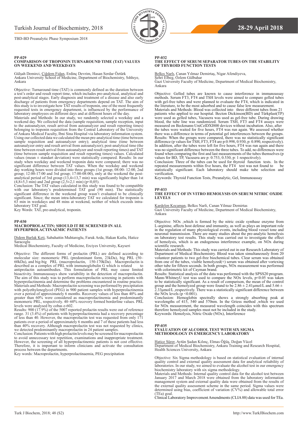## Turkish Journal of Biochemistry, 2018 **28-29 April 2018**



#### **PP-029 COMPARISON OF TROPONIN TURNAROUND TIME (TAT) VALUES ON WEEKEND AND WEEKDAYS**

Gülşah Demirci, Çiğdem Fidan, Erdinç Devrim, Hasan Serdar Öztürk Ankara University School of Medicine, Department of Biochemistry, Sıhhıye, Ankara

Objective: Turnaround time (TAT) is commonly defined as the duration between a test's order and result report time, which includes pre-analytical, analytical and post-analytical stages. Early diagnosis and treatment of a disease and also early discharge of patients from emergency departments depend on TAT. The aim of this study is to investigate how TAT results of troponin, one of the most frequently requested tests in emergency department, is influenced by the performance of laboratory employees on different days and at different hours of the day.

Materials and Methods: In our study, we randomly selected a weekday and a weekend day. We collected the data (sample requisition, sample reception, input to the autoanalyzer, result arrival from autoanalyzer and result reporting times) belonging to troponin requisition from the Central Laboratory of the University of Ankara Medical Faculty, Ibni Sina Hospital via laboratory information system. Using our collected data we calculated the mean pre-analytical time (time between sample requisition and autoanalyzer entry); analytical time (time between autoanalyzer entry and result arrival from autoanalyzer); post-analytical time (the time between result arrival from autoanalyzer and result reporting times) and TAT (time between sample requisition and result reporting times) values. Calculated values (mean  $\pm$  standart deviation) were statistically compared. Results: In our study when weekday and weekend troponin data were compared; there was no significant difference between TAT values. When the weekday and weekend day working hours were divided into three groups (1st group; 08:00- 12:00, 2nd group; 12:00-17:00 and 3rd group; 17:00-08:00), only at the weekend the postanalytical period of 3rd group (13,4±13,7 min) was significantly higher than 1st  $(4,8\pm5,3 \text{ min})$  and 2nd group  $(2,5\pm2,1 \text{ min})$  (p<0,05).

Conclusion: The TAT values calculated in this study was found to be compatible with our laboratory's predetermined TAT goal (90 min). The statistically significant difference in the weekend group wasn't evaluated to be clinically significant. Since; the mean intra-laboratory TAT we calculated for troponin is 63 min in weekdays and 48 mins at weekend, neither of which exceeds intralaboratory TAT goal.

Key Words: TAT, pre-analytical, troponin.

#### **PP-030**

#### **MACROPROLACTIN; SHOULD IT BE SCREENED IN ALL HYPERPROLACTINAEMIC PATIENTS**

Didem Barlak Keti, Sabahattin Muhtaroglu, Faruk Arda, Hakan Kutlu, Hatice Saracoglu

Medical Biochemistry, Faculty of Medicine, Erciyes University, Kayseri

Objective: The different forms of prolactin (PRL) are defined according to molecular size: monomeric PRL (predominant form, 23kDa), big PRL (50– 60kDa), and big-big PRL (macroprolactin, 150-170kDa). Macroprolactin is described as a complex of PRL with immunoglobulin G which is related to antiprolactin autoantibodies. This formulation of PRL may cause limited bioactivity. Immunoassays show variability in the detection of macroprolactin. The aim of this study was to perform macroprolactin screening in patients with hyperprolactinemia and determine the problems encountered in routine practice. Materials and Methods: Macroprolactin screening was performed by precipitation with polyethyleneglycol (PEG) in 900 patient samples with hyperprolactinemia over a period of approximately 6 months. Recovery values of less than 40% and greater than 60% were considered as macroprolactinemia and predominantly monomeric PRL, respectively. 40–60% recovery formed borderline values. PRL levels were analysed by cobas e-602.

Results: 900 (17.9%) of the 5007 reported prolactin results were out of reference range. 31 (3.4%) of patients with hyperprolactinemia had a recovery percentage of less than 40. However, the macroprolactin test was requested from only 171 patients over a period of approximately 6 months and 7 of these patients had less than 40% recovery. Although macroprolactin test was not requested by clinics, we detected predominantly macroprolactin in 24 patient samples.

Conclusion: Patients with high prolactin levels may be screened for macroprolactin to avoid unnecessary test repetition, examinations and inappropriate treatment. However, the screening of all hyperprolactinemic patients is not cost effective. Therefore, it is important to inform clinicians and activate the consultation process between the departments.

Key words: Macroprolactin, hyperprolactinaemia, PEG precipitation



#### **PP-032**

#### **THE EFFECT OF SERUM SEPARATOR TUBES ON THE STABILITY OF THYROID FUNCTION TESTS**

Belkıs Narlı, Canan Yılmaz Demirtaş, Nigar Afendiyeva,

Şehri Elbeg, Özlem Gülbahar Gazi University Faculty of Medicine, Department of Medical Biochemistry, Ankara

Objective: Gelled tubes are known to cause interference in immunoassay methods. Serum FT3, FT4 and TSH levels were aimed to compare gelled tubes with gel-free tubes and were planned to evaluate the FT4, which is indicated in the literature, to be the most adsorbed and to cause false low measurement. Materials and Methods: Blood was collected into three different tubes from 21 patients who applied to our hospital. Becton Dickinson(BD) and Türkplast(TP) were used as gelled tubes, Vacusera was used as gel-free tube. During drawing blood, the tube line was randomized. Serum TSH, FT3 and FT4 assays were measured on Beckmann-UniCelDXI800 devices without incubation. Also, after the tubes were waited for five hours, FT4 was run again. We assessed whether there was a difference in terms of potential gel interferences between the groups. Results: When the groups were compared, there was no statistically significant difference (p values for TSH, FT3, FT4 are p:0.998, 0.930, p: 0.890, respectively). In addition, after the tubes were left for five hours, FT4 was run again and there was no significant difference between the three tubes. To add, no differences were found when comparing the first and last measurements of the tubes themselves (p values for BD, TP, Vacusera are p: 0.753, 0.530, p: 1 respectively).

Conclusion: Three of the tubes can be used for thyroid function tests. In the repeated measurements within five hours, the FT4 test was not found to be statistically significant. Each laboratory should make tube selection and verification.

Keywords: Thyroid Function Tests, Preanalytic, Gel, Immunoassay

## **PP-033**

#### **THE EFFECT OF IN VITRO HEMOLYSIS ON SERUM NITRIC OXIDE LEVELS**

Kardelen Kocaman, Belkıs Narli, Canan Yilmaz Demirtas Gazi University Faculty of Medicine, Department of Medical Biochemistry, Ankara

Objective: NOx ,which is formed by the nitric oxide synthase enzyme from L-arginine, affects host defense and immunity, as well as plays an important role in the regulation of many physiological events, including blood vessel tone and neuronal transmission. There are many studies about the pre-analytic hemolysis on laboratory test results. This study was carried out to investigate the effect of hemolysis, which is an endogenous interference example, on NOx during scientific research.

Materials and Methods: This study was carried out in our Research Laboratory of Department of Medical Biochemistry. Blood was taken simultaneously from 20 volunteer patients to two gel-free biochemical tubes. Clear serum was obtained from one of the tubes, visible hemolyzed(+) serum was obtained after vortexing other tube for fifteen seconds. In both groups, NOx measurement was performed with colorimetric kit of Cayman brand.

Results: Statistical analysis of the data was performed with the SPSS20 program. Mann-WhitneyU test was used to compare the NOx levels, p<0.05 was taken to be statistically significant. As a result of comparison, the mean of the control group and the hemolyzed group were found to be  $2.86 \pm 2.41 \mu$ mol/L and  $5.66 \pm 2.41 \mu$ 2.33μmol/L ,respectively. There was a statistically significant difference between the NOx levels  $(p \le 0.001)$ .

Conclusion: Hemoglobin spectrally shows a strongly absorbing peak at wavelengths of 415, 540 and 570nm. In the Griess method ,which we used for NOx measurement, the measured wavelength coincides with this spectrum therefore hemolyzed samples must not be included in the study. Keywords: Hemolysis, Nitric Oxide (NOx), Interference

#### **PP-035**

#### **EVALUATION OF ALCOHOL TEST WITH SIX SIGMA METHODOLOGY IN EMERGENCY LABORATORY**

Hatice Sürer, Aytün Şadan Kılınç, Elmas Öğüş, Doğan Yücel Department of Medical Biochemistry, Ankara Training and Research Hospital, Health Sciences University, Ankara

Objective: Six Sigma methodology is based on statistical evaluation of internal quality control and external quality assessment data for analytical reliability of laboratories. In our study, we aimed to evaluate the alcohol test in our emergency biochemistry laboratory with six sigma methodology.

Materials and Methods: Internal quality control data for the alcohol test between January 2017 and March 2018 were obtained from the laboratory information management system and external quality data were obtained from the results of the external quality assessment scheme in the same period. Sigma values were determined using bias, coefficient of variation (CV%) and allowable total error (TEa) goal.

Clinical Laboratory Improvement Amendments (CLIA 88) data was used for TEa.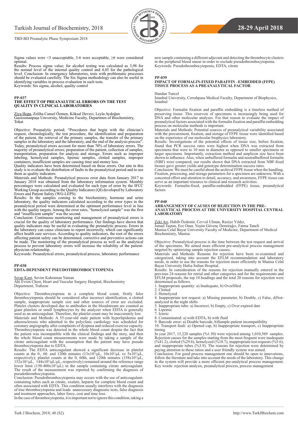

Sigma values were <3 unacceptable, 3-6 were acceptable, ≥6 were considered optimal.

Results: Process sigma value; for alcohol testing was calculated as 3,98 for the normal level of the internal quality control and 4,05 for the pathological level. Conclusion: In emergency laboratories, tests with problematic processes should be evaluated carefully. The Six Sigma methodology can also be useful in identifying variables in process evaluation in such tests. Keywords: Six sigma, alcohol, quality control

#### **PP-037**

#### **THE EFFECT OF PREANALYTICAL ERRORS ON THE TEST QUALITY IN CLINICAL LABORATORIES**

Ziya Hopa, Zeliha Cansel Özmen, Köksal Deveci, Leyla Aydoğan Gaziosmanpaşa Unıversity, Medicine Faculty, Departmen of Biochemistry, Tokat

Objective: Preanalytic period; "Procedures that begin with the clinician's request, chronologically, the test procedure, the identification and preparation of the patient, the retrieval of the primary samples, the transfer of the primary samples in the laboratory and the laboratory, and the end of the analysis process". Today, preanalytical errors account for more than 70% of laboratory errors. The majority of preanalytical errors; preparation of the patient, collection of samples, transportation, preparation for analysis and storage. Errors such as improper labeling, hemolyzed samples, lipemic samples, clotted samples, improper containers, insufficient samples are causing time and money loss.

Quality indicators have been determined based on these errors. Our aim in this study is to evaluate the distribution of faults in the preanalytical period and to use them as quality indicators.

Materials and Methods: Preanalytical process error data from January 2017 to January 2018 was obtained from the laboratory information system. Monthly percentages were calculated and evaluated for each type of error by the IFCC Working Group according to the Quality Indicators (QI) developed by Laboratory Errors and Patient Safety (WG-LEPS).

Results: In the samples coming to the biochemistry, hormone and urine laboratory, the quality indicators calculated according to the error types in the preanalytical period were determined at the optimum performance level in line with the quality targets. Among the error rates, "hemolyzed sample" was the first and "insufficient sample" was the second.

Conclusion: Continuous monitoring and management of preanalytical errors is crucial for the quality of laboratory performance. Our findings have shown that quality indicators may be useful in evaluating the preanalytic process. Errors in the laboratory can cause clinicians to report incorrectly, which can significantly affect health care services. According to quality indicators, the root of the errors affecting patient safety can be determined, corrective and preventive actions can be made. The monitoring of the preanalytical process as well as the analytical process to prevent laboratory errors will increase the reliability of the patientphysician relationship.

Keywords: Preanalytical errors, preanalytical process, laboratory performance

#### **PP-038**

#### **EDTA-DEPENDENT PSEUDOTHROMBOCYTOPENIA**

Serap Kant, Sevim Kahraman Yaman

Ahi Evren Chest, Heart and Vascular Surgery Hospital, Biochemistry Department, Trabzon

Objective: Thrombocytopenia in a complete blood count, firstly false thrombocytopenia should be considered after incorrect identification, a clotted sample, inappropriate sample size and other sources of error are excluded. Platelet clusters developed due to antibodies in the bloodstream are counted as giant platelets or small lymphocytes by the analyzer when EDTA is generally used as an anticoagulant. Therefore, the platelet count may be inaccurately low. Materials and Methods: A 55-year-old male patient with hyperlipidemia and atherosclerosis who admitted to the polyclinic cardiology was scheduled for coronary angiography after complaints of dyspnea and reduced exercise capacity. Thrombocytopenia was detected in the whole blood count despite the fact that the patient was incompatible with the clinical findings and the story, and then the whole blood count measurements were made by taking a sample of the citrate anticoagulant with the assumption that the patient may have pseudo thrombocytopenia due to EDTA.

Results: The EDTA anticoagulant showed a significant decrease in platelet<br>counts at the 0., 60. and 120th minutes  $(13x10^3/\mu L, 10x10^3/\mu L)$  ve  $5x10^3/\mu L$ ,<br>respectively); platelet counts at the 0, 60th, and 120th minutes The result of the measurement was reported by confirming the diagnosis of pseudothrombocytopenia.

Conclusion: Pseudothrombocytopenia may occurs with the use of anticoagulantcontaining tubes such as citrate, oxalate, heparin for complete blood count and often associated with EDTA. This condition usually interferes with the diagnosis of true thrombocytopenia and leads unnecessary diagnostic tests, false diagnosis and treatment approaches, labor force, cost and time loss.

In the case of thrombocytopenia, it is important not to ignore this condition, taking a

new sample containing a different adjuvant and detecting the thrombocyte clusters in the peripheral blood smear in order to exclude pseudothrombocytopenia. Keywords: Pseudothrombocytopenia, EDTA, citrate

#### **PP-039**

#### **IMPACT OF FORMALIN-FIXED PARAFFIN –EMBEDDED (FFPE) TISSUE PROCESS AS A PREANALYTICAL FACTOR**

#### Handan Tuncel

Istanbul University, Cerrahpasa Medical Faculty, Department of Biophysics, Istanbul

Objective: Formalin fixation and paraffin embedding is a timeless method of preserving tissue. This reservoir of specimens is increasingly being used for DNA and other molecular analyses. For that reason to evaluate the impact of preanalytical factors associated with the formalin fixation and paraffin embedding process on molecular methods is important.

Materials and Methods: Potential sources of preanalytical variability associated with the procurement, fixation, and storage of FFPE tissue were identified based on the experience of our molecular biophysics laboratory.

Results: Investigations of the potential effects of tissue size, before fixation, found that PCR success rates were highest when DNA was extracted from specimens that were to 10 mm in diameter as opposed to smaller specimens or larger specimens. Importantly, extraction method and amplicon size have been shown to influence. Also, when unbuffered formalin and neutralbuffered formalin (NBF) were compared, our results shown that DNA extracted from NBF-fixed tissues gave greater yields and genotype determination success rates.

Conclusion: We must be careful about the archival FFPE tissue when the handling. Fixation, processing, and storage parameters for a specimen are unknown. With a concerted effort and attention to detail, accuracy, and awareness, FFPE tissue can serve as an important resource to clinical and research activities.

Keywords: Formalin-fixed, paraffin-embedded (FFPE) tissue, preanalytical factors

#### **PP-040**

#### **ARRANGEMENT OF CAUSES OF REJECTION IN THE PRE-ANALYTICAL PROCESS AT THE UNIVERSITY HOSPITAL CENTRAL LABORATORY**

Zeki Arı, Habib Özdemir, Cevval Ulman, Raziye Yıldız,

İsmail Taştan, Ece Onur, Yeşim Güvenç Demirağcı, Fatma Taneli Manisa Celal Bayar University Faculty of Medicine, Department of Medical Biochemistry, Manisa

Objective: Preanalytical process is the time between the test request and arrival of the specimens. We aimed more efficient pre-analytical process management targeted by optimizing sample rejection causes.

Materials and Methods: Reasons for rejection have been re-examined and categorized, taking into account the EFLM recommendation and laboratory needs, in order to use the reasons for rejection more efficiently in Manisa Celal Bayar University Hafsa Sultan Hospital.

Results: In consideration of the reasons for rejection manually entered in the previous 24 reasons for retrial and other categories and for the requirements and EFLM proposals, the top 10 headings and the total 20 reasons for rejection were determined as follows.

1. Inappropriate quantity: a) Inadequate, b) Overfilled

 $\frac{1}{2}$ . Inappropriate tube: a) Incorrect, b) Empty, c) Over expired date

- 7. Icteric
- 8. Contaminated: a) with EDTA, b) with fluid

9. Barcode error: a) Double barcode, b)Sample-patient incompatibility

10. Transport fault: a) Opened cap, b) Inappropriate transport, c) Inappropriate timing

In year 2017, 15,228 samples (%1.50) were rejected among 1,010,569 samples. Rejection causes for the samples starting from the most frequent were inadequate  $(\frac{641.2}{641.2})$ , clotted  $(\frac{629.6}{641.2})$ , hemolyzed  $(\frac{618.7}{641.2})$ , inappropriate test requests  $(\frac{65.6}{641.2})$ and inappropriate tubes (%3.9). The reasons for rejection were determined by paying attention to these ratios and a user friendly system was aimed.

Conclusion: For good process management one should be open to innovations, follow the literature and take into account the needs of the laboratory. This change in the system will provide a more efficient pre-analytical process management. Key words: rejection analysis, preanalytical process, process management

<sup>2.</sup> Clotted 3. Hemolyzed

<sup>4.</sup> Inappropriate test request: a) Missing parameter, b) Double, c) False, d)Notanalyzed in the night shifts

<sup>6.</sup> Lipemic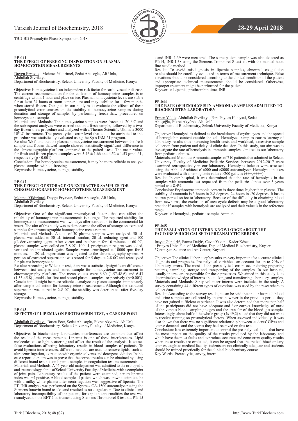## Turkish Journal of Biochemistry, 2018 **28-29 April 2018**

TBD-BD Preanalytic Phase Symposium 2018

#### **PP-041 THE EFFECT OF FREEZING-DISPOSITION ON PLASMA HOMOCYSTEIN MEASUREMENTS**

Duygu Eryavuz, Mehmet Yildirimel, Sedat Abusoglu, Ali Unlu, Abdullah Sivrikaya

Department of Biochemistry, Selcuk University Faculty of Medicine, Konya

Objective: Homocysteine is an independent risk factor for cardiovascular disease. The current recommendation for the collection of homocysteine samples is to centrifuge within 1 hour and place on ice. Plasma homocysteine levels are stable for at least 24 hours at room temperature and may stabilize for a few months when stored frozen. Our goal in our study is to evaluate the effects of these preanalytical error sources on the stability of homocysteine samples during donation and storage of samples by performing freeze-thaw procedures on homocysteine samples.

Materials and Methods: The homocysteine samples were frozen at -20 ° C and the subsequent analyzes were carried out on a fresh sample, followed by a twoday frozen-thaw procedure and analyzed with a Thermo Scientific Ultimate 3000 UPLC instrument. The preanalytical error level that could be attributed to this procedure was statistically evaluated using the Spss IBM 21 program.

Results: We found that the plasma homocysteine measurement between the fresh sample and frozen-thawed sample showed statistically significant difference in the chromatographic platform compared to the paired t-test. The mean values for fresh and frozen plasma samples were  $5.46 \pm 1.66$  and  $4.52 \pm 1.53$  µmol / L, respectively ( $p \leq 0.001$ ).

Conclusion: For homocysteine measurement, it may be more reliable to analyze plasma samples without freezing.

Keywords: Homocysteine, storage, stability

#### **PP-042 THE EFFECT OF STORAGE ON EXTRACTED SAMPLES FOR CHROMATOGRAPHIC HOMOCYSTEINE MEASUREMENT**

Mehmet Yildirimel, Duygu Eryavuz, Sedat Abusoglu, Ali Unlu, Abdullah Sivrikaya

Department of Biochemistry, Selcuk University Faculty of Medicine, Konya

Objective: One of the significant preanalytical factors that can affect the reliability of homocysteine measurements is storage. The reported stability for homocysteine measurement was two days after extraction in the commercial kit insert. The aim of this study was to demonstrate the effect of storage on extracted samples for chromatographic homocysteine measurement.

Materials and Methods: A total of 30 plasma samples were analyzed. 50 µL plasma was added to 50 µL internal standart, 20 µL reducing agent and 100 µL derivatizating agent. After vortex and incubation for 10 minutes at 60 0C, plasma samples were colled on 2-8 0C. 100 µL precipitation reagent was added, vortexed and incubated again. Samples were centrifuged at 10000 rpm for 5 minutes. 20 µL supernatant was injected to the chromatography system. A portion of extracted supernatant was stored for 5 days at 2-8 0C and reanalyzed for plasma homocysteine.

Results: According to Wilcoxon test, there was a statistically significant difference between first analysis and stored sample for homocysteine measurement in chromatography platform. The mean values were 6.60 (1.57-48.6) and 6.43  $(1.55-45.\overline{8})$  µmol/L for first and stored plasma samples, respectively (p=0.003). Conclusion: It might be more reliable to analyze the plasma samples immediately after sample collection for homocysteine measurement. Although the extracted supernatant was stored in 2-8 0C, the stability was deteriorated after five-day storage.

Keywords: Homocysteine, storage, stability

#### **PP-043**

#### **EFFECTS OF LIPEMIA ON PROTROMBIN TEST, A CASE REPORT**

Abdullah Sivrikaya, Busra Ecer, Sedat Abusoglu, Fikret Akyurek, Ali Unlu Department of Biochemistry, SelcukUniversityFaculty of Medicine, Konya

Objective: In biochemistry laboratories interferences are common that affect the result of the measurements. Lipemia is one of these interferences. Lipid molecules cause light scattering and affect the result of the analysis. It causes false evaluations affecting laboratory results in blood samples of patients. To avoid lipemia interferences, different methods are used to remove lipids, such as ultracentrifugation, extraction with organic solvents and detergent addition. In this case report, our aim was to prove that the correct results can be obtained by using different brand test kits on lipemic samples in coagulation test measurements. Materials and Methods: A 46-year-old male patient was admitted to the orthopedic

and traumatology clinic of Selçuk University Faculty of Medicine with a complaint of joint pain. Laboratory results of the patient were examined, serum lipemia index was +4 positive. A blood sample of patient which was drawn to citrate tube with a milky white plasma after centrifugation was suggestive of lipemia. The PT, INR analysis was performed on the Sysmex CA-1500 autoanalyzer using the Siemens Innovin brand test kit and resulted as no coagulation. Due to clinical and laboratory incompatibility of the patient, for explain abnormalities the test was reanalyzed on the BFT-2 instrument using Siemens Thromborel S test kit, PT: 15

s and INR: 1.39 were measured. The same patient sample was also detected as PT:14, INR:1.38 using the Siemens Tromborel S test kit with the manual hook fine needle method.

Results: To avoid misdiagnosis in lipemic samples, abnormal coagulation results should be carefully evaluated in terms of measurement technique. False elevations should be considered according to the clinical condition of the patient and appropriate technical measurements should be considered. Otherwise, improper treatment might be performed for the patient. Keywords: Lipemia, prothrombin time, INR

#### **PP-044**

**SIVOKIMYA** 

#### **THE RATE OF HEMOLYSIS IN AMMONIA SAMPLES ADMITTED TO BIOCHEMISTRY LABORATORY**

Erman Yaldiz, Abdullah Sivrikaya, Esra Paydaş Hataysal, Sedat Abuşoğlu, Fikret Akyürek, Ali Ünlü Department of Biochemistry, Selcuk University Faculty of Medicine, Konya

Objective: Hemolysis is defined as the breakdown of erythrocytes and the spread of hemoglobin content outside the cell. Hemolyzed samples causes latency of laboratory results thus increasing health costs and workload, excessive sample collection from patient and delay of clinic decision. In this study, our aim was to investigate the rate of hemolysis in ammonia samples admitted to our laboratory from pediatric clinics.

Materials and Methods: Ammonia samples of 710 patients that admitted to Selcuk University Faculty of Medicine Pediatric Services between 2012-2017 were examined retrospectively in our laboratory. Hemolysis indexes were assessed using the Abbott Architect c16000 and c8000 autoanalyzer. Hemolysis indexes were evaluated with a hemoglobin values  $>200$  g/dL as  $(+++,+++)$ .

Results: In our hospital, it was determined that the rate of hemolysis in the samples with ammonia test requested from the pediatric clinics over 5 years period was 8.4%.

Conclusion: Erythrocyte ammonia content is three times higher than plasma. The stability of ammonia is 3 hours in 2-8 degrees, 24 hours in -20 degrees. It has to be transported on ice to laboratory. Because of the difficulty in obtaining blood from newborns, the exclusion of urea cycle defects may be a good laboratory practice if samples with hemolysis are analyzed and their value is in the reference range.

Keywords: Hemolysis, pediatric sample, Ammonia.

#### **PP-045 THE EVALUATION OF INTERN KNOWLODGE ABOUT THE FACTORS WHICH CAUSE TO PREANALYTIC ERRORS**

<u>İnayet Güntürk</u>', Fatma Dağlı<sup>2</sup>, Cevat Yazıcı<sup>ı</sup>, Kader Köse<sup>ı</sup><br><sup>1</sup> Erciyes Univ. Fac. of Medicine, Dep. of Medical Biochemistry, Kayseri.

2 Çetin Şen Science and Art Center, Kayseri

Objective: The clinical laboratory's results are very important for accurate clinical diagnosis and prognosis. Preanalytical variables can account for up to 70% of laboratory errors. The most of the preanalytical errors occur during preparing patients, sampling, storage and transporting of the samples. In our hospital, usually interns are responsible for these processes. We aimed in this study is to determine knowledge of interns about taking and transferring laboratory samples. Materials and Methods: Sixty volunteer interns were included in the study. A survey containing 44 different types of questions was used by the researchers to

collect data. Results: According to the survey results, it can be said that in our hospital, blood and urine samples are collected by interns however in the previous period they have not gained sufficient experience. It was also determined that more than half of the participants did not have adequate and / or correct knowledge of most of the venous blood sampling stages and the transfer of the blood gas sample. Interestingly, about half of the whole group (% 49,2) stated that they did not want to receive training on preanalytical factors. When assessed individually, it was also shown that there was no significant relationship between students' GPAs and course demands and the scores they had received on this test.

Conclusion: It is extremely important to control the preanalytical faults that have the most impact on the quality of the results produced by the laboratory and which have the most faults and to produce accurate and concurrent quality results when these results are evaluated, it can be argued that theoretical biochemistry courses taught to medical faculty students are not clinically adequate and students should be trained practically for the clinical biochemistry course. Key Words: Preanalytic, survey, intern.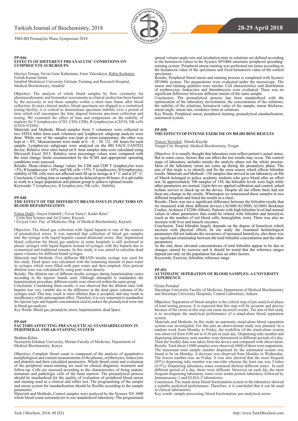## Turkish Journal of Biochemistry, 2018 **28-29 April 2018**

TBD-BD Preanalytic Phase Symposium 2018

#### **PP-046 EFFECTS OF DIFFERENT PREANALYTIC CONDITIONS ON LYMPHOCYTE SUBGROUPS**

Hayriye Erman, Nevin Genc Kahraman, Emre Yalcınkaya, Rabia Korkmaz, Ferruh Kemal İsman

Istanbul Medeniyet University Göztepe Training and Research Hospital, Medical Biochemistry, Istanbul

Objective: The analysis of whole blood samples by flow cytometry for pharmacodynamic and biomarker assessments in clinical studies has been limited by the necessity to test these samples within a short time frame after blood collection. In most clinical studies, blood specimens are shipped to a centralized testing facility; it is critical to demonstrate specimen stability over a period of time which will encompass the time elapsed between specimen collection and testing. We examined the effect of time and temperature on the stability of markers for T lymphocytes (CD3, CD4, CD8), B lymphocytes (CD19), NK cells (CD16+CD56).

Materials and Methods: Blood samples from 5 volunteers were collected to two EDTA tubes form each volunteer and lymphocyte subgroup analysis were done. While one of the samples was kept at room temperature, the other was kept at + 4ºC. Measurements were made at 0. - 8. - 24. -32. -48. hours for each sample. Lymphocyte subgroups were analyzed on the BD FACS CANTO2 device. Relative error rates based on 0. hour samples data were calculated using Microsoft Excel 2015. Relative error percentage values were compared with the total change limits recommended by the ICSH and appropriate operating conditions were assessed.

Results: Mean relative change values for CD4 and CD8 T lymphocytes were <5%, B lymphocytes <10%, and NK cells <15%. T lymphocytes, B lymphocytes, stability of NK cells were not affected until 48 up to storage at 4  $\degree$  C and at 25  $\degree$  C. Conclusion: Cooling time or samples can be delayed up to 48 hours. It is advisable to work in a larger population and patient group to achieve optimal results. Keywords: T lymphocytes, B lymphocytes, NK cells, Stability

#### **PP-048**

#### **THE EFFECT OF THE DIFFERENT BRAND INSULIN INJECTORS ON BLOOD HEPARINIZATION**

F<u>atma Dağlı<sup>1</sup>,</u> İnayet Güntürk<sup>2</sup>, Cevat Yazıcı<sup>2</sup>, Kader Köse<sup>2</sup><br><sup>1</sup> Çetin Şen Science and Art Center, Kayseri

2 Erciyes Univ. Fac. of Medicine, Dep. of Medical Biochemistry, Kayseri.

Objective: The blood gas collection with liquid heparin is one of the sources of preanalytical errors. It was reported that collection of blood gas samples into the syringe with liquid heparin caused dilutional errors. But, heparinized blood collection for blood gas analysis in some hospitals is still preferred in plastic syringes with liquid heparin instead of syringes with dry heparin due to economical and traditional reasons. In this study, it was aimed to calculate dead space volumes for different brand syringes.

Materials and Methods: Five different BRAND insulin syringe was used for this study. Dead space was calculated with the remaining amount of pure water in syringes which were filled with pure water and then emptied. Also percent dilution ratio was calculated by using pure water density.

Results: The dilution rate of different insulin syringes during heparinization varies according to the injector brands used. Although attempted to standardize the heparinization procedure, different results were observed within the same group.

Conclusion: Considering these results, it was observed that the dilution ratio with heparin was very variable due to the difference in the dead space volumes of the syringes used. This may result in more dilution than is accepted, and may result in insufficiency of the anticoagulant effect. Therefore, it is very important to standardize the injector type and heparin concentration used to reduce the preanalytical error rate in blood gas analysis.

Key Words: Blood gas, preanalytic errors, heparinization, dead Space.

#### **PP-049**

#### **FACTORS AFFECTING PREANALYTICAL STANDARDIZATION IN PERIPHERAL SMEAR-STAINING SYSTEM**

#### Ibrahim Kilinc

Necmettin Erbakan University, Meram Faculty of Medicine, Department of Medical Biochemistry, Konya

Objective; Complete blood count is composed of the analysis of quantitative morphological and content measurements of the plasma, erythrocytes, leukocytes and platelets and their calculated parameters. Whole blood count and evaluation of the peripheral smear-staining are used on clinical diagnosis, treatment and follow-up. Cells are assessed according to the characteristics of being mature, immature and pathologic cells of the bone marrow. The preanalytical process should be standardized for the quality of evaluation of peripheral blood smear and staining used as a clinical and reflex test. The programming of the sample and smear system for standardization should be flexible according to the sample parameters.

Materials and Methods; Control samples were analysed by the Sysmex XN 1000 whole blood count autoanalyzer in our standardized laboratory. The programmed

spread volume-angle-rate and incubation time in solutions are defined according to the hematocrit values in the Sysmex SP1000i automatic peripheral spreadingstaining system. Peripheral smear-staining was performed ten times according to the hematocrit value of the specimens and fixed hematocrit value of the control specimens.

Results; Peripheral blood smear and staining process is completed with Sysmex SP1000i system. The preparations were evaluated under the microscope. The smear and staining qualities were similar. Cell characteristics and distribution of erythrocytes, leukocytes and thrombocytes were evaluated. There was no significant difference between different smears of the same sample.

Conclusion; The preanalytical process has been standardized with the optimization of the laboratory environment, the concentration of the solutions, the stability of the solutions, hematocrit value of the sample, smear thickness, smear angle, smear rate, residence times in solutions.

Key Words; Peripheral smear, peripheral staining, preanalytical standardization, automated system.

#### **PP-050**

**SIVOKIMYA** 

#### **THE EFFECTS OF INTENSE EXERCISE ON BILIRUBINE RESULTS**

Tuncay Seyrekel, Damla Kayalp Yozgat City Hospital, Medical Biochemistry, Yozgat

Objective: It is usually thought that laboratory tests reflect patient's actual status. But in some cases, factors that can affect the test results may occur. The control stage of laboratory includes mostly the analytic phase not the whole process. Most of the laboratory errors are come up during the preanalytic phase. The aim of this study is to identify and fix the error source which effects bilirubin results. Materials and Methods: 150 samples that arrived in our laboratory on 8th of March belonged to police academy students who gave blood after an effort test. In approximately 100 samples of 150, the bilirubin levels were high while other parameters are normal. Upon this we applied calibration and control, asked technic service to check up on the device. Despite all our efforts there had not been any change in the results. Whereupon we remeasured these samples in two different hospitals and listed the results in a chart.

Results: There was not a significant difference between the bilirubin results that we measured with three different devices (AU680-AU5800, AU6801-Beckman Coulter, Architect CI2200-Abbott). Patients with high bilirubin level had normal values in other parameters that could be related with bilirubin and hemolysis (such as the number of red blood cells, hemoglobin, iron). There was also no increase with liver and muscle enyzmes.

Conclusion: Total bilirubin largely depends on the degree of hemolysis which increase with physical efforts. In our study the examined hematological parameters did not indicate the occurence of increased hemolysis, also there was no significant relationship between the total bilirubin concentration and the other parameters.

At the end, these elevated concentrations of total bilirubin appear to be due to changes caused by exercise and it should be noted that the reference ranges depend not only on the population but also on other factors. Keywords: Exercise, bilirubin, reference range

#### **PP-051**

#### **AUTOMATIC SEPERATION OF BLOOD SAMPLES: A UNIVERSITY EXPERIENCE**

#### Oytun Portakal

Hacettepe University Faculty of Medicine, Department of Medical Biochemistry and Hacettepe University Hospitals, Central Laboratory, Ankara

Objective: Separation of blood samples is the critical step of pre-analytical phase of total testing process. It is expected that this step will be accurate and precise because of the errors in this step can cause incorrect results. The aim of this study is to investigate the analytical performance of a stand-alone blood separation system.

Materials and Methods: In this study an automatic stand-alone blood separation system was investigated. For this aim an observational study was planned. In a random week from Monday to Friday, the workflow of the stand-alone system was observed from 8:00 am to 4:30 pm in each day. Dispensing tube number and dispensing laboratory zone number were determined in different periods of a day. Then the weekly data was taken from the device and compared with observation. Results: Total about 11000 samples were observed, 6600 of them were outpatients. The maximum total sample number dispensed by the automated system was found to be on Monday. A decrease was observed from Monday to Wednesday. The lowest number was on Friday. It was also showed that the most frequent (85%) dispensing tube number was one-tube whereas the least one was 3-tubes (4.5%). Dispensing laboratory zones contained thirteen different zones. In each different period of a day, those were different. However on each day the most frequent dispensing laboratory zones were serum protein laboratory followed by Immunoassay-1 and ELISA-2 laboratories.

Conclusion: The stand-alone blood-fractionation system in the laboratory showed a suitable analytical performance. Therefore, it is concluded that it can be used in clinical laboratories.

Key words: sample processing, blood fractionation, pre-analytical errors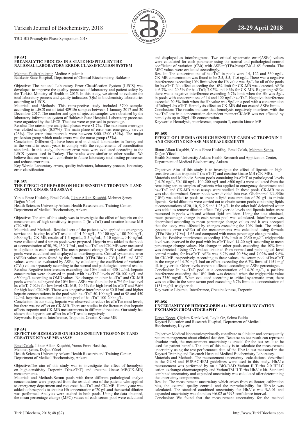

# **SIVOKIMYA**

#### **PP-052 PREANALYTIC PROCESS IN A STATE HOSPITAL BY THE NATIONAL LABORATORY ERROR CLASSIFICATION SYSTEM**

Mehmet Fatih Alpdemir, Medine Alpdemir Balıkesir State Hospital, Department of Clinical Biochemistry, Balıkesir

Objective: The national Laboratory Error Classification System (LECS) was developed to improve the quality processes of laboratory and patient safety by the Turkish Ministry of Health in 2015. In this study, we aimed to evaluate the total laboratory process and quality indicators (QIs) in biochemistry laboratories according to LECS.

Materials and Methods: This retrospective study included 3700 samples according to LECS out of total 489156 samples between 1 January 2017 and 30 December 2017. The number and type of rejected samples were obtained by the laboratory information system of Balıkesir State Hospital. Laboratory processes were organized by the LECS. The data were expressed in percentage.

Results: The rates of pre-analytical phases were 81.7%. The maximum error type was clotted samples (0.37%). The main place of error was emergency service (26%). The error time intervals were between 8:00-12:00 (34%). The major profession group which made errors was the nurse group (53%).

Conclusion: Different QIs have been used in clinical laboratories in Turkey and in the world in recent years to comply with the requirements of accreditation standards. In this study, laboratory error rates were evaluated according to the LECS system used in Turkey. The results were similar to other studies. We believe that our work will contribute to future laboratory total testing proccesses and reduce error rates.

Key Words: Laboratory errors, quality indicators, laboratory process, laboratory error classification

#### **PP-053**

#### **THE EFFECT OF HEPARIN ON HIGH SENSITIVE TROPONIN T AND CREATIN KINASE MB ASSAYS**

Yunus Emre Haskılıç, Emel Çolak, İlknur Alkan Kuşabbi, Mehmet Şeneş, Doğan Yücel

Health Sciences University Ankara Health Research and Training Center, Department of Medical Biochemistry, Ankara

Objective: The aim of this study was to investigate the effect of heparin on the measurement of high-sensitivity troponin T (hs-cTnT) and creatine kinase MB (CK-MB).

Materials and Methods: Residual sera of the patients who applied to emergency service and having hs-cTnT results of 14-20 ng/L, 50-100 ng/L, 100-200 ng/L, >500 ng/L; CK-MB results of 1-3 ng/mL, 3-5 ng/mL, 5-10 ng/mL, >10 ng/mL were collected and 4 serum pools were prepared. Heparin was added to the pools at a concentration of 50, 98, 450 IU/mL, and hs-cTnT and CK-MB were measured in duplicate in each sample. The mean percent change (MPC) values of serum pools were calculated and displayed as interferograms. Critical systematic error (ΔSEc) values were found by the formula '[(TEa-Bias) / CVa]-1.65' and MPC values were also evaluated by ΔSEc, by calculating the coefficient of variation (CVa) values separately according to the normal and pathological control results. Results: Negative interferences exceeding the 10% limit of 450 IU/mL heparin concentration were observed in pools with hs-cTnT levels of 50-100 ng/L and >500 ng/L according to OMD values. No changes in other hs-cTnT and CK-MB pools were found beyond the 10% limit. ΔSEc was found to be 6.7% for low level hs-cTnT, 7.02% for low level CK-MB, 20.5% for high level hs-cTnT and 9.6% for high level CK-MB. There was a negative interference at 50 IU/mL and higher heparin concentrations in the pool with hs-cTnT 50-100 ng/L and at 98 and 450 IU/mL heparin concentrations in the pool of hs-cTnT 100-200 ng/L.

Conclusion: In our study, heparin was observed to reduce hs-cTnT at most levels, but there was no effect on CK-MB. There are studies in the literature that heparin affects troponin and CK-MB measurements in different directions. Our study has shown that heparin can affect hs-cTnT results negatively.

Keywords: Heparin, Interference, Troponin, Creatin Kinase MB

#### **PP-054**

#### **EFFECT OF HEMOLYSIS ON HIGH SENSITIVE TROPONIN T AND CREATINE KINASE MB ASSAY**

Emel Çolak, İlknur Alkan Kuşabbi, Yunus Emre Haskılıç, Mehmet Şeneş, Doğan Yücel Health Sciences University Ankara Health Research and Training Center,

Department of Medical Biochemistry, Ankara

Objective:The aim of this study was to investigate the effect of hemolysis on high-sensitivity Troponin T(hs-cTnT) and creatine kinase MB(CK-MB) measurements.

Materials and Methods:Serum pools with three different pathological analyte concentrations were prepared from the residual sera of the patients who applied to emergency department and requested hs-cTnT and CK-MB. Hemolysate was added to these pools to obtain a Hb concentration of 20 g/L and then serial dilution was performed. Analytes were studied in both pools. Using the data obtained, the mean percentage change (MPC) values of each serum pool were calculated

and displayed as interferograms. Two critical systematic error(ΔSEc) values were calculated for each parameter using the normal and pathological control coefficient of variation (CVa) with ΔSEc=[(TEa-bias)/CVa]-1.65 formula. The MPC values were evaluated accordingly.

Results: The concentrations of hs-cTnT in pools were 14, 122 and 360 ng/L. CK-MB concentration was found to be 2.5, 5.5, 11.6 ng/L. There was a negative interference exceeding 10% limit when the Hb value was 5g/L for all of the pools for hs-cTnT. No effect exceeding the 10% limit for CK-MB was detected. ΔSEc is 6.7% and 20.5% for hs-cTnT; 7.02% and 9.6% for CK-MB. Regarding ΔSEc; there was a negative interference exceeding 6.7% limit when the Hb was 5g/L in pools with concentrations of 14 and 122 ng/L hs-cTnT. Negative interference exceeded 20.5% limit when the Hb value was 9g/L in a pool with a concentration of 360ng/L hs-cTnT. Hemolysis effect on CK-MB did not exceed ΔSEc limits. Conclusion: The results indicate that hemolysis negatively interferes with the hs-cTnT test in a concentration-dependent manner.CK-MB was not affected by

hemolysis up to 20g/L Hb concentration. Keywords: Hemolysis, interference, troponin T, creatin kinase MB

#### **PP-055**

#### **EFFECT OF LIPEMIA ON HIGH SENSITIVE CARDIAC TROPONIN T AND CREATINE KINASE MB MEASUREMENTS**

İlknur Alkan Kuşabbi, Yunus Emre Haskiliç, Emel Çolak, Mehmet Şeneş, Doğan Yücel

Health Sciences University Ankara Health Research and Application Center, Department of Medical Biochemistry, Ankara

Objective: Aim of this study is to investigate the effect of lipemia on highsensitive cardiac troponin T (hs-cTnT) and creatine kinase MB (CK-MB). Materials and Methods: Serum pools containing hs-cTnT at pathological levels  $(14-20 \text{ ng/L}, 50-100 \text{ ng/L}, 100-200 \text{ ng/L} \text{ and } 500 \text{ ng/L})$  were collected from the remaining serum samples of patients who applied to emergency department and hs-cTnT and CK-MB mass assays were studied. In these pools CK-MB mass was also determined. Serum pools were divided into two. Oliclinomel N4-550e  $(10\%)$  was added to pools to create a lipid concentration of 20 g/L to mimic lipemia. Serial dilutions were carried out to obtain serum pools containing lipids at concentrations of 20, 10, 5, 2.5 and 1.25 g/L. In the other half, deionized water was added to remove dilution effect. Triglyceride levels and lipemia index were measured in pools with and without lipid emulsion. Using the data obtained, mean percentage change in each serum pool was calculated. Interference was determined according to mean percentage change values and it was accepted that the assay was affected by changes exceeding the 10% limit. The critical systematic error (ΔSEc) of the measurements was calculated using formula [(TEa-Bias) / CVa] -1.65 and compared with mean percentage change results.

Results: Positive interference exceeding 10% limit at 2350 mg/dL triglyceride level was observed in the pool with hs-cTnT level 14-20 ng/L according to mean percentage change values. No change in other pools exceeding the 10% limit was detected. Using CVa values obtained from normal and pathological level control results, for hs-cTnT, ΔSEc was 6.7% and 20.5%; and 7.02% and 9.6% for CK-MB, respectively. According to these values, the serum pool of hs-cTnT in the range of 14-20 ng/L had an effect exceeding the 6.7% limit of 1151 mg/ dL triglyceride. Other levels were not affected according to ΔSEc percentages.

Conclusion: In hs-cTnT pool at a concentration of 14-20 ng/L, a positive interference exceeding the 10% limit was detected when the triglyceride value was 2350 mg/dL. When evaluated according to critical systematic error, there was an effect in the same serum pool exceeding 6.7% limit at a concentration of 1151 mg/dL triglyceride.

Key words: Lipemia, Interference, Creatine kinase, Troponin

#### **PP-056 UNCERTANITY OF HEMOGLOBIN A1c MEASURED BY CATION EXCHANGE CROMATOGRAPHY**

Derya Koçer, Çiğdem Karakükcü, Leyla Öz, Selma Buldu Kayseri Education and Research Hospital, Department of Medical Biochemistry, Kayseri

Objective: Medical laboratories primarily contribute to clinician and consequently patient management about clinical decision. Because no test result can represent absolute truth, the measurement uncertainty is crucial for the test result to be used for patient benefit. The aim of this study is to calculate the measurement uncertainty using the test performance data of the HbA1c test measured in the Kayseri Training and Research Hospital Medical Biochemistry Laboratory.

Materials and Methods: The measurement uncertainty calculations described in the GUM and EURACHEM guidelines were used in this study. HbA1c measurement was performed by on a BIO-RAD Variant II Turbo 2.0 HPLC cation exchange chromatography and VariantTM II Turbo HbA1c kit. Standard combined uncertainty and expanded uncertainty was calculated after determining the uncertainty components.

Results: The measurement uncertainty which arises from calibrator, calibration bias, the external quality control, and the reproducibility for HbA1c was calculated. The standard combined uncertainty for HbA1c was %3.01 and expanded uncertainty was found as %6.02 at %95 confidence interval.

Conclusion: We found that the measurement uncertainty for the method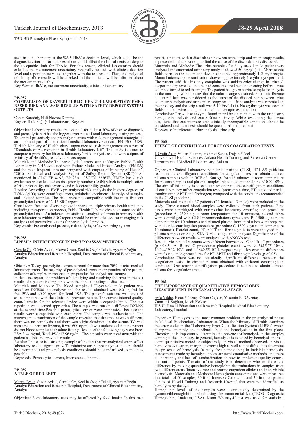

used in our laboratory at the %6.5 HbA1c decision level, which could be the diagnostic criterion for diabetes alone, could affect the clinical decision despite the acceptable limit for HbA1c. For this reason, clinical laboratories should calculate the measurement uncertainty especially for tests with clinical decision level and reports these values together with the test results. Thus, the analytical reliability of the results will be checked and the clinician will be informed about the measurement quality.

Key Words: HbA1c, measurement uncertanity, clinical biochemistry

#### **PP-057**

#### **COMPARISON OF KAYSERİ PUBLIC HEALTH LABORATORY FMEA BASED RISK ANALYSIS RESULTS WITH SAFETY REPORT SYSTEM OUTPUTS**

Canan Karadağ, Nafi Nevrez Demirel Kayseri Halk Sağlığı Laboratuvarı, Kayseri

Objective: Laboratory results are essential for at least 70% of disease diagnosis and preanalytic part has the biggest error ratio of total laboratory testing process. To control proactively the preanalytic errors with risk management strategies is an important part of international medical laboratory standard, EN ISO 15189. Turkish Ministry of Health gives importance to risk management as a part of "Standards of Accreditation in Health Laboratory Kit". This study is aimed to compare a primary health care laboratory's risk analysis results with outputs of Ministry of Health's preanalytic errors report.

Materials and Methods: The preanalytical errors seen at Kayseri Public Health Laboratory in 2016 evaluated with Failure Mode and Effects Analysis (FMEA) and the most frequent ones are compared with outputs of Ministry of Health's "2016 Statistical and Analysis Report of Safety Report System (SRC)". As mentioned in CLSI EP18-A2, EP 23A, ISO/TS 22367E, FMEA based risk evaluation was calculated as risk priority number (RON) which is multiplication of risk probability, risk severity and risk detectability grades.

Results: According to FMEA preanalytical risk analysis the highest degrees of RONs (≥100) were centrifuge errors, unlabeled specimens, hemolysed samples and clotted samples. The risks were not compatible with the most frequent preanalytical errors of 2016 SRC report.

Conclusion: Because of serving to wide spread multiple primary health care units including transportation process, Public Health Laboratories have some spesific preanalytical risks. An independent statistical analysis of errors in primary health care laboratories within SRC reports would be more effective for managing risk analysis and preventive actions for preanalytical process.

Key words: Pre-analytical process, risk analysis, safety reporting system

#### **PP-058**

#### **LIPEMIA INTERFERENCE IN IMMUNOASSAY METHODS**

Cemile Öz, Güzin Aykal, Merve Cesur, Seçkin Özgür Tekeli, Ayşenur Yeğin Antalya Education and Research Hospital, Department of Clinical Biochemistry, Antalya

Objective: Today, preanalytical errors account for more than 70% of total medical laboratory errors. The majority of preanalytical errors are preparation of the patient, collection of samples, transportation, preparation for analysis and storage.

In this case report, the problem of identifying and resolving the error in the test results of a patient incompatible with the clinical findings is discussed.

Materials and Methods: The blood sample of 73-year-old male patient was tasted on DXI800 autoanalyzer and the results obtained were 0.01 ng/ml for free-PSA and <0.01 ng/ml for Total-PSA. The patient's outcome was assessed as incompatible with the clinic and previous results. The current intern control results for the relevant device were within acceptable limits. The test repetition was deemed appropriate.The sample was run on a different DXI800 at the second time.Possible preanalytical errors were emphasized because the results were compatible with each other. The sample was authenticated. The macroscopic examination of the sample revealed that the amount was sufficient, there was no hemolysis, and there was slight cloudiness in the serum. TG was measured to confirm lipemia, it was 600 ng/ml. It was understood that the patient did not blood samples at absolute fasting. Results of the following day were Free-PSA:3.44 ng/ml, Total-PSA:17.96 ng/ml. These results were consistent with the patient's clinic and previous results.

Results: This case is a striking example of the fact that preanalytical errors affect laboratory results significantly. To minimize errors, preanalytical factors should be determined and pre-analysis conditions should be standardized as much as possible.

Keywords: Preanalytical errors, Interference, lipemia.

#### **PP-059 A TALE OF RED BEET**

Merve Cesur, Güzin Aykal, Cemile Öz, Seçkin Özgür Tekeli, Ayşenur Yeğin Antalya Education and Research Hospital, Department of Clinical Biochemistry, Antalya

Objective: Some laboratory tests may be affected by food intake. In this case

report, a patient with a discordance between urine strip and microscopy results is presented and the workup to find the cause of the discordance is discussed. Materials and Methods: The urine sample of a 51 year-old male patient was analysed and automated urine strip analysis showed 50 Ery/ $\mu$ l ( $\leftrightarrow$ ). Microscopic fields seen on the automated device contained approximately 1-2 erythrocyte. Manual microscopic examination showed approximately 1 erythrocyte per field.

The patient said that his only complaint was sudden color change in urine. A deeper inquiry revealed that he had consumed red beet the evening before, urine color had turned to red that night. The patient had given a urine sample for analysis in the morning, when he saw that the color change sustained. Food interference due to red beet was considered as the cause of the discordance between urine color, strip analysis and urine microscopy results. Urine analysis was repeated on the next day and the strip result was  $5-10$  Ery/ $\mu$ l (+). No erythrocyte was seen in fields on the device and upon manual microscopic examination.

Conclusion: Peroxidase enzyme found in red beet can react with the urine strip hemoglobin analysis and cause false positivity. While evaluating the urine test, items that can interfere with clinically incompatible conditions should be considered and anamnesis should be questioned in more detail. Keywords: Interference, urine analysis, urine strip

#### **PP-060**

#### **EFFECT OF CENTRIFUGAL FORCE ON COAGULATION TESTS**

İ. Ömür Acar, Vildan Fidancı, Mehmet Şeneş, Doğan Yücel University of Health Sciences, Ankara Health Training and Research Center Department of Medical Biochemistry, Ankara

Objective: Clinical Laboratory Standards Institute (CLSI) H21 A5 guideline recommends centrifugation conditions for coagulation tests to obtain citrated plasma samples with an RCF of 1500 xg, for <15 minutes at room temperature for plasma samples and plasma samples<sup>5</sup> platelet count should be  $\leq 10 \text{ X } 109$ /L. The aim of this study is to evaluate whether routine centrifugation conditions of our laboratory affect coagulation tests (protrombin time, PT; activated partial trombin time, APTT and fibrinogen) compared with the conditions recommended in the CLSI guideline.

Materials and Methods: 37 patients (24 female, 13 male) were included in the study. Three citrated blood samples were collected from each patients. First tubes were centrifuged with our routine laboratory centrifugation procedure (procedure A, 2500 xg at room temperature for 10 minutes), second tubes were centrifuged with CLSI recommendations (procedure B, 1500 xg at room temperature for 10 minutes) and citrated plasma from third tubes were prepared with double centrifugation procedure (procedure C, 1500 xg at room temperature 10 minutes). Platelet count, PT, APTT and fibrinogen tests were analyzed in all plasma samples on Stago STA-R Max coagulation analyser. Significance of the difference between results were analyzed with ANOVA test.

Results: Mean platelet counts were different between A - C and B - C procedures (p <0.05). A, B and C procedures platelet counts were  $9.45\pm15.75 \cdot 10^9/L$ ,  $10.29\pm19.32 \cdot 10^9/L$  and  $0.48\pm0.55 \cdot 10^9/L$  respectively. Ho were found among procedures for PT, APTT and fibrinogen levels  $(p > 0.05)$ .

Conclusion: There was no statistically significant difference between the coagulation tests in citrated plasma obtained with different centrifugation conditions. Our routine centrifugation procedure is suitable to obtain citrated plasma for coagulation tests.

#### **PP-061**

#### **THE IMPORTANCE OF QUANTITATIVE HEMOGLOBIN MEASUREMENT IN PREANALYTICAL STAGE**

Ayla Yıldız, Esma Yücetaş, Cihan Coşkun, Yasemin E. Döventaş, Zümrüt I. Sağlam, Macit Koldaş H.S.U. Haseki Education and Research Hospital Medical Biochemistry

Laboratory, İstanbul

Objective: Hemolysis is the most common problem in the preanalytical phase in Medical Biochemistry Laboratories. When the Ministry of Health examines the error codes in the "Laboratory Error Classification System (LHSS)" which is reported monthly, the feedback about the hemolysis is in the first place. Therefore, it is important to determine the presence of hemolysis in the samples coming to the laboratory. In general, hemolysis is detected by hemolysis index -semi-quantitative metod or subjectively -in visual method observed. In visual hemolysis evaluation, margin of error is high as well as it is difficult to determine the presence of hemolysis (namely free hemoglobin) in invisible hemolysis. Assessments made by hemolysis index are semi-quantitative methods, and there is uncertainty and lack of standardization on how to implement quality control and cut-off points. The aim of our study is to determine whether there is a difference by making quantitative hemoglobin determinations in samples from two different areas (intensive care and routine outpatient clinics) and non-visible haemolysis. Materials and Methods: Hemoglobin concentrations were measured in a total of 60 samples, 30 from Intensive Care Units and 30 from outpatient clinics of Haseki Training and Research Hospital that were not identified as hemolysis by the eye. Hemoglobin levels of the samples were quantitatively determined by the

cyanomethhemoglobin method using the commercial kit (TECO Diagnostic Hemoglobin, Anaheim, USA). Mann Whitney-U test was used for statistical